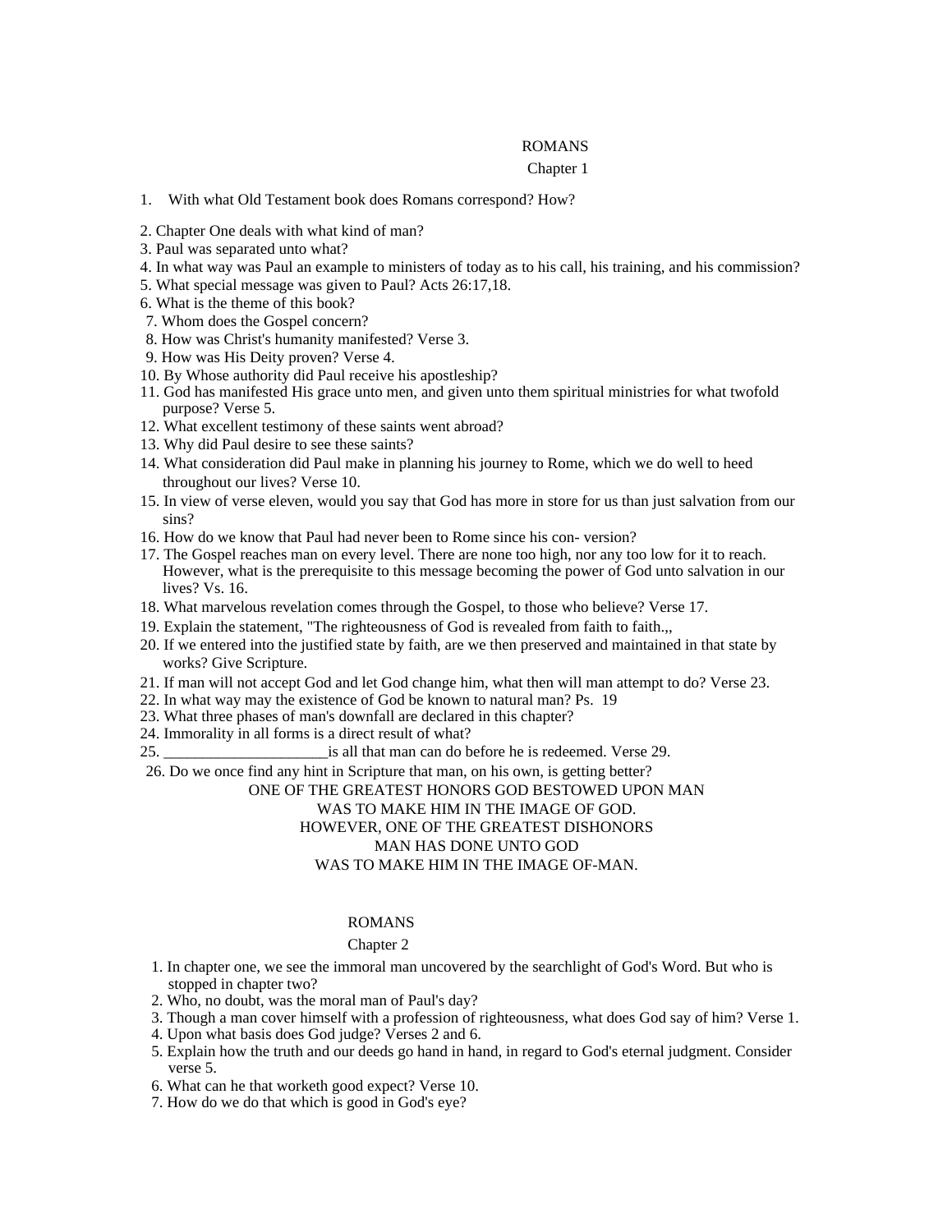# ROMANS

#### Chapter 1 and 1 and 1 and 1 and 1 and 1 and 1 and 1 and 1 and 1 and 1 and 1 and 1 and 1 and 1 and 1 and 1 and 1 and 1 and 1 and 1 and 1 and 1 and 1 and 1 and 1 and 1 and 1 and 1 and 1 and 1 and 1 and 1 and 1 and 1 and 1 an

- 1. With what Old Testament book does Romans correspond? How?
- 2. Chapter One deals with what kind of man?
- 3. Paul was separated unto what?
- 4. In what way was Paul an example to ministers of today as to his call, his training, and his commission?
- 5. What special message was given to Paul? Acts 26:17,18.
- 6. What is the theme of this book?
- 7. Whom does the Gospel concern?
- 8. How was Christ's humanity manifested? Verse 3.
- 9. How was His Deity proven? Verse 4.
- 10. By Whose authority did Paul receive his apostleship?
- 11. God has manifested His grace unto men, and given unto them spiritual ministries for what twofold purpose? Verse 5.
- 12. What excellent testimony of these saints went abroad?
- 13. Why did Paul desire to see these saints?
- 14. What consideration did Paul make in planning his journey to Rome, which we do well to heed throughout our lives? Verse 10.
- 15. In view of verse eleven, would you say that God has more in store for us than just salvation from our sins?
- 16. How do we know that Paul had never been to Rome since his con- version?
- 17. The Gospel reaches man on every level. There are none too high, nor any too low for it to reach. However, what is the prerequisite to this message becoming the power of God unto salvation in our lives? Vs. 16.
- 18. What marvelous revelation comes through the Gospel, to those who believe? Verse 17.
- 19. Explain the statement, "The righteousness of God is revealed from faith to faith.,,
- 20. If we entered into the justified state by faith, are we then preserved and maintained in that state by works? Give Scripture.
- 21. If man will not accept God and let God change him, what then will man attempt to do? Verse 23.
- 22. In what way may the existence of God be known to natural man? Ps. 19
- 23. What three phases of man's downfall are declared in this chapter?
- 24. Immorality in all forms is a direct result of what?
- 25. \_\_\_\_\_\_\_\_\_\_\_\_\_\_\_\_\_\_\_\_\_is all that man can do before he is redeemed. Verse 29.
- 26. Do we once find any hint in Scripture that man, on his own, is getting better?

#### ONE OF THE GREATEST HONORS GOD BESTOWED UPON MAN

#### WAS TO MAKE HIM IN THE IMAGE OF GOD.

# HOWEVER, ONE OF THE GREATEST DISHONORS

#### MAN HAS DONE UNTO GOD

# WAS TO MAKE HIM IN THE IMAGE OF-MAN.

### ROMANS **Example 20** No. 2014 12:30 and 20 No. 2014 2015 2016 2017 2018 2019 2017 2018 2019 2017 2018 2017 2018 2017 2018 2017 2018 2017 2018 2017 2018 2017 2018 2017 2018 2017 2018 2017 2018 2017 2018 2017 2018 2017 2018 2

# Chapter 2 and 2 and 2 and 2 and 2 and 2 and 2 and 2 and 2 and 2 and 2 and 2 and 2 and 2 and 2 and 2 and 2 and 2 and 2 and 2 and 2 and 2 and 2 and 2 and 2 and 2 and 2 and 2 and 2 and 2 and 2 and 2 and 2 and 2 and 2 and 2 an

- 1. In chapter one, we see the immoral man uncovered by the searchlight of God's Word. But who is stopped in chapter two?
- 2. Who, no doubt, was the moral man of Paul's day?
- 3. Though a man cover himself with a profession of righteousness, what does God say of him? Verse 1.
- 4. Upon what basis does God judge? Verses 2 and 6.
- 5. Explain how the truth and our deeds go hand in hand, in regard to God's eternal judgment. Consider verse 5.
- 6. What can he that worketh good expect? Verse 10.
- 7. How do we do that which is good in God's eye?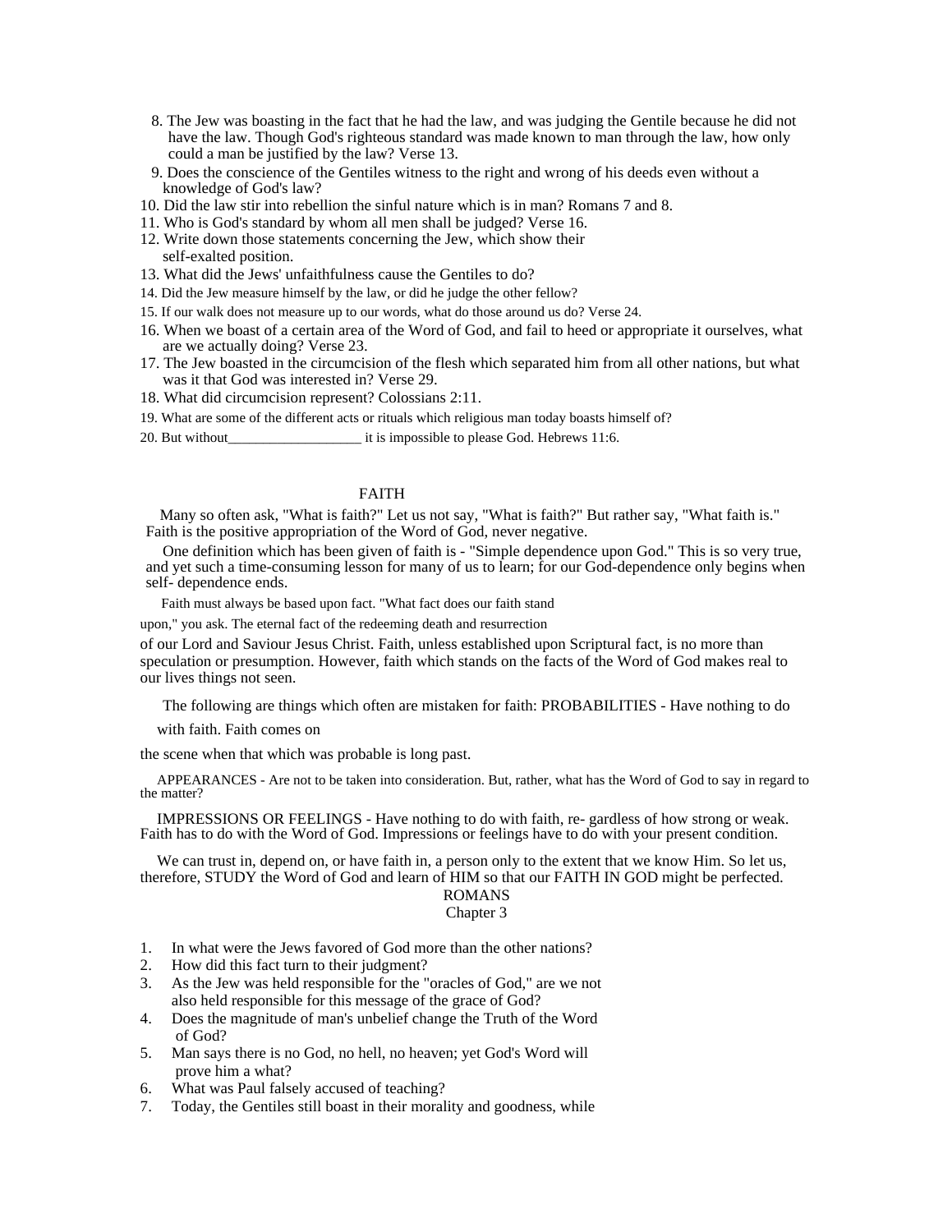- 8. The Jew was boasting in the fact that he had the law, and was judging the Gentile because he did not have the law. Though God's righteous standard was made known to man through the law, how only could a man be justified by the law? Verse 13.
- 9. Does the conscience of the Gentiles witness to the right and wrong of his deeds even without a knowledge of God's law?
- 10. Did the law stir into rebellion the sinful nature which is in man? Romans 7 and 8.
- 11. Who is God's standard by whom all men shall be judged? Verse 16.
- 12. Write down those statements concerning the Jew, which show their self-exalted position.
- 13. What did the Jews' unfaithfulness cause the Gentiles to do?
- 14. Did the Jew measure himself by the law, or did he judge the other fellow?
- 15. If our walk does not measure up to our words, what do those around us do? Verse 24.
- 16. When we boast of a certain area of the Word of God, and fail to heed or appropriate it ourselves, what are we actually doing? Verse 23.
- 17. The Jew boasted in the circumcision of the flesh which separated him from all other nations, but what was it that God was interested in? Verse 29.
- 18. What did circumcision represent? Colossians 2:11.
- 19. What are some of the different acts or rituals which religious man today boasts himself of?
- 20. But without\_\_\_\_\_\_\_\_\_\_\_\_\_\_\_\_\_\_\_ it is impossible to please God. Hebrews 11:6.

# FAITH **FRAME**

 Many so often ask, "What is faith?" Let us not say, "What is faith?" But rather say, "What faith is." Faith is the positive appropriation of the Word of God, never negative.

One definition which has been given of faith is - "Simple dependence upon God." This is so very true, and yet such a time-consuming lesson for many of us to learn; for our God-dependence only begins when self- dependence ends.

Faith must always be based upon fact. "What fact does our faith stand

upon," you ask. The eternal fact of the redeeming death and resurrection

of our Lord and Saviour Jesus Christ. Faith, unless established upon Scriptural fact, is no more than speculation or presumption. However, faith which stands on the facts of the Word of God makes real to our lives things not seen.

The following are things which often are mistaken for faith: PROBABILITIES - Have nothing to do

with faith. Faith comes on

the scene when that which was probable is long past.

APPEARANCES - Are not to be taken into consideration. But, rather, what has the Word of God to say in regard to the matter?

IMPRESSIONS OR FEELINGS - Have nothing to do with faith, re- gardless of how strong or weak. Faith has to do with the Word of God. Impressions or feelings have to do with your present condition.

We can trust in, depend on, or have faith in, a person only to the extent that we know Him. So let us, therefore, STUDY the Word of God and learn of HIM so that our FAITH IN GOD might be perfected.

# ROMANS **Example 20**

- Chapter 3
- 1. In what were the Jews favored of God more than the other nations?
- 2. How did this fact turn to their judgment?
- 3. As the Jew was held responsible for the "oracles of God," are we not also held responsible for this message of the grace of God?
- 4. Does the magnitude of man's unbelief change the Truth of the Word of God?
- 5. Man says there is no God, no hell, no heaven; yet God's Word will prove him a what?
- 6. What was Paul falsely accused of teaching?
- 7. Today, the Gentiles still boast in their morality and goodness, while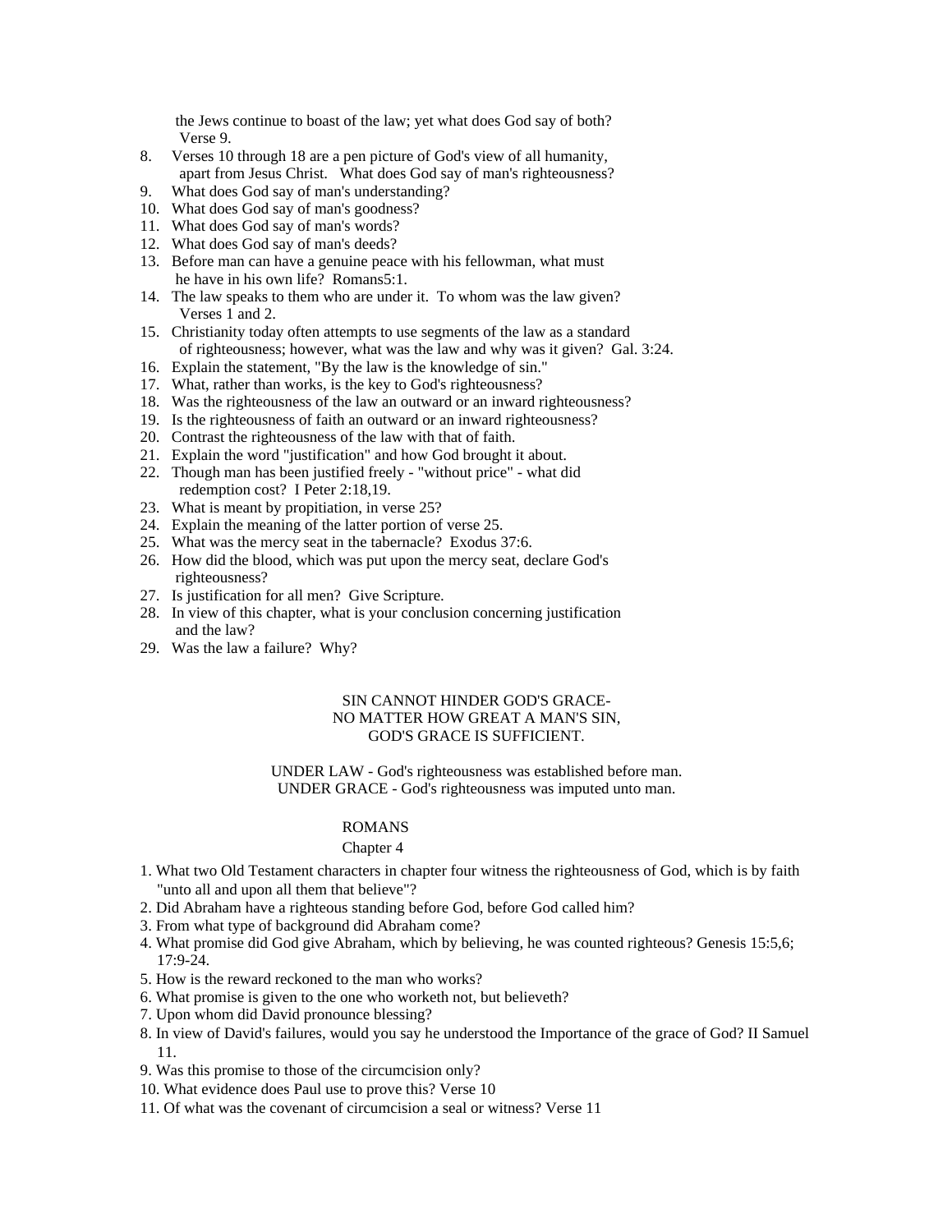the Jews continue to boast of the law; yet what does God say of both? Verse 9.

- 8. Verses 10 through 18 are a pen picture of God's view of all humanity, apart from Jesus Christ. What does God say of man's righteousness?
- 9. What does God say of man's understanding?
- 10. What does God say of man's goodness?
- 11. What does God say of man's words?
- 12. What does God say of man's deeds?
- 13. Before man can have a genuine peace with his fellowman, what must he have in his own life? Romans5:1.
- 14. The law speaks to them who are under it. To whom was the law given? Verses 1 and 2.
- 15. Christianity today often attempts to use segments of the law as a standard of righteousness; however, what was the law and why was it given? Gal. 3:24.
- 16. Explain the statement, "By the law is the knowledge of sin."
- 17. What, rather than works, is the key to God's righteousness?
- 18. Was the righteousness of the law an outward or an inward righteousness?
- 19. Is the righteousness of faith an outward or an inward righteousness?
- 20. Contrast the righteousness of the law with that of faith.
- 21. Explain the word "justification" and how God brought it about.
- 22. Though man has been justified freely "without price" what did redemption cost? I Peter 2:18,19.
- 23. What is meant by propitiation, in verse 25?
- 24. Explain the meaning of the latter portion of verse 25.
- 25. What was the mercy seat in the tabernacle? Exodus 37:6.
- 26. How did the blood, which was put upon the mercy seat, declare God's righteousness?
- 27. Is justification for all men? Give Scripture.
- 28. In view of this chapter, what is your conclusion concerning justification and the law? and the law?
- 29. Was the law a failure? Why?

# SIN CANNOT HINDER GOD'S GRACE-NO MATTER HOW GREAT A MAN'S SIN, GOD'S GRACE IS SUFFICIENT.

UNDER LAW - God's righteousness was established before man. UNDER GRACE - God's righteousness was imputed unto man.

# ROMANS **Example 20** No. 2014 12:30 No. 2014 12:30 No. 2014 12:30 No. 2014 12:30 No. 2014 12:30 No. 2014 12:30 No. 2014 12:30 No. 2014 12:30 No. 2014 12:30 No. 2014 12:30 No. 2014 12:30 No. 2014 12:30 No. 2014 12:30 No. 201

#### Chapter 4 and 2008 and 2008 and 2008 and 2008 and 2008 and 2008 and 2008 and 2008 and 2008 and 2008 and 2008 and 2008 and 2008 and 2008 and 2008 and 2008 and 2008 and 2008 and 2008 and 2008 and 2008 and 2008 and 2008 and 2

- 1. What two Old Testament characters in chapter four witness the righteousness of God, which is by faith "unto all and upon all them that believe"?
- 2. Did Abraham have a righteous standing before God, before God called him?
- 3. From what type of background did Abraham come?
- 4. What promise did God give Abraham, which by believing, he was counted righteous? Genesis 15:5,6; 17:9-24.
- 5. How is the reward reckoned to the man who works?
- 6. What promise is given to the one who worketh not, but believeth?
- 7. Upon whom did David pronounce blessing?
- 8. In view of David's failures, would you say he understood the Importance of the grace of God? II Samuel 11.
- 9. Was this promise to those of the circumcision only?
- 10. What evidence does Paul use to prove this? Verse 10
- 11. Of what was the covenant of circumcision a seal or witness? Verse 11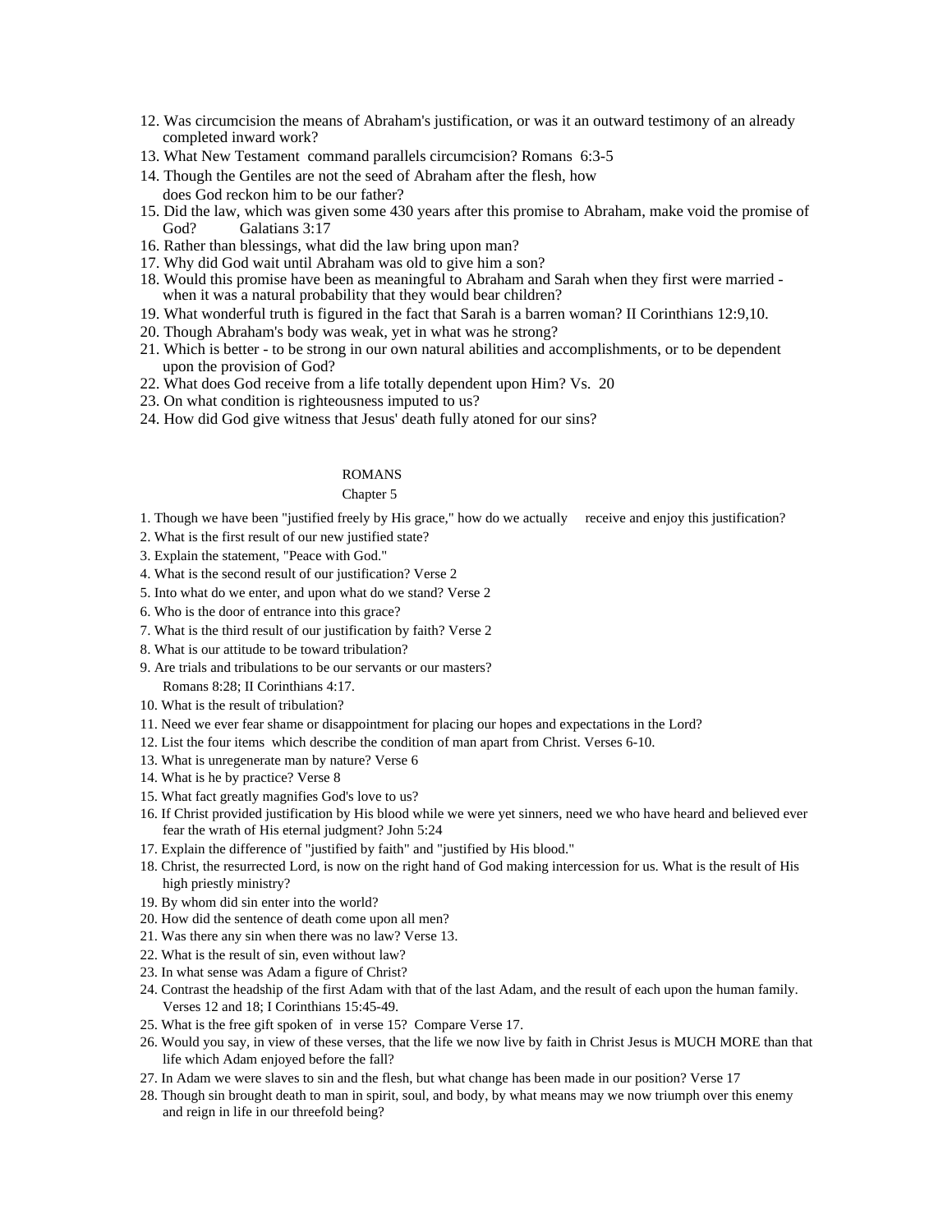- 12. Was circumcision the means of Abraham's justification, or was it an outward testimony of an already completed inward work?
- 13. What New Testament command parallels circumcision? Romans 6:3-5
- 14. Though the Gentiles are not the seed of Abraham after the flesh, how does God reckon him to be our father?
- 15. Did the law, which was given some 430 years after this promise to Abraham, make void the promise of God? Galatians 3:17
- 16. Rather than blessings, what did the law bring upon man?
- 17. Why did God wait until Abraham was old to give him a son?
- 18. Would this promise have been as meaningful to Abraham and Sarah when they first were married when it was a natural probability that they would bear children?
- 19. What wonderful truth is figured in the fact that Sarah is a barren woman? II Corinthians 12:9,10.
- 20. Though Abraham's body was weak, yet in what was he strong?
- 21. Which is better to be strong in our own natural abilities and accomplishments, or to be dependent upon the provision of God?
- 22. What does God receive from a life totally dependent upon Him? Vs. 20
- 23. On what condition is righteousness imputed to us?
- 24. How did God give witness that Jesus' death fully atoned for our sins?

#### ROMANS **Example 20** No. 2014 19:30 FOR 20 No. 2014 19:30 FOR 2014 19:30 FOR 2014 19:30 FOR 2014 19:30 FOR 2014 19:30 FOR 2014 19:30 FOR 2014 19:30 FOR 2014 19:30 FOR 2014 19:30 FOR 2014 19:30 FOR 2014 19:30 FOR 2014 19:30

#### Chapter 5 and 200 and 200 and 200 and 200 and 200 and 200 and 200 and 200 and 200 and 200 and 200 and 200 and 200 and 200 and 200 and 200 and 200 and 200 and 200 and 200 and 200 and 200 and 200 and 200 and 200 and 200 and

- 1. Though we have been "justified freely by His grace," how do we actually receive and enjoy this justification?
- 2. What is the first result of our new justified state?
- 3. Explain the statement, "Peace with God."
- 4. What is the second result of our justification? Verse 2
- 5. Into what do we enter, and upon what do we stand? Verse 2
- 6. Who is the door of entrance into this grace?
- 7. What is the third result of our justification by faith? Verse 2
- 8. What is our attitude to be toward tribulation?
- 9. Are trials and tribulations to be our servants or our masters?
- Romans 8:28; II Corinthians 4:17.
- 10. What is the result of tribulation?
- 11. Need we ever fear shame or disappointment for placing our hopes and expectations in the Lord?
- 12. List the four items which describe the condition of man apart from Christ. Verses 6-10.
- 13. What is unregenerate man by nature? Verse 6
- 14. What is he by practice? Verse 8
- 15. What fact greatly magnifies God's love to us?
- 16. If Christ provided justification by His blood while we were yet sinners, need we who have heard and believed ever fear the wrath of His eternal judgment? John 5:24
- 17. Explain the difference of "justified by faith" and "justified by His blood."
- 18. Christ, the resurrected Lord, is now on the right hand of God making intercession for us. What is the result of His high priestly ministry?
- 19. By whom did sin enter into the world?
- 20. How did the sentence of death come upon all men?
- 21. Was there any sin when there was no law? Verse 13.
- 22. What is the result of sin, even without law?
- 23. In what sense was Adam a figure of Christ?
- 24. Contrast the headship of the first Adam with that of the last Adam, and the result of each upon the human family. Verses 12 and 18; I Corinthians 15:45-49.
- 25. What is the free gift spoken of in verse 15? Compare Verse 17.
- 26. Would you say, in view of these verses, that the life we now live by faith in Christ Jesus is MUCH MORE than that life which Adam enjoyed before the fall?
- 27. In Adam we were slaves to sin and the flesh, but what change has been made in our position? Verse 17
- 28. Though sin brought death to man in spirit, soul, and body, by what means may we now triumph over this enemy and reign in life in our threefold being?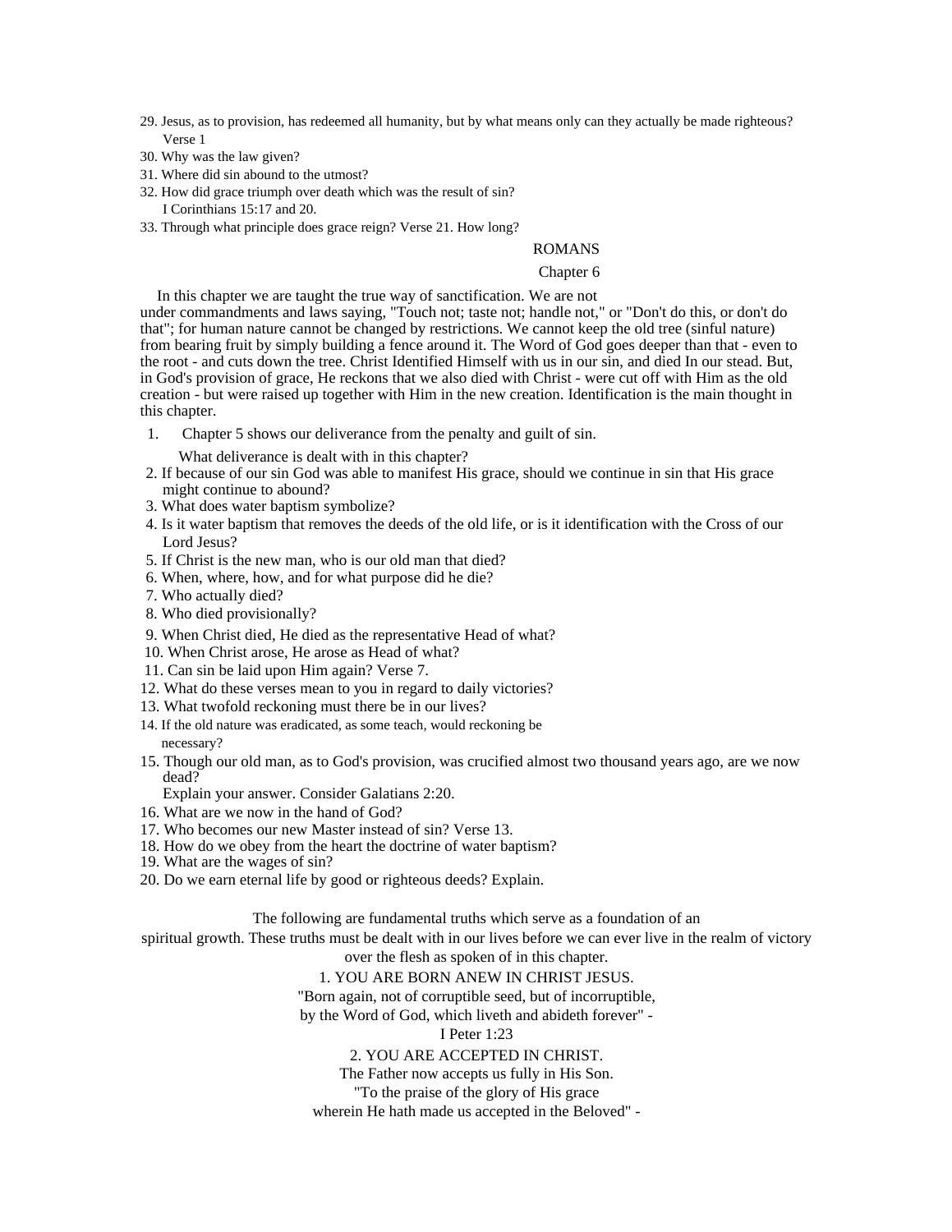- 29. Jesus, as to provision, has redeemed all humanity, but by what means only can they actually be made righteous? Verse 1
- 30. Why was the law given?
- 31. Where did sin abound to the utmost?
- 32. How did grace triumph over death which was the result of sin?
	- I Corinthians 15:17 and 20.
- 33. Through what principle does grace reign? Verse 21. How long?

#### ROMANS

#### Chapter 6 and the contract of the contract of the contract of the contract of the contract of the contract of the contract of the contract of the contract of the contract of the contract of the contract of the contract of

In this chapter we are taught the true way of sanctification. We are not under commandments and laws saying, "Touch not; taste not; handle not," or "Don't do this, or don't do that"; for human nature cannot be changed by restrictions. We cannot keep the old tree (sinful nature) from bearing fruit by simply building a fence around it. The Word of God goes deeper than that - even to the root - and cuts down the tree. Christ Identified Himself with us in our sin, and died In our stead. But, in God's provision of grace, He reckons that we also died with Christ - were cut off with Him as the old creation - but were raised up together with Him in the new creation. Identification is the main thought in this chapter. The chapter of the chapter of the chapter of the chapter of the chapter.

- 1. Chapter 5 shows our deliverance from the penalty and guilt of sin.
	- What deliverance is dealt with in this chapter?
- 2. If because of our sin God was able to manifest His grace, should we continue in sin that His grace might continue to abound?
- 3. What does water baptism symbolize?
- 4. Is it water baptism that removes the deeds of the old life, or is it identification with the Cross of our Lord Jesus?
- 5. If Christ is the new man, who is our old man that died?
- 6. When, where, how, and for what purpose did he die?
- 7. Who actually died?
- 8. Who died provisionally?
- 9. When Christ died, He died as the representative Head of what?
- 10. When Christ arose, He arose as Head of what?
- 11. Can sin be laid upon Him again? Verse 7.
- 12. What do these verses mean to you in regard to daily victories?
- 13. What twofold reckoning must there be in our lives?
- 14. If the old nature was eradicated, as some teach, would reckoning be necessary?
- 15. Though our old man, as to God's provision, was crucified almost two thousand years ago, are we now dead? **Example 20** Section 20 Section 20 Section 20 Section 20 Section 20 Section 20 Section 20 Section 20 Section 20 Section 20 Section 20 Section 20 Section 20 Section 20 Section 20 Section 20 Section 20 Section 20 Secti
	- Explain your answer. Consider Galatians 2:20.
- 16. What are we now in the hand of God?
- 17. Who becomes our new Master instead of sin? Verse 13.
- 18. How do we obey from the heart the doctrine of water baptism?
- 19. What are the wages of sin?
- 20. Do we earn eternal life by good or righteous deeds? Explain.

The following are fundamental truths which serve as a foundation of an

spiritual growth. These truths must be dealt with in our lives before we can ever live in the realm of victory over the flesh as spoken of in this chapter.

1. YOU ARE BORN ANEW IN CHRIST JESUS.

"Born again, not of corruptible seed, but of incorruptible,

by the Word of God, which liveth and abideth forever" -

I Peter 1:23

2. YOU ARE ACCEPTED IN CHRIST.

The Father now accepts us fully in His Son.

"To the praise of the glory of His grace

wherein He hath made us accepted in the Beloved" -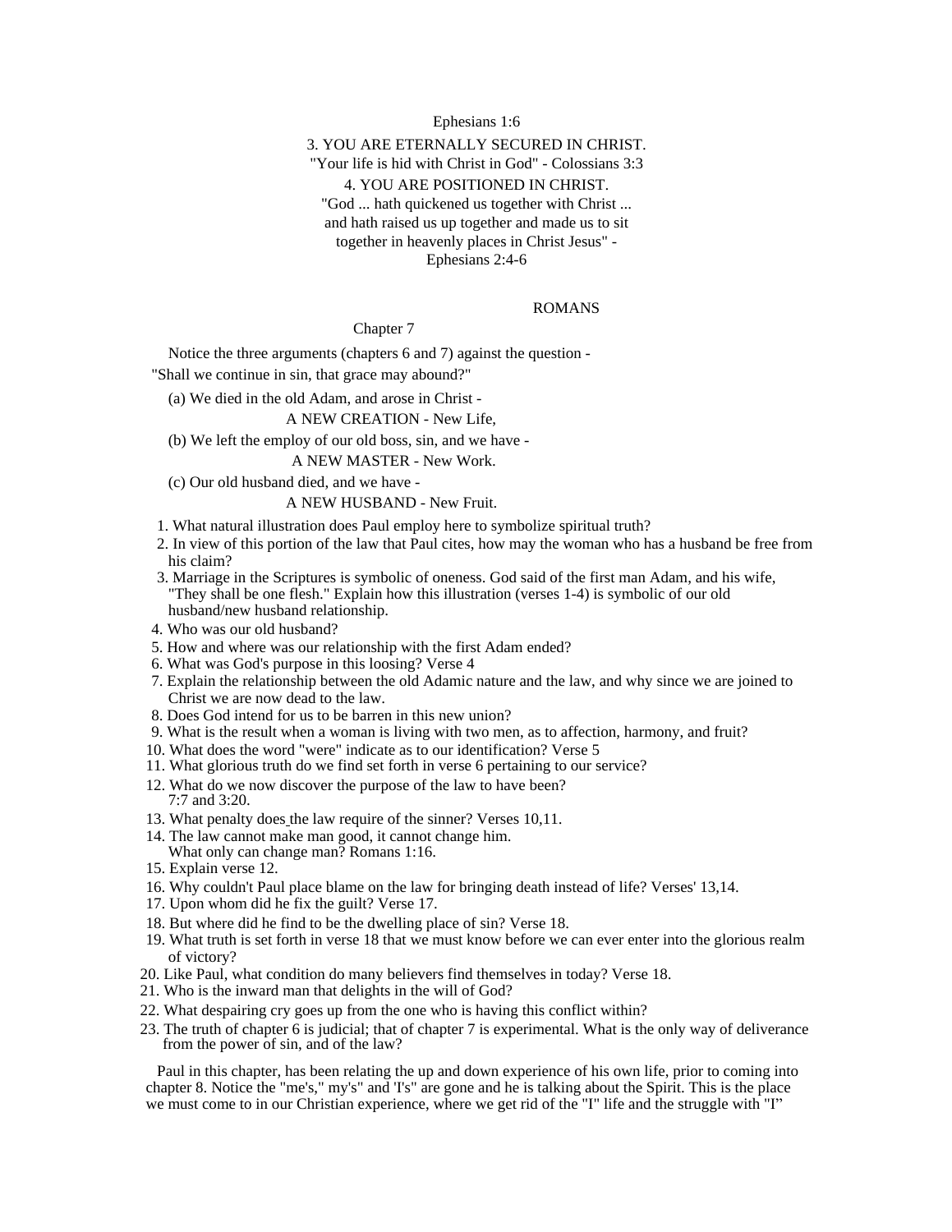#### Ephesians 1:6

### 3. YOU ARE ETERNALLY SECURED IN CHRIST.

"Your life is hid with Christ in God" - Colossians 3:3

#### 4. YOU ARE POSITIONED IN CHRIST.

"God ... hath quickened us together with Christ ... and hath raised us up together and made us to sit together in heavenly places in Christ Jesus" - Ephesians 2:4-6

#### ROMANS

Chapter 7 and 2008 and 2008 and 2008 and 2008 and 2008 and 2008 and 2008 and 2008 and 2008 and 2008 and 2008 and 2008 and 2008 and 2008 and 2008 and 2008 and 2008 and 2008 and 2008 and 2008 and 2008 and 2008 and 2008 and 2

Notice the three arguments (chapters 6 and 7) against the question -

"Shall we continue in sin, that grace may abound?"

(a) We died in the old Adam, and arose in Christ -

#### A NEW CREATION - New Life,

(b) We left the employ of our old boss, sin, and we have -

A NEW MASTER - New Work.

(c) Our old husband died, and we have -

A NEW HUSBAND - New Fruit.

- 1. What natural illustration does Paul employ here to symbolize spiritual truth?
- 2. In view of this portion of the law that Paul cites, how may the woman who has a husband be free from his claim? The contract of the contract of the contract of the contract of the contract of the contract of the contract of the contract of the contract of the contract of the contract of the contract of the contract of the
- 3. Marriage in the Scriptures is symbolic of oneness. God said of the first man Adam, and his wife, "They shall be one flesh." Explain how this illustration (verses 1-4) is symbolic of our old husband/new husband relationship.
- 4. Who was our old husband?
- 5. How and where was our relationship with the first Adam ended?
- 6. What was God's purpose in this loosing? Verse 4
- 7. Explain the relationship between the old Adamic nature and the law, and why since we are joined to Christ we are now dead to the law.
- 8. Does God intend for us to be barren in this new union?
- 9. What is the result when a woman is living with two men, as to affection, harmony, and fruit?
- 10. What does the word "were" indicate as to our identification? Verse 5
- 11. What glorious truth do we find set forth in verse 6 pertaining to our service?
- 12. What do we now discover the purpose of the law to have been?<br>7:7 and 3:20. 7:7 and 3:20.
- 13. What penalty does the law require of the sinner? Verses 10,11.
- 14. The law cannot make man good, it cannot change him. What only can change man? Romans 1:16.
- 15. Explain verse 12.
- 16. Why couldn't Paul place blame on the law for bringing death instead of life? Verses' 13,14.
- 17. Upon whom did he fix the guilt? Verse 17.
- 18. But where did he find to be the dwelling place of sin? Verse 18.
- 19. What truth is set forth in verse 18 that we must know before we can ever enter into the glorious realm of victory?
- 20. Like Paul, what condition do many believers find themselves in today? Verse 18.
- 21. Who is the inward man that delights in the will of God?
- 22. What despairing cry goes up from the one who is having this conflict within?
- 23. The truth of chapter 6 is judicial; that of chapter 7 is experimental. What is the only way of deliverance from the power of sin, and of the law?

Paul in this chapter, has been relating the up and down experience of his own life, prior to coming into chapter 8. Notice the "me's," my's" and 'I's" are gone and he is talking about the Spirit. This is the place we must come to in our Christian experience, where we get rid of the "I" life and the struggle with "I"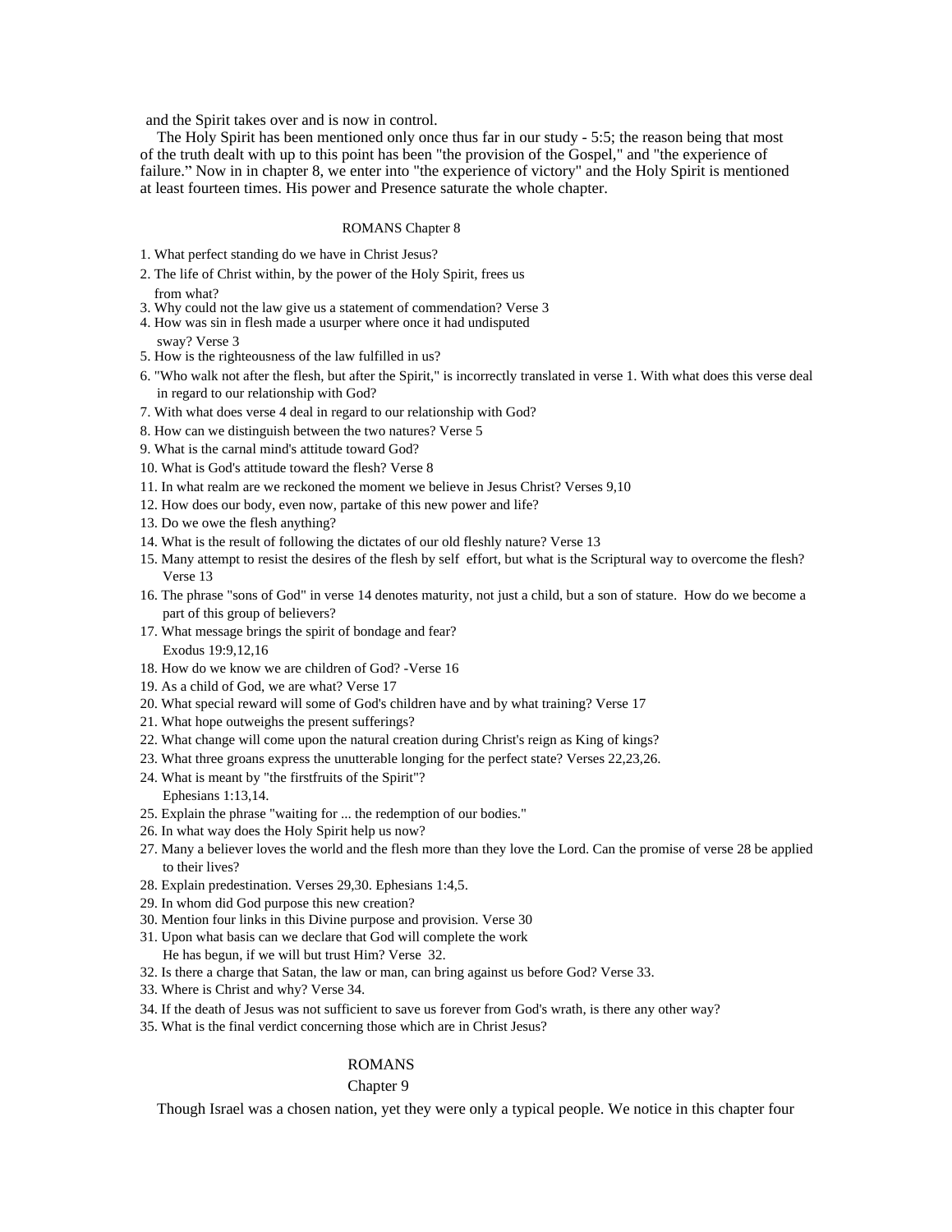and the Spirit takes over and is now in control.

The Holy Spirit has been mentioned only once thus far in our study - 5:5; the reason being that most of the truth dealt with up to this point has been "the provision of the Gospel," and "the experience of failure." Now in in chapter 8, we enter into "the experience of victory" and the Holy Spirit is mentioned at least fourteen times. His power and Presence saturate the whole chapter.

#### ROMANS Chapter 8 and 1980 and 1980 and 1980 and 1980 and 1980 and 1980 and 1980 and 1980 and 1980 and 1980 and 1980 and 1980 and 1980 and 1980 and 1980 and 1980 and 1980 and 1980 and 1980 and 1980 and 1980 and 1980 and 198

- 1. What perfect standing do we have in Christ Jesus?
- 2. The life of Christ within, by the power of the Holy Spirit, frees us from what?
- 3. Why could not the law give us a statement of commendation? Verse 3
- 4. How was sin in flesh made a usurper where once it had undisputed
- sway? Verse 3
- 5. How is the righteousness of the law fulfilled in us?
- 6. "Who walk not after the flesh, but after the Spirit," is incorrectly translated in verse 1. With what does this verse deal in regard to our relationship with God?
- 7. With what does verse 4 deal in regard to our relationship with God?
- 8. How can we distinguish between the two natures? Verse 5
- 9. What is the carnal mind's attitude toward God?
- 10. What is God's attitude toward the flesh? Verse 8
- 11. In what realm are we reckoned the moment we believe in Jesus Christ? Verses 9,10
- 12. How does our body, even now, partake of this new power and life?
- 13. Do we owe the flesh anything?
- 14. What is the result of following the dictates of our old fleshly nature? Verse 13
- 15. Many attempt to resist the desires of the flesh by self effort, but what is the Scriptural way to overcome the flesh? Verse 13
- 16. The phrase "sons of God" in verse 14 denotes maturity, not just a child, but a son of stature. How do we become a part of this group of believers?
- 17. What message brings the spirit of bondage and fear? Exodus 19:9,12,16
- 18. How do we know we are children of God? -Verse 16
- 19. As a child of God, we are what? Verse 17
- 20. What special reward will some of God's children have and by what training? Verse 17
- 21. What hope outweighs the present sufferings?
- 22. What change will come upon the natural creation during Christ's reign as King of kings?
- 23. What three groans express the unutterable longing for the perfect state? Verses 22,23,26.
- 24. What is meant by "the firstfruits of the Spirit"? Ephesians 1:13,14.
- 25. Explain the phrase "waiting for ... the redemption of our bodies."
- 26. In what way does the Holy Spirit help us now?
- 27. Many a believer loves the world and the flesh more than they love the Lord. Can the promise of verse 28 be applied to their lives?
- 28. Explain predestination. Verses 29,30. Ephesians 1:4,5.
- 29. In whom did God purpose this new creation?
- 30. Mention four links in this Divine purpose and provision. Verse 30
- 31. Upon what basis can we declare that God will complete the work
- He has begun, if we will but trust Him? Verse 32.
- 32. Is there a charge that Satan, the law or man, can bring against us before God? Verse 33.
- 33. Where is Christ and why? Verse 34.
- 34. If the death of Jesus was not sufficient to save us forever from God's wrath, is there any other way?
- 35. What is the final verdict concerning those which are in Christ Jesus?

#### ROMANS **Example 20** No. 2014 12:30 and 20 No. 2014 2015 2016 2017 2018 2019 2017 2018 2019 2017 2018 2017 2018 2017 2018 2017 2018 2017 2018 2017 2018 2017 2018 2017 2018 2017 2018 2017 2018 2017 2018 2017 2018 2017 2018 2

#### Chapter 9 and 200 and 200 and 200 and 200 and 200 and 200 and 200 and 200 and 200 and 200 and 200 and 200 and 200 and 200 and 200 and 200 and 200 and 200 and 200 and 200 and 200 and 200 and 200 and 200 and 200 and 200 and

Though Israel was a chosen nation, yet they were only a typical people. We notice in this chapter four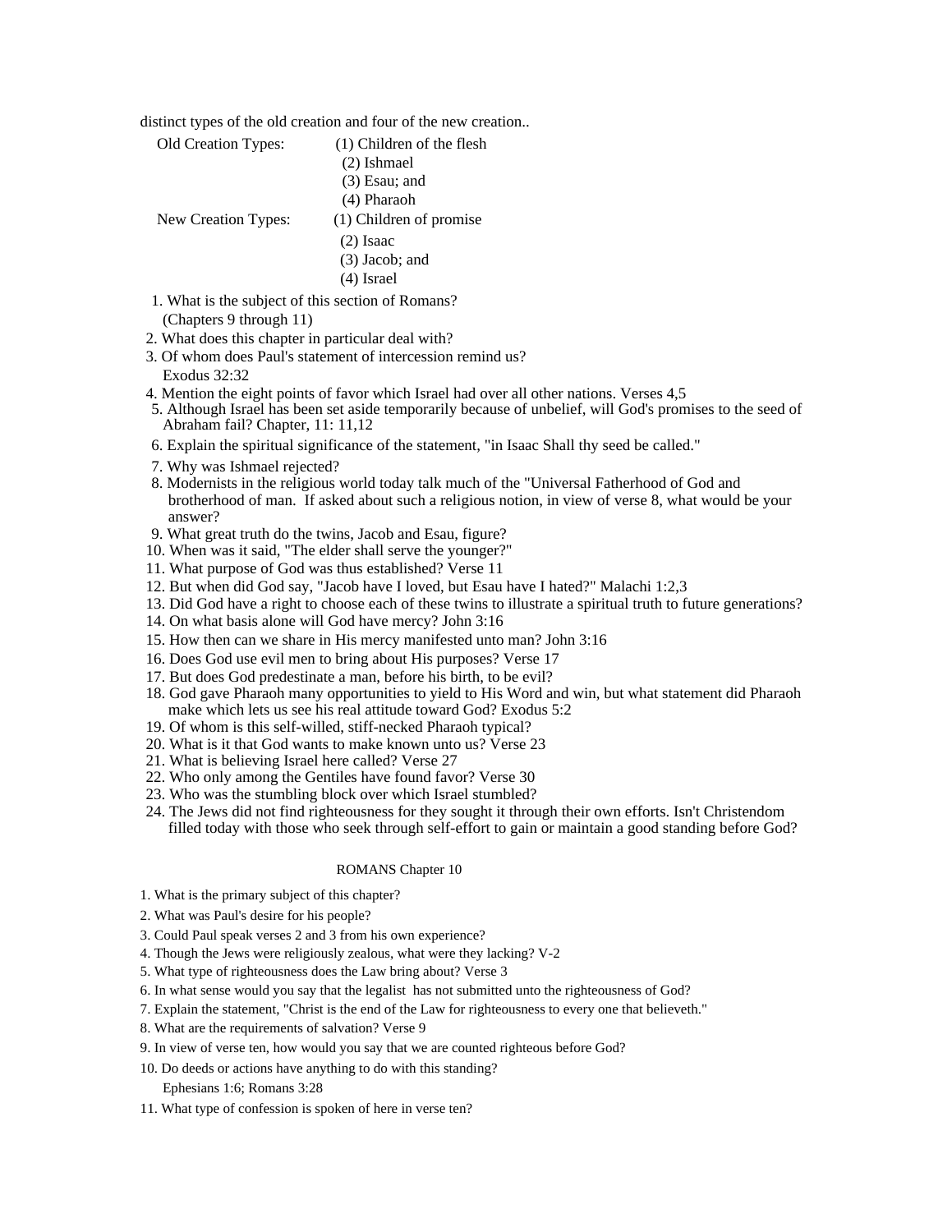distinct types of the old creation and four of the new creation..

- Old Creation Types: (1) Children of the flesh (2) Ishmael (3) Esau; and (4) Pharaoh New Creation Types: (1) Children of promise (2) Isaac (3) Jacob; and (4) Israel 1. What is the subject of this section of Romans?
	- (Chapters 9 through 11)
- 2. What does this chapter in particular deal with?
- 3. Of whom does Paul's statement of intercession remind us? Exodus 32:32
- 4. Mention the eight points of favor which Israel had over all other nations. Verses 4,5
- 5. Although Israel has been set aside temporarily because of unbelief, will God's promises to the seed of Abraham fail? Chapter, 11: 11,12
- 6. Explain the spiritual significance of the statement, "in Isaac Shall thy seed be called."
- 7. Why was Ishmael rejected?
- 8. Modernists in the religious world today talk much of the "Universal Fatherhood of God and brotherhood of man. If asked about such a religious notion, in view of verse 8, what would be your answer?
- 9. What great truth do the twins, Jacob and Esau, figure?
- 10. When was it said, "The elder shall serve the younger?"
- 11. What purpose of God was thus established? Verse 11
- 12. But when did God say, "Jacob have I loved, but Esau have I hated?" Malachi 1:2,3
- 13. Did God have a right to choose each of these twins to illustrate a spiritual truth to future generations?
- 14. On what basis alone will God have mercy? John 3:16
- 15. How then can we share in His mercy manifested unto man? John 3:16
- 16. Does God use evil men to bring about His purposes? Verse 17
- 17. But does God predestinate a man, before his birth, to be evil?
- 18. God gave Pharaoh many opportunities to yield to His Word and win, but what statement did Pharaoh make which lets us see his real attitude toward God? Exodus 5:2
- 19. Of whom is this self-willed, stiff-necked Pharaoh typical?
- 20. What is it that God wants to make known unto us? Verse 23
- 21. What is believing Israel here called? Verse 27
- 22. Who only among the Gentiles have found favor? Verse 30
- 23. Who was the stumbling block over which Israel stumbled?
- 24. The Jews did not find righteousness for they sought it through their own efforts. Isn't Christendom filled today with those who seek through self-effort to gain or maintain a good standing before God?

#### ROMANS Chapter 10

- 1. What is the primary subject of this chapter?
- 2. What was Paul's desire for his people?
- 3. Could Paul speak verses 2 and 3 from his own experience?
- 4. Though the Jews were religiously zealous, what were they lacking? V-2
- 5. What type of righteousness does the Law bring about? Verse 3
- 6. In what sense would you say that the legalist has not submitted unto the righteousness of God?
- 7. Explain the statement, "Christ is the end of the Law for righteousness to every one that believeth."
- 8. What are the requirements of salvation? Verse 9
- 9. In view of verse ten, how would you say that we are counted righteous before God?
- 10. Do deeds or actions have anything to do with this standing?
	- Ephesians 1:6; Romans 3:28
- 11. What type of confession is spoken of here in verse ten?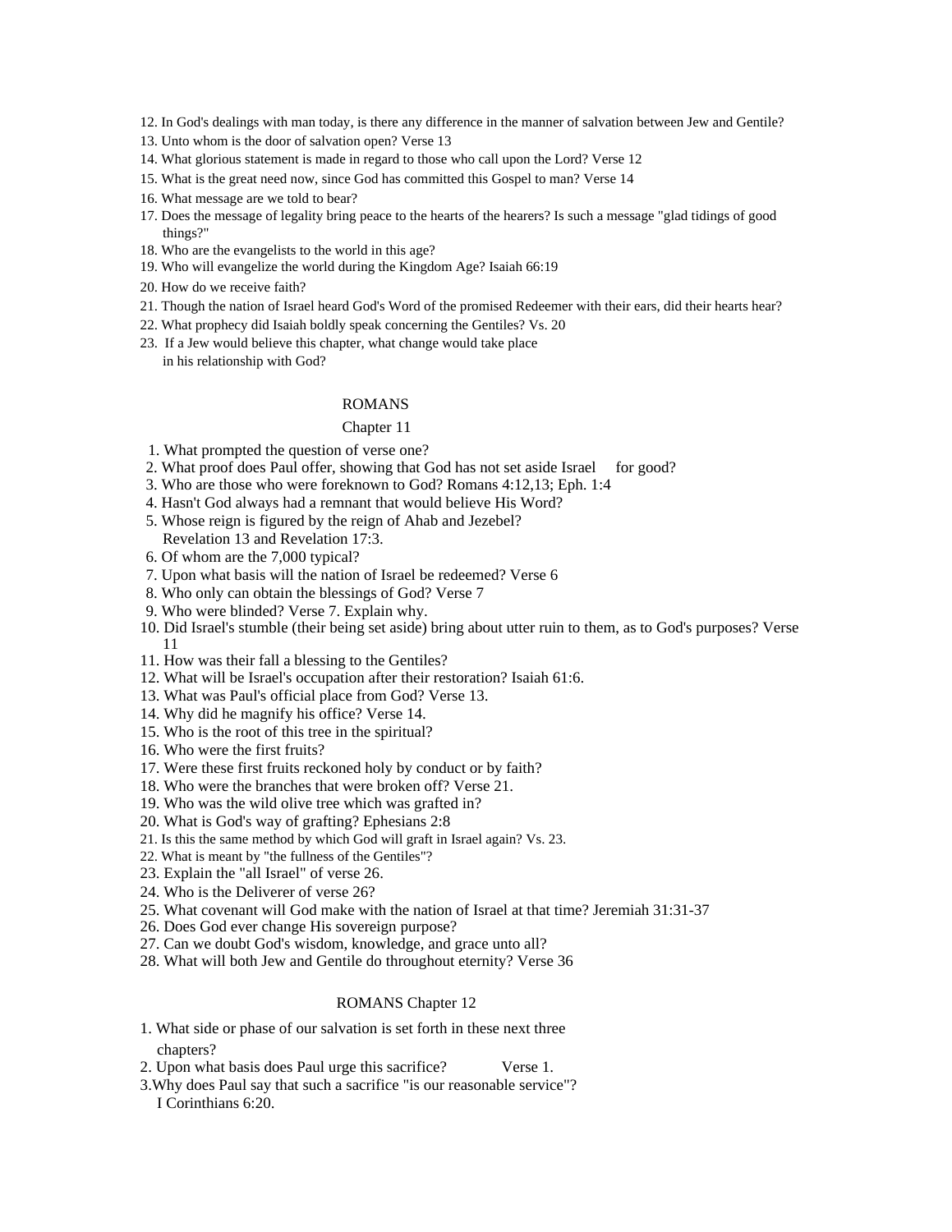- 12. In God's dealings with man today, is there any difference in the manner of salvation between Jew and Gentile?
- 13. Unto whom is the door of salvation open? Verse 13
- 14. What glorious statement is made in regard to those who call upon the Lord? Verse 12
- 15. What is the great need now, since God has committed this Gospel to man? Verse 14
- 16. What message are we told to bear?
- 17. Does the message of legality bring peace to the hearts of the hearers? Is such a message "glad tidings of good things?"
- 18. Who are the evangelists to the world in this age?
- 19. Who will evangelize the world during the Kingdom Age? Isaiah 66:19
- 20. How do we receive faith?
- 21. Though the nation of Israel heard God's Word of the promised Redeemer with their ears, did their hearts hear?
- 22. What prophecy did Isaiah boldly speak concerning the Gentiles? Vs. 20
- 23. If a Jew would believe this chapter, what change would take place in his relationship with God?

#### ROMANS **Example 20** No. 2014 12:30 No. 2014 12:30 No. 2014 12:30 No. 2014 12:30 No. 2014 12:30 No. 2014 12:30 No. 2014 12:30 No. 2014 12:30 No. 2014 12:30 No. 2014 12:30 No. 2014 12:30 No. 2014 12:30 No. 2014 12:30 No. 201

#### Chapter 11 and 200 and 200 and 200 and 200 and 200 and 200 and 200 and 200 and 200 and 200 and 200 and 200 and 200 and 200 and 200 and 200 and 200 and 200 and 200 and 200 and 200 and 200 and 200 and 200 and 200 and 200 and

- 1. What prompted the question of verse one?
- 2. What proof does Paul offer, showing that God has not set aside Israel for good?
- 3. Who are those who were foreknown to God? Romans 4:12,13; Eph. 1:4
- 4. Hasn't God always had a remnant that would believe His Word?
- 5. Whose reign is figured by the reign of Ahab and Jezebel? Revelation 13 and Revelation 17:3.
- 6. Of whom are the 7,000 typical?
- 7. Upon what basis will the nation of Israel be redeemed? Verse 6
- 8. Who only can obtain the blessings of God? Verse 7
- 9. Who were blinded? Verse 7. Explain why.
- 10. Did Israel's stumble (their being set aside) bring about utter ruin to them, as to God's purposes? Verse 11
- 11. How was their fall a blessing to the Gentiles?
- 12. What will be Israel's occupation after their restoration? Isaiah 61:6.
- 13. What was Paul's official place from God? Verse 13.
- 14. Why did he magnify his office? Verse 14.
- 15. Who is the root of this tree in the spiritual?
- 16. Who were the first fruits?
- 17. Were these first fruits reckoned holy by conduct or by faith?
- 18. Who were the branches that were broken off? Verse 21.
- 19. Who was the wild olive tree which was grafted in?
- 20. What is God's way of grafting? Ephesians 2:8
- 21. Is this the same method by which God will graft in Israel again? Vs. 23.
- 22. What is meant by "the fullness of the Gentiles"?
- 23. Explain the "all Israel" of verse 26.
- 24. Who is the Deliverer of verse 26?
- 25. What covenant will God make with the nation of Israel at that time? Jeremiah 31:31-37
- 26. Does God ever change His sovereign purpose?
- 27. Can we doubt God's wisdom, knowledge, and grace unto all?
- 28. What will both Jew and Gentile do throughout eternity? Verse 36

#### ROMANS Chapter 12 **Example 2** and 2 and 2 and 2 and 2 and 2 and 2 and 2 and 2 and 2 and 2 and 2 and 2 and 2 and 2 and 2 and 2 and 2 and 2 and 2 and 2 and 2 and 2 and 2 and 2 and 2 and 2 and 2 and 2 and 2 and 2 and 2 and 2

- 1. What side or phase of our salvation is set forth in these next three chapters?
- 2. Upon what basis does Paul urge this sacrifice? Verse 1.
- 3.Why does Paul say that such a sacrifice "is our reasonable service"? I Corinthians 6:20.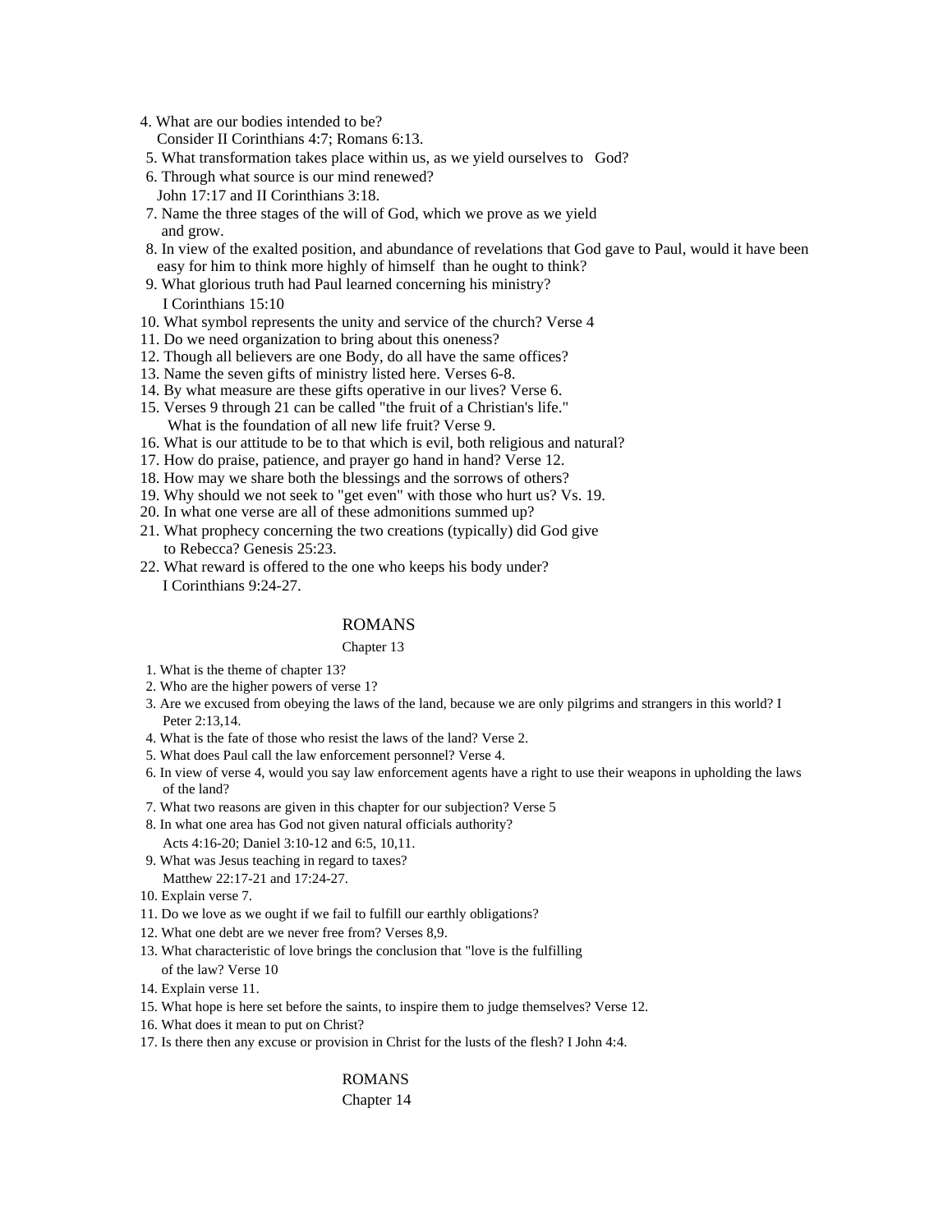- 4. What are our bodies intended to be?
	- Consider II Corinthians 4:7; Romans 6:13.
- 5. What transformation takes place within us, as we yield ourselves to God?
- 6. Through what source is our mind renewed? John 17:17 and II Corinthians 3:18.
- 7. Name the three stages of the will of God, which we prove as we yield and grow.
- 8. In view of the exalted position, and abundance of revelations that God gave to Paul, would it have been easy for him to think more highly of himself than he ought to think?
- 9. What glorious truth had Paul learned concerning his ministry? I Corinthians 15:10
- 10. What symbol represents the unity and service of the church? Verse 4
- 11. Do we need organization to bring about this oneness?
- 12. Though all believers are one Body, do all have the same offices?
- 13. Name the seven gifts of ministry listed here. Verses 6-8.
- 14. By what measure are these gifts operative in our lives? Verse 6.
- 15. Verses 9 through 21 can be called "the fruit of a Christian's life." What is the foundation of all new life fruit? Verse 9.
- 16. What is our attitude to be to that which is evil, both religious and natural?
- 17. How do praise, patience, and prayer go hand in hand? Verse 12.
- 18. How may we share both the blessings and the sorrows of others?
- 19. Why should we not seek to "get even" with those who hurt us? Vs. 19.
- 20. In what one verse are all of these admonitions summed up?
- 21. What prophecy concerning the two creations (typically) did God give to Rebecca? Genesis 25:23.
- 22. What reward is offered to the one who keeps his body under? I Corinthians 9:24-27.

# ROMANS

#### Chapter 13

- 1. What is the theme of chapter 13?
- 2. Who are the higher powers of verse 1?
- 3. Are we excused from obeying the laws of the land, because we are only pilgrims and strangers in this world? I Peter 2:13,14.
- 4. What is the fate of those who resist the laws of the land? Verse 2.
- 5. What does Paul call the law enforcement personnel? Verse 4.
- 6. In view of verse 4, would you say law enforcement agents have a right to use their weapons in upholding the laws of the land?
- 7. What two reasons are given in this chapter for our subjection? Verse 5
- 8. In what one area has God not given natural officials authority? Acts 4:16-20; Daniel 3:10-12 and 6:5, 10,11.
- 9. What was Jesus teaching in regard to taxes?
- Matthew 22:17-21 and 17:24-27.
- 10. Explain verse 7.
- 11. Do we love as we ought if we fail to fulfill our earthly obligations?
- 12. What one debt are we never free from? Verses 8,9.
- 13. What characteristic of love brings the conclusion that "love is the fulfilling of the law? Verse 10
- 14. Explain verse 11.
- 15. What hope is here set before the saints, to inspire them to judge themselves? Verse 12.
- 16. What does it mean to put on Christ?
- 17. Is there then any excuse or provision in Christ for the lusts of the flesh? I John 4:4.

# ROMANS **Example 20** No. 2014 12:30 and 20 No. 2014 2015 2016 2017 2018 2019 2017 2018 2019 2017 2018 2017 2018 2017 2018 2017 2018 2017 2018 2017 2018 2017 2018 2017 2018 2017 2018 2017 2018 2017 2018 2017 2018 2017 2018 2 Chapter 14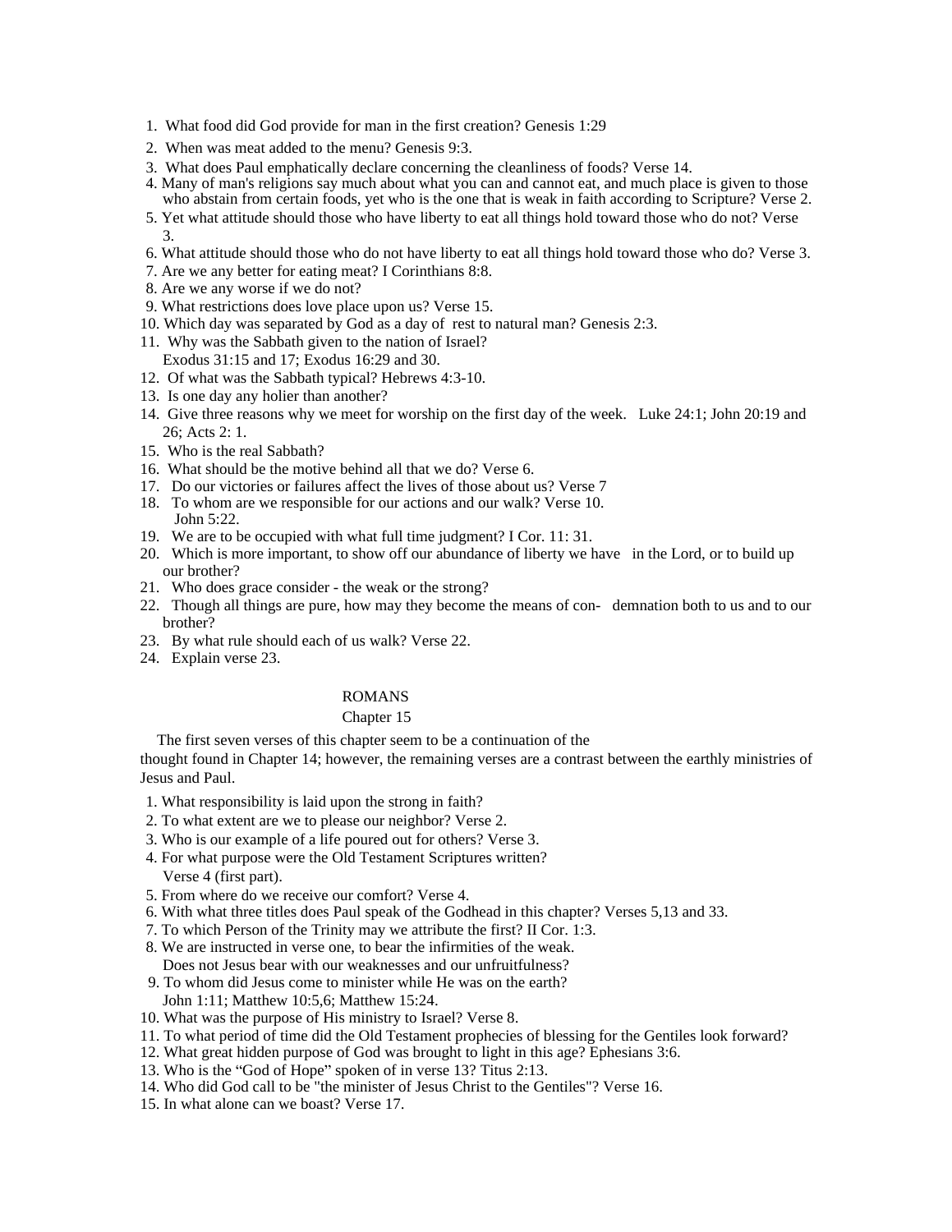- 1. What food did God provide for man in the first creation? Genesis 1:29
- 2. When was meat added to the menu? Genesis 9:3.
- 3. What does Paul emphatically declare concerning the cleanliness of foods? Verse 14.
- 4. Many of man's religions say much about what you can and cannot eat, and much place is given to those who abstain from certain foods, yet who is the one that is weak in faith according to Scripture? Verse 2.
- 5. Yet what attitude should those who have liberty to eat all things hold toward those who do not? Verse  $3.$
- 6. What attitude should those who do not have liberty to eat all things hold toward those who do? Verse 3.
- 7. Are we any better for eating meat? I Corinthians 8:8.
- 8. Are we any worse if we do not?
- 9. What restrictions does love place upon us? Verse 15.
- 10. Which day was separated by God as a day of rest to natural man? Genesis 2:3.
- 11. Why was the Sabbath given to the nation of Israel? Exodus 31:15 and 17; Exodus 16:29 and 30.
- 12. Of what was the Sabbath typical? Hebrews 4:3-10.
- 13. Is one day any holier than another?
- 14. Give three reasons why we meet for worship on the first day of the week. Luke 24:1; John 20:19 and 26; Acts 2: 1.
- 15. Who is the real Sabbath?
- 16. What should be the motive behind all that we do? Verse 6.
- 17. Do our victories or failures affect the lives of those about us? Verse 7
- 18. To whom are we responsible for our actions and our walk? Verse 10. John 5:22.
- 19. We are to be occupied with what full time judgment? I Cor. 11: 31.
- 20. Which is more important, to show off our abundance of liberty we have in the Lord, or to build up our brother?
- 21. Who does grace consider the weak or the strong?
- 22. Though all things are pure, how may they become the means of con- demnation both to us and to our brother?
- 23. By what rule should each of us walk? Verse 22.
- 24. Explain verse 23.

# ROMANS **Example 20** No. 2014 12:30 and 20 No. 2014 2015 2016 2017 2018 2019 2017 2018 2019 2017 2018 2017 2018 2017 2018 2017 2018 2017 2018 2017 2018 2017 2018 2017 2018 2017 2018 2017 2018 2017 2018 2017 2018 2017 2018 2

# Chapter 15 and 200 and 200 and 200 and 200 and 200 and 200 and 200 and 200 and 200 and 200 and 200 and 200 and 200 and 200 and 200 and 200 and 200 and 200 and 200 and 200 and 200 and 200 and 200 and 200 and 200 and 200 and

The first seven verses of this chapter seem to be a continuation of the

thought found in Chapter 14; however, the remaining verses are a contrast between the earthly ministries of Jesus and Paul.

- 1. What responsibility is laid upon the strong in faith?
- 2. To what extent are we to please our neighbor? Verse 2.
- 3. Who is our example of a life poured out for others? Verse 3.
- 4. For what purpose were the Old Testament Scriptures written? Verse 4 (first part).
- 5. From where do we receive our comfort? Verse 4.
- 6. With what three titles does Paul speak of the Godhead in this chapter? Verses 5,13 and 33.
- 7. To which Person of the Trinity may we attribute the first? II Cor. 1:3.
- 8. We are instructed in verse one, to bear the infirmities of the weak. Does not Jesus bear with our weaknesses and our unfruitfulness?
- 9. To whom did Jesus come to minister while He was on the earth? John 1:11; Matthew 10:5,6; Matthew 15:24.
- 10. What was the purpose of His ministry to Israel? Verse 8.
- 11. To what period of time did the Old Testament prophecies of blessing for the Gentiles look forward?
- 12. What great hidden purpose of God was brought to light in this age? Ephesians 3:6.
- 13. Who is the "God of Hope" spoken of in verse 13? Titus 2:13.
- 14. Who did God call to be "the minister of Jesus Christ to the Gentiles"? Verse 16.
- 15. In what alone can we boast? Verse 17.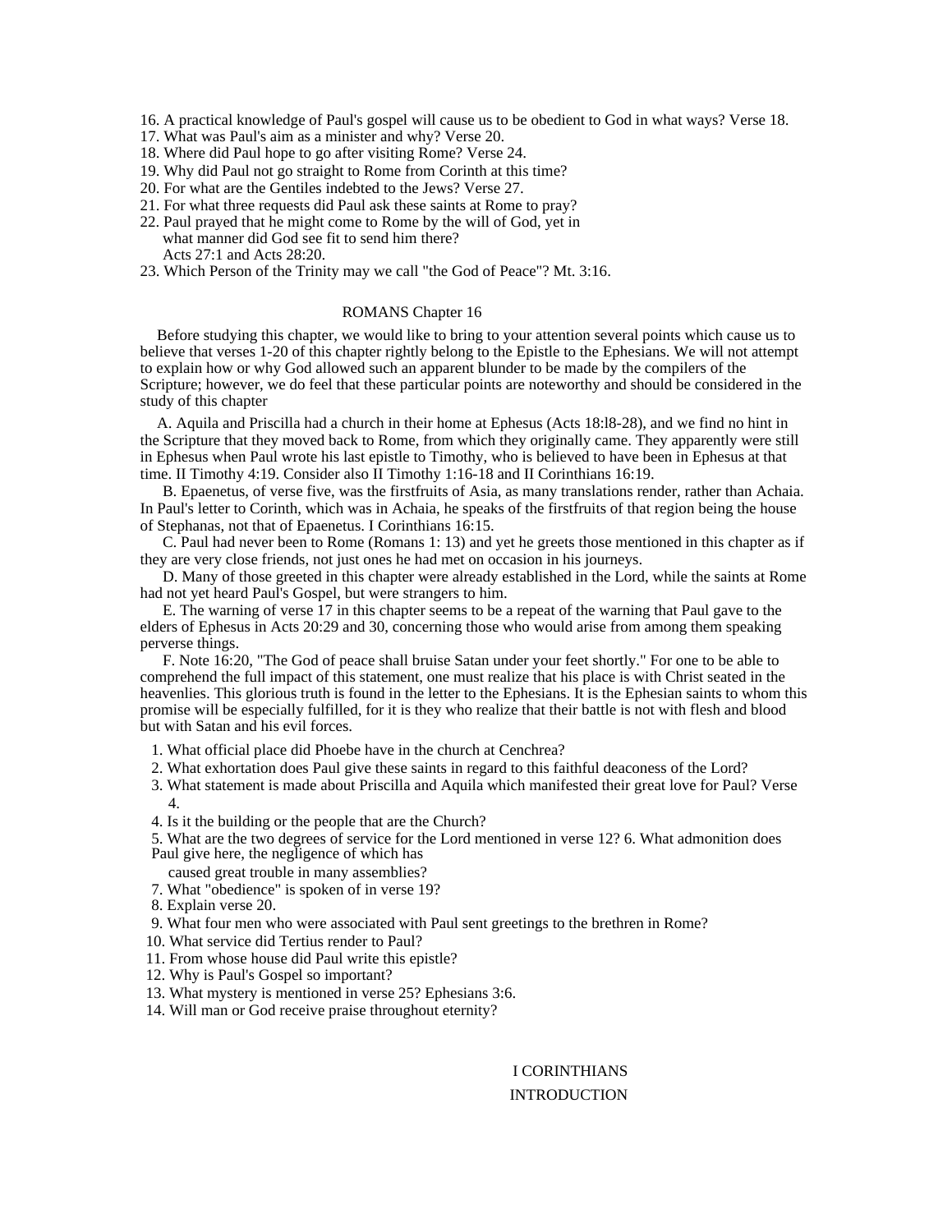- 16. A practical knowledge of Paul's gospel will cause us to be obedient to God in what ways? Verse 18.
- 17. What was Paul's aim as a minister and why? Verse 20.
- 18. Where did Paul hope to go after visiting Rome? Verse 24.
- 19. Why did Paul not go straight to Rome from Corinth at this time?
- 20. For what are the Gentiles indebted to the Jews? Verse 27.
- 21. For what three requests did Paul ask these saints at Rome to pray?
- 22. Paul prayed that he might come to Rome by the will of God, yet in what manner did God see fit to send him there? Acts 27:1 and Acts 28:20.
- 23. Which Person of the Trinity may we call "the God of Peace"? Mt. 3:16.

#### ROMANS Chapter 16 and 16 and 16 and 16 and 16 and 16 and 16 and 16 and 16 and 16 and 16 and 16 and 16 and 16 and 16 and 16 and 16 and 16 and 16 and 16 and 16 and 16 and 16 and 16 and 16 and 16 and 16 and 16 and 16 and 16 a

Before studying this chapter, we would like to bring to your attention several points which cause us to believe that verses 1-20 of this chapter rightly belong to the Epistle to the Ephesians. We will not attempt to explain how or why God allowed such an apparent blunder to be made by the compilers of the Scripture; however, we do feel that these particular points are noteworthy and should be considered in the study of this chapter

A. Aquila and Priscilla had a church in their home at Ephesus (Acts 18:l8-28), and we find no hint in the Scripture that they moved back to Rome, from which they originally came. They apparently were still in Ephesus when Paul wrote his last epistle to Timothy, who is believed to have been in Ephesus at that time. II Timothy 4:19. Consider also II Timothy 1:16-18 and II Corinthians 16:19.

B. Epaenetus, of verse five, was the firstfruits of Asia, as many translations render, rather than Achaia. In Paul's letter to Corinth, which was in Achaia, he speaks of the firstfruits of that region being the house of Stephanas, not that of Epaenetus. I Corinthians 16:15.

C. Paul had never been to Rome (Romans 1: 13) and yet he greets those mentioned in this chapter as if they are very close friends, not just ones he had met on occasion in his journeys.

D. Many of those greeted in this chapter were already established in the Lord, while the saints at Rome had not yet heard Paul's Gospel, but were strangers to him.

E. The warning of verse 17 in this chapter seems to be a repeat of the warning that Paul gave to the elders of Ephesus in Acts 20:29 and 30, concerning those who would arise from among them speaking perverse things.

F. Note 16:20, "The God of peace shall bruise Satan under your feet shortly." For one to be able to comprehend the full impact of this statement, one must realize that his place is with Christ seated in the heavenlies. This glorious truth is found in the letter to the Ephesians. It is the Ephesian saints to whom this promise will be especially fulfilled, for it is they who realize that their battle is not with flesh and blood but with Satan and his evil forces.

1. What official place did Phoebe have in the church at Cenchrea?

- 2. What exhortation does Paul give these saints in regard to this faithful deaconess of the Lord?
- 3. What statement is made about Priscilla and Aquila which manifested their great love for Paul? Verse 4.
- 4. Is it the building or the people that are the Church?

5. What are the two degrees of service for the Lord mentioned in verse 12? 6. What admonition does Paul give here, the negligence of which has

- caused great trouble in many assemblies?
- 7. What "obedience" is spoken of in verse 19?
- 8. Explain verse 20.

9. What four men who were associated with Paul sent greetings to the brethren in Rome?

- 10. What service did Tertius render to Paul?
- 11. From whose house did Paul write this epistle?
- 12. Why is Paul's Gospel so important?
- 13. What mystery is mentioned in verse 25? Ephesians 3:6.
- 14. Will man or God receive praise throughout eternity?

# I CORINTHIANS INTRODUCTION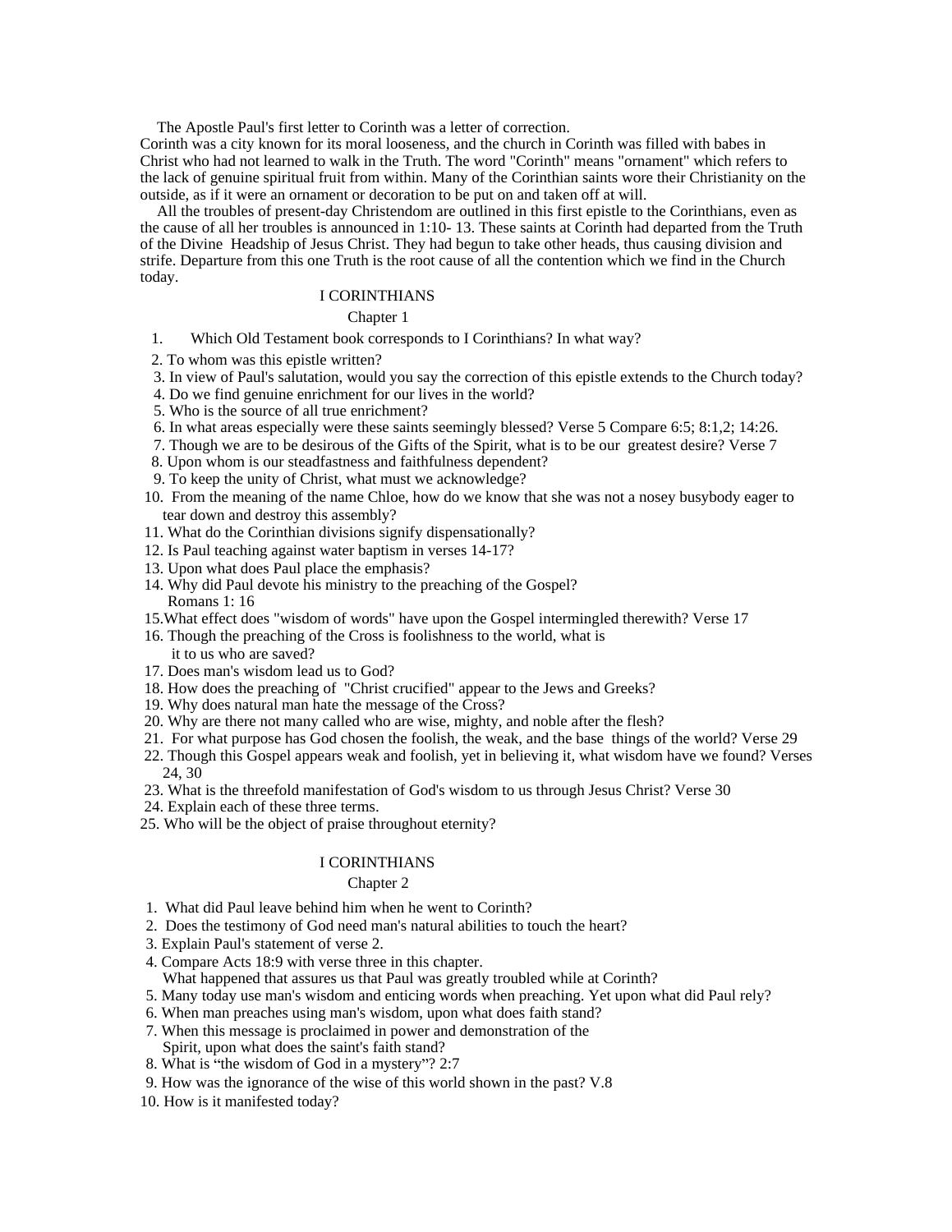The Apostle Paul's first letter to Corinth was a letter of correction.

Corinth was a city known for its moral looseness, and the church in Corinth was filled with babes in Christ who had not learned to walk in the Truth. The word "Corinth" means "ornament" which refers to the lack of genuine spiritual fruit from within. Many of the Corinthian saints wore their Christianity on the outside, as if it were an ornament or decoration to be put on and taken off at will.

All the troubles of present-day Christendom are outlined in this first epistle to the Corinthians, even as the cause of all her troubles is announced in 1:10- 13. These saints at Corinth had departed from the Truth of the Divine Headship of Jesus Christ. They had begun to take other heads, thus causing division and strife. Departure from this one Truth is the root cause of all the contention which we find in the Church today.

## I CORINTHIANS

#### Chapter 1 and 200 and 200 and 200 and 200 and 200 and 200 and 200 and 200 and 200 and 200 and 200 and 200 and 200 and 200 and 200 and 200 and 200 and 200 and 200 and 200 and 200 and 200 and 200 and 200 and 200 and 200 and

- 1. Which Old Testament book corresponds to I Corinthians? In what way?
- 2. To whom was this epistle written?
- 3. In view of Paul's salutation, would you say the correction of this epistle extends to the Church today?
- 4. Do we find genuine enrichment for our lives in the world?
- 5. Who is the source of all true enrichment?
- 6. In what areas especially were these saints seemingly blessed? Verse 5 Compare 6:5; 8:1,2; 14:26.
- 7. Though we are to be desirous of the Gifts of the Spirit, what is to be our greatest desire? Verse 7
- 8. Upon whom is our steadfastness and faithfulness dependent?
- 9. To keep the unity of Christ, what must we acknowledge?
- 10. From the meaning of the name Chloe, how do we know that she was not a nosey busybody eager to tear down and destroy this assembly?
- 11. What do the Corinthian divisions signify dispensationally?
- 12. Is Paul teaching against water baptism in verses 14-17?
- 13. Upon what does Paul place the emphasis?
- 14. Why did Paul devote his ministry to the preaching of the Gospel? Romans 1: 16
- 15.What effect does "wisdom of words" have upon the Gospel intermingled therewith? Verse 17
- 16. Though the preaching of the Cross is foolishness to the world, what is it to us who are saved? it to us who are saved?
- 17. Does man's wisdom lead us to God?
- 18. How does the preaching of "Christ crucified" appear to the Jews and Greeks?
- 19. Why does natural man hate the message of the Cross?
- 20. Why are there not many called who are wise, mighty, and noble after the flesh?
- 21. For what purpose has God chosen the foolish, the weak, and the base things of the world? Verse 29
- 22. Though this Gospel appears weak and foolish, yet in believing it, what wisdom have we found? Verses 24, 30
- 23. What is the threefold manifestation of God's wisdom to us through Jesus Christ? Verse 30
- 24. Explain each of these three terms.
- 25. Who will be the object of praise throughout eternity?

#### I CORINTHIANS

#### Chapter 2 and 2 and 2 and 2 and 2 and 2 and 2 and 2 and 2 and 2 and 2 and 2 and 2 and 2 and 2 and 2 and 2 and 2 and 2 and 2 and 2 and 2 and 2 and 2 and 2 and 2 and 2 and 2 and 2 and 2 and 2 and 2 and 2 and 2 and 2 and 2 an

- 1. What did Paul leave behind him when he went to Corinth?
- 2. Does the testimony of God need man's natural abilities to touch the heart?
- 3. Explain Paul's statement of verse 2.
- 4. Compare Acts 18:9 with verse three in this chapter.
- What happened that assures us that Paul was greatly troubled while at Corinth?
- 5. Many today use man's wisdom and enticing words when preaching. Yet upon what did Paul rely?
- 6. When man preaches using man's wisdom, upon what does faith stand?
- 7. When this message is proclaimed in power and demonstration of the
- Spirit, upon what does the saint's faith stand?
- 8. What is "the wisdom of God in a mystery"? 2:7
- 9. How was the ignorance of the wise of this world shown in the past? V.8
- 10. How is it manifested today?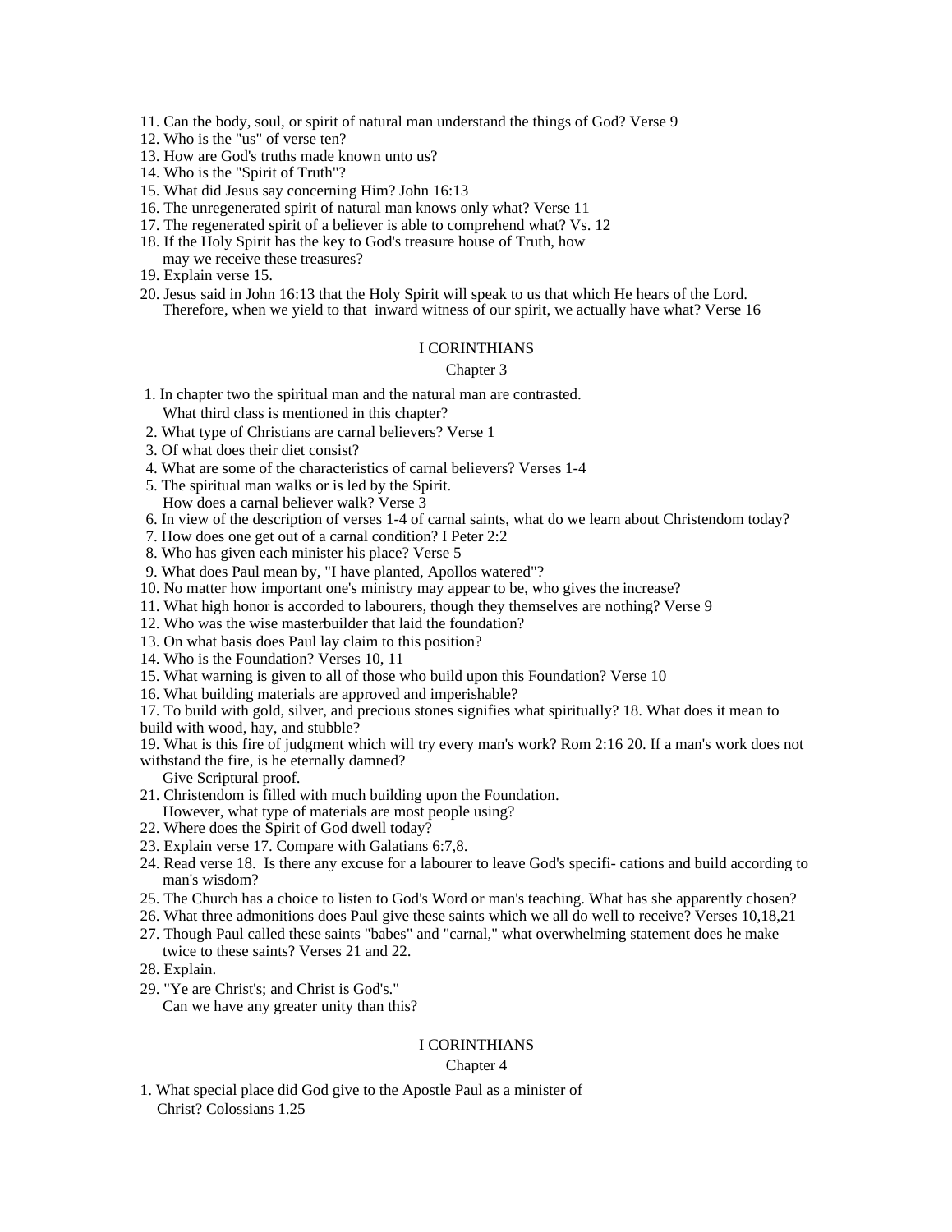11. Can the body, soul, or spirit of natural man understand the things of God? Verse 9 12. Who is the "us" of verse ten?

- 12. Who is the "us" of verse ten?
- 13. How are God's truths made known unto us?
- 14. Who is the "Spirit of Truth"?
- 15. What did Jesus say concerning Him? John 16:13
- 16. The unregenerated spirit of natural man knows only what? Verse 11
- 17. The regenerated spirit of a believer is able to comprehend what? Vs. 12
- 18. If the Holy Spirit has the key to God's treasure house of Truth, how
- may we receive these treasures?
- 19. Explain verse 15.
- 20. Jesus said in John 16:13 that the Holy Spirit will speak to us that which He hears of the Lord. Therefore, when we yield to that inward witness of our spirit, we actually have what? Verse 16

#### I CORINTHIANS

#### Chapter 3

- 1. In chapter two the spiritual man and the natural man are contrasted. What third class is mentioned in this chapter?
- 2. What type of Christians are carnal believers? Verse 1
- 3. Of what does their diet consist?
- 4. What are some of the characteristics of carnal believers? Verses 1-4
- 5. The spiritual man walks or is led by the Spirit.
- How does a carnal believer walk? Verse 3
- 6. In view of the description of verses 1-4 of carnal saints, what do we learn about Christendom today?
- 7. How does one get out of a carnal condition? I Peter 2:2
- 8. Who has given each minister his place? Verse 5
- 9. What does Paul mean by, "I have planted, Apollos watered"?
- 10. No matter how important one's ministry may appear to be, who gives the increase?
- 11. What high honor is accorded to labourers, though they themselves are nothing? Verse 9
- 12. Who was the wise masterbuilder that laid the foundation?
- 13. On what basis does Paul lay claim to this position?
- 14. Who is the Foundation? Verses 10, 11
- 15. What warning is given to all of those who build upon this Foundation? Verse 10
- 16. What building materials are approved and imperishable?
- 17. To build with gold, silver, and precious stones signifies what spiritually? 18. What does it mean to build with wood, hay, and stubble?

19. What is this fire of judgment which will try every man's work? Rom 2:16 20. If a man's work does not withstand the fire, is he eternally damned?

Give Scriptural proof.

- 21. Christendom is filled with much building upon the Foundation. However, what type of materials are most people using?
- 22. Where does the Spirit of God dwell today?
- 23. Explain verse 17. Compare with Galatians 6:7,8.
- 24. Read verse 18. Is there any excuse for a labourer to leave God's specifi- cations and build according to man's wisdom?
- 25. The Church has a choice to listen to God's Word or man's teaching. What has she apparently chosen?
- 26. What three admonitions does Paul give these saints which we all do well to receive? Verses 10,18,21
- 27. Though Paul called these saints "babes" and "carnal," what overwhelming statement does he make twice to these saints? Verses 21 and 22.
- 28. Explain.
- 29. "Ye are Christ's; and Christ is God's." Can we have any greater unity than this?

#### I CORINTHIANS

#### Chapter 4 and 2008 and 2008 and 2008 and 2008 and 2008 and 2008 and 2008 and 2008 and 2008 and 2008 and 2008 and 2008 and 2008 and 2008 and 2008 and 2008 and 2008 and 2008 and 2008 and 2008 and 2008 and 2008 and 2008 and 2

1. What special place did God give to the Apostle Paul as a minister of Christ? Colossians 1.25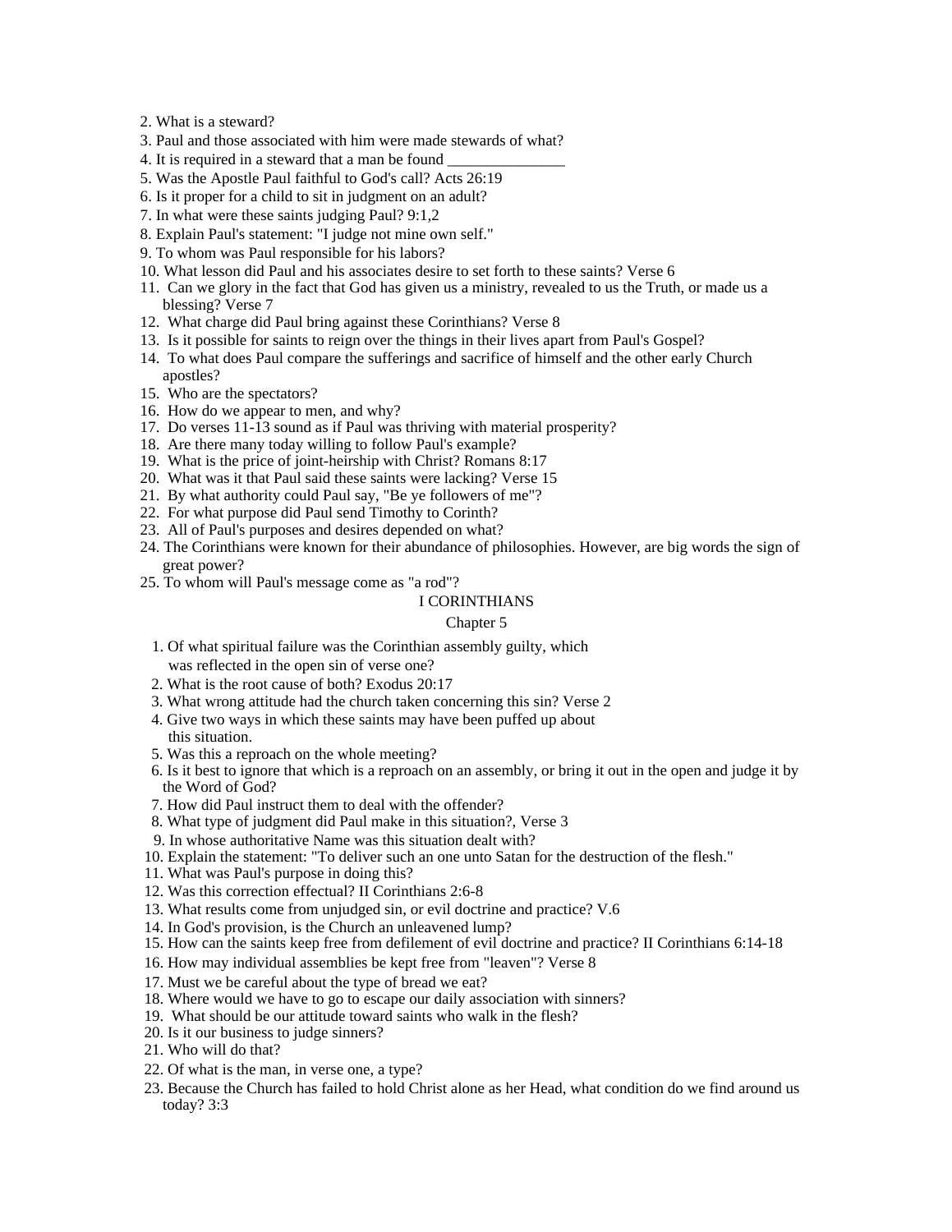2. What is a steward?

- 3. Paul and those associated with him were made stewards of what?
- 4. It is required in a steward that a man be found
- 5. Was the Apostle Paul faithful to God's call? Acts 26:19
- 6. Is it proper for a child to sit in judgment on an adult?
- 7. In what were these saints judging Paul? 9:1,2
- 8. Explain Paul's statement: "I judge not mine own self."
- 9. To whom was Paul responsible for his labors?
- 10. What lesson did Paul and his associates desire to set forth to these saints? Verse 6
- 11. Can we glory in the fact that God has given us a ministry, revealed to us the Truth, or made us a blessing? Verse 7
- 12. What charge did Paul bring against these Corinthians? Verse 8
- 13. Is it possible for saints to reign over the things in their lives apart from Paul's Gospel?
- 14. To what does Paul compare the sufferings and sacrifice of himself and the other early Church apostles?
- 15. Who are the spectators?
- 16. How do we appear to men, and why?
- 17. Do verses 11-13 sound as if Paul was thriving with material prosperity?
- 18. Are there many today willing to follow Paul's example?
- 19. What is the price of joint-heirship with Christ? Romans 8:17
- 20. What was it that Paul said these saints were lacking? Verse 15
- 21. By what authority could Paul say, "Be ye followers of me"?
- 22. For what purpose did Paul send Timothy to Corinth?
- 23. All of Paul's purposes and desires depended on what?
- 24. The Corinthians were known for their abundance of philosophies. However, are big words the sign of great power?
- 25. To whom will Paul's message come as "a rod"?

#### I CORINTHIANS

#### Chapter 5 and 200 meters of the contract of the contract of the contract of the contract of the contract of the contract of the contract of the contract of the contract of the contract of the contract of the contract of th

- 1. Of what spiritual failure was the Corinthian assembly guilty, which was reflected in the open sin of verse one?
- 2. What is the root cause of both? Exodus 20:17
- 3. What wrong attitude had the church taken concerning this sin? Verse 2
- 4. Give two ways in which these saints may have been puffed up about this situation.
- 5. Was this a reproach on the whole meeting?
- 6. Is it best to ignore that which is a reproach on an assembly, or bring it out in the open and judge it by the Word of God?
- 7. How did Paul instruct them to deal with the offender?
- 8. What type of judgment did Paul make in this situation?, Verse 3
- 9. In whose authoritative Name was this situation dealt with?
- 10. Explain the statement: "To deliver such an one unto Satan for the destruction of the flesh."
- 11. What was Paul's purpose in doing this?
- 12. Was this correction effectual? II Corinthians 2:6-8
- 13. What results come from unjudged sin, or evil doctrine and practice? V.6
- 14. In God's provision, is the Church an unleavened lump?
- 15. How can the saints keep free from defilement of evil doctrine and practice? II Corinthians 6:14-18
- 16. How may individual assemblies be kept free from "leaven"? Verse 8
- 17. Must we be careful about the type of bread we eat?
- 18. Where would we have to go to escape our daily association with sinners?
- 19. What should be our attitude toward saints who walk in the flesh?
- 20. Is it our business to judge sinners?
- 21. Who will do that?
- 22. Of what is the man, in verse one, a type?
- 23. Because the Church has failed to hold Christ alone as her Head, what condition do we find around us today? 3:3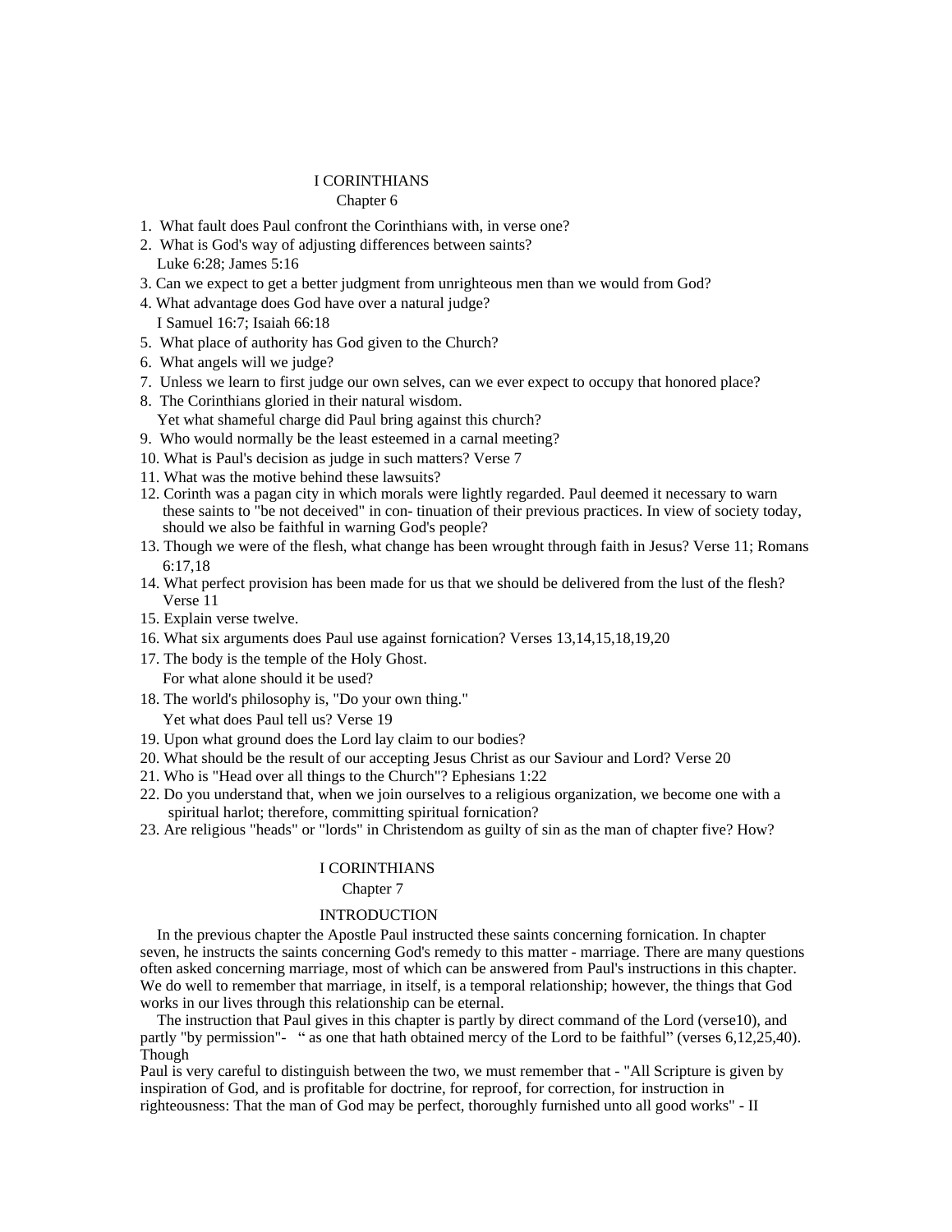#### Chapter 6 and 200 and 200 and 200 and 200 and 200 and 200 and 200 and 200 and 200 and 200 and 200 and 200 and 200 and 200 and 200 and 200 and 200 and 200 and 200 and 200 and 200 and 200 and 200 and 200 and 200 and 200 and

- 1. What fault does Paul confront the Corinthians with, in verse one?
- 2. What is God's way of adjusting differences between saints? Luke 6:28; James 5:16
- 3. Can we expect to get a better judgment from unrighteous men than we would from God?
- 4. What advantage does God have over a natural judge? I Samuel 16:7; Isaiah 66:18
- 5. What place of authority has God given to the Church?
- 6. What angels will we judge?
- 7. Unless we learn to first judge our own selves, can we ever expect to occupy that honored place?
- 8. The Corinthians gloried in their natural wisdom. Yet what shameful charge did Paul bring against this church?
- 9. Who would normally be the least esteemed in a carnal meeting?
- 10. What is Paul's decision as judge in such matters? Verse 7
- 11. What was the motive behind these lawsuits?
- 12. Corinth was a pagan city in which morals were lightly regarded. Paul deemed it necessary to warn these saints to "be not deceived" in con- tinuation of their previous practices. In view of society today, should we also be faithful in warning God's people?
- 13. Though we were of the flesh, what change has been wrought through faith in Jesus? Verse 11; Romans 6:17,18
- 14. What perfect provision has been made for us that we should be delivered from the lust of the flesh? Verse 11
- 15. Explain verse twelve.
- 16. What six arguments does Paul use against fornication? Verses 13,14,15,18,19,20
- 17. The body is the temple of the Holy Ghost.

For what alone should it be used?

18. The world's philosophy is, "Do your own thing."

Yet what does Paul tell us? Verse 19

- 19. Upon what ground does the Lord lay claim to our bodies?
- 20. What should be the result of our accepting Jesus Christ as our Saviour and Lord? Verse 20
- 21. Who is "Head over all things to the Church"? Ephesians 1:22
- 22. Do you understand that, when we join ourselves to a religious organization, we become one with a spiritual harlot; therefore, committing spiritual fornication?
- 23. Are religious "heads" or "lords" in Christendom as guilty of sin as the man of chapter five? How?

#### I CORINTHIANS

#### Chapter 7 and 2008 and 2008 and 2008 and 2008 and 2008 and 2008 and 2008 and 2008 and 2008 and 2008 and 2008 and 2008 and 2008 and 2008 and 2008 and 2008 and 2008 and 2008 and 2008 and 2008 and 2008 and 2008 and 2008 and 2

# INTRODUCTION

In the previous chapter the Apostle Paul instructed these saints concerning fornication. In chapter seven, he instructs the saints concerning God's remedy to this matter - marriage. There are many questions often asked concerning marriage, most of which can be answered from Paul's instructions in this chapter. We do well to remember that marriage, in itself, is a temporal relationship; however, the things that God works in our lives through this relationship can be eternal.

The instruction that Paul gives in this chapter is partly by direct command of the Lord (verse10), and partly "by permission"- " as one that hath obtained mercy of the Lord to be faithful" (verses  $6,12,25,40$ ). Though

Paul is very careful to distinguish between the two, we must remember that - "All Scripture is given by inspiration of God, and is profitable for doctrine, for reproof, for correction, for instruction in righteousness: That the man of God may be perfect, thoroughly furnished unto all good works" - II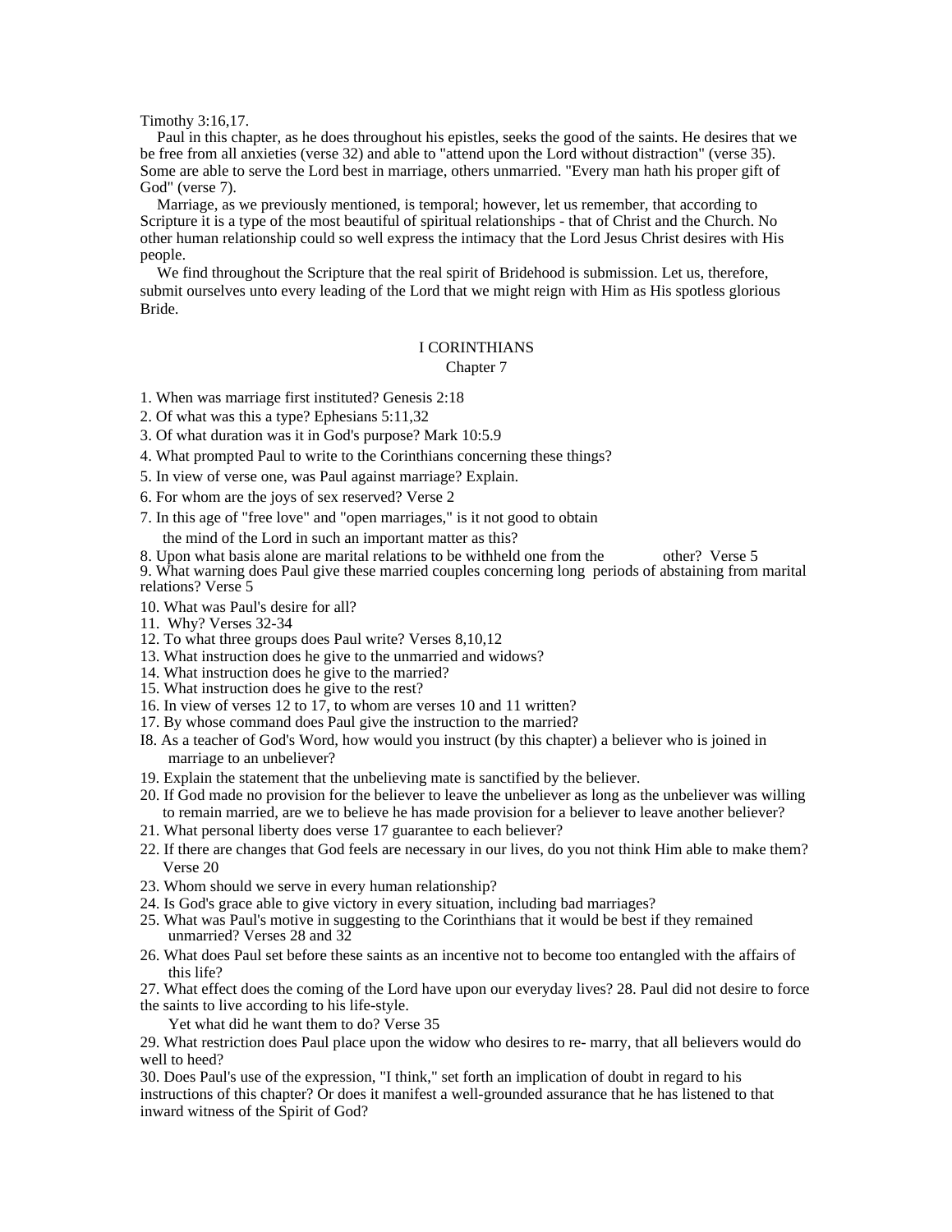Timothy 3:16,17.

Paul in this chapter, as he does throughout his epistles, seeks the good of the saints. He desires that we be free from all anxieties (verse 32) and able to "attend upon the Lord without distraction" (verse 35). Some are able to serve the Lord best in marriage, others unmarried. "Every man hath his proper gift of God" (verse 7).

Marriage, as we previously mentioned, is temporal; however, let us remember, that according to Scripture it is a type of the most beautiful of spiritual relationships - that of Christ and the Church. No other human relationship could so well express the intimacy that the Lord Jesus Christ desires with His people. The contract of the contract of the contract of the contract of the contract of the contract of the contract of the contract of the contract of the contract of the contract of the contract of the contract of the co

We find throughout the Scripture that the real spirit of Bridehood is submission. Let us, therefore, submit ourselves unto every leading of the Lord that we might reign with Him as His spotless glorious Bride.

#### I CORINTHIANS

Chapter 7 and 2008 and 2008 and 2008 and 2008 and 2008 and 2008 and 2008 and 2008 and 2008 and 2008 and 2008 and 2008 and 2008 and 2008 and 2008 and 2008 and 2008 and 2008 and 2008 and 2008 and 2008 and 2008 and 2008 and 2

1. When was marriage first instituted? Genesis 2:18

2. Of what was this a type? Ephesians 5:11,32

3. Of what duration was it in God's purpose? Mark 10:5.9

4. What prompted Paul to write to the Corinthians concerning these things?

5. In view of verse one, was Paul against marriage? Explain.

6. For whom are the joys of sex reserved? Verse 2

7. In this age of "free love" and "open marriages," is it not good to obtain

the mind of the Lord in such an important matter as this?

8. Upon what basis alone are marital relations to be withheld one from the other? Verse 5 9. What warning does Paul give these married couples concerning long periods of abstaining from marital relations? Verse 5

10. What was Paul's desire for all?

11. Why? Verses 32-34

- 12. To what three groups does Paul write? Verses 8,10,12
- 13. What instruction does he give to the unmarried and widows?
- 14. What instruction does he give to the married?
- 15. What instruction does he give to the rest?
- 16. In view of verses 12 to 17, to whom are verses 10 and 11 written?
- 17. By whose command does Paul give the instruction to the married?
- I8. As a teacher of God's Word, how would you instruct (by this chapter) a believer who is joined in marriage to an unbeliever?
- 19. Explain the statement that the unbelieving mate is sanctified by the believer.
- 20. If God made no provision for the believer to leave the unbeliever as long as the unbeliever was willing to remain married, are we to believe he has made provision for a believer to leave another believer?
- 21. What personal liberty does verse 17 guarantee to each believer?
- 22. If there are changes that God feels are necessary in our lives, do you not think Him able to make them? Verse 20
- 23. Whom should we serve in every human relationship?
- 24. Is God's grace able to give victory in every situation, including bad marriages?
- 25. What was Paul's motive in suggesting to the Corinthians that it would be best if they remained unmarried? Verses  $28$  and  $32$
- 26. What does Paul set before these saints as an incentive not to become too entangled with the affairs of this life?

27. What effect does the coming of the Lord have upon our everyday lives? 28. Paul did not desire to force the saints to live according to his life-style.

Yet what did he want them to do? Verse 35

29. What restriction does Paul place upon the widow who desires to re- marry, that all believers would do well to heed?

30. Does Paul's use of the expression, "I think," set forth an implication of doubt in regard to his instructions of this chapter? Or does it manifest a well-grounded assurance that he has listened to that inward witness of the Spirit of God?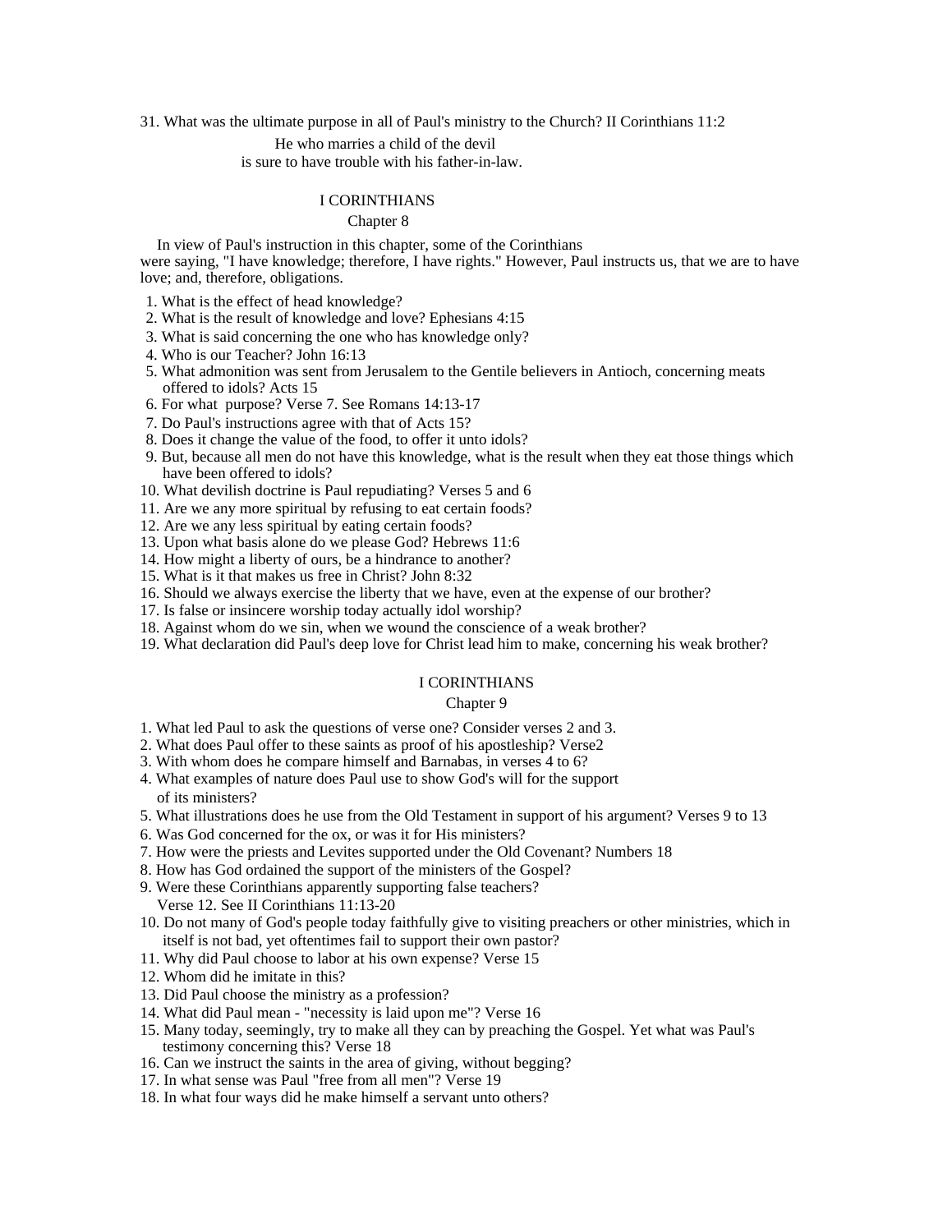31. What was the ultimate purpose in all of Paul's ministry to the Church? II Corinthians 11:2

He who marries a child of the devil

is sure to have trouble with his father-in-law.

#### I CORINTHIANS

#### Chapter 8 and 200 and 200 and 200 and 200 and 200 and 200 and 200 and 200 and 200 and 200 and 200 and 200 and 200 and 200 and 200 and 200 and 200 and 200 and 200 and 200 and 200 and 200 and 200 and 200 and 200 and 200 and

In view of Paul's instruction in this chapter, some of the Corinthians were saying, "I have knowledge; therefore, I have rights." However, Paul instructs us, that we are to have love; and, therefore, obligations.

- 1. What is the effect of head knowledge?
- 2. What is the result of knowledge and love? Ephesians 4:15
- 3. What is said concerning the one who has knowledge only?
- 4. Who is our Teacher? John 16:13
- 5. What admonition was sent from Jerusalem to the Gentile believers in Antioch, concerning meats offered to idols? Acts 15
- 6. For what purpose? Verse 7. See Romans 14:13-17
- 7. Do Paul's instructions agree with that of Acts 15?
- 8. Does it change the value of the food, to offer it unto idols?
- 9. But, because all men do not have this knowledge, what is the result when they eat those things which have been offered to idols?
- 10. What devilish doctrine is Paul repudiating? Verses 5 and 6
- 11. Are we any more spiritual by refusing to eat certain foods?
- 12. Are we any less spiritual by eating certain foods?
- 13. Upon what basis alone do we please God? Hebrews 11:6
- 14. How might a liberty of ours, be a hindrance to another?
- 15. What is it that makes us free in Christ? John 8:32
- 16. Should we always exercise the liberty that we have, even at the expense of our brother?
- 17. Is false or insincere worship today actually idol worship?
- 18. Against whom do we sin, when we wound the conscience of a weak brother?
- 19. What declaration did Paul's deep love for Christ lead him to make, concerning his weak brother?

#### I CORINTHIANS

#### Chapter 9 and 2008 and 2008 and 2008 and 2008 and 2008 and 2008 and 2008 and 2008 and 2008 and 2008 and 2008 and 2008 and 2008 and 2008 and 2008 and 2008 and 2008 and 2008 and 2008 and 2008 and 2008 and 2008 and 2008 and 2

- 1. What led Paul to ask the questions of verse one? Consider verses 2 and 3.
- 2. What does Paul offer to these saints as proof of his apostleship? Verse2
- 3. With whom does he compare himself and Barnabas, in verses 4 to 6?
- 4. What examples of nature does Paul use to show God's will for the support of its ministers?
- 5. What illustrations does he use from the Old Testament in support of his argument? Verses 9 to 13
- 6. Was God concerned for the ox, or was it for His ministers?
- 7. How were the priests and Levites supported under the Old Covenant? Numbers 18
- 8. How has God ordained the support of the ministers of the Gospel?
- 9. Were these Corinthians apparently supporting false teachers?

Verse 12. See II Corinthians 11:13-20

- 10. Do not many of God's people today faithfully give to visiting preachers or other ministries, which in itself is not bad, yet oftentimes fail to support their own pastor?
- 11. Why did Paul choose to labor at his own expense? Verse 15
- 12. Whom did he imitate in this?
- 13. Did Paul choose the ministry as a profession?
- 14. What did Paul mean "necessity is laid upon me"? Verse 16
- 15. Many today, seemingly, try to make all they can by preaching the Gospel. Yet what was Paul's testimony concerning this? Verse 18
- 16. Can we instruct the saints in the area of giving, without begging?
- 17. In what sense was Paul "free from all men"? Verse 19
- 18. In what four ways did he make himself a servant unto others?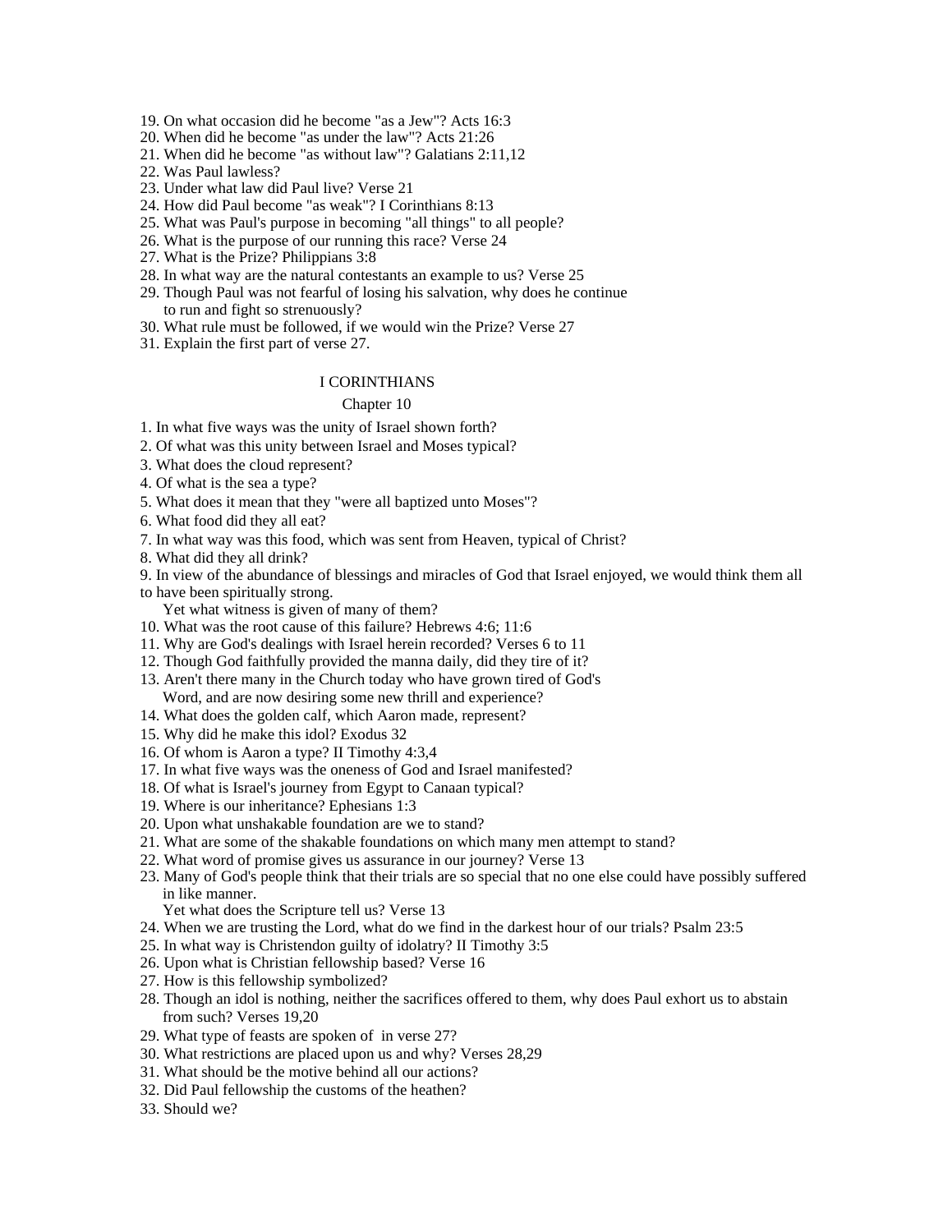19. On what occasion did he become "as a Jew"? Acts 16:3

20. When did he become "as under the law"? Acts 21:26

- 21. When did he become "as without law"? Galatians 2:11,12
- 22. Was Paul lawless?
- 23. Under what law did Paul live? Verse 21
- 24. How did Paul become "as weak"? I Corinthians 8:13
- 25. What was Paul's purpose in becoming "all things" to all people?
- 26. What is the purpose of our running this race? Verse 24
- 27. What is the Prize? Philippians 3:8
- 28. In what way are the natural contestants an example to us? Verse 25
- 29. Though Paul was not fearful of losing his salvation, why does he continue to run and fight so strenuously?
- 30. What rule must be followed, if we would win the Prize? Verse 27
- 31. Explain the first part of verse 27.

#### I CORINTHIANS

#### Chapter 10 and 200 and 200 and 200 and 200 and 200 and 200 and 200 and 200 and 200 and 200 and 200 and 200 and 200 and 200 and 200 and 200 and 200 and 200 and 200 and 200 and 200 and 200 and 200 and 200 and 200 and 200 and

1. In what five ways was the unity of Israel shown forth?

- 2. Of what was this unity between Israel and Moses typical?
- 3. What does the cloud represent?

4. Of what is the sea a type?

- 5. What does it mean that they "were all baptized unto Moses"?
- 6. What food did they all eat?
- 7. In what way was this food, which was sent from Heaven, typical of Christ?

8. What did they all drink?

- 9. In view of the abundance of blessings and miracles of God that Israel enjoyed, we would think them all to have been spiritually strong.
	- Yet what witness is given of many of them?
- 10. What was the root cause of this failure? Hebrews 4:6; 11:6
- 11. Why are God's dealings with Israel herein recorded? Verses 6 to 11
- 12. Though God faithfully provided the manna daily, did they tire of it?
- 13. Aren't there many in the Church today who have grown tired of God's Word, and are now desiring some new thrill and experience?
- 14. What does the golden calf, which Aaron made, represent?
- 15. Why did he make this idol? Exodus 32
- 16. Of whom is Aaron a type? II Timothy 4:3,4
- 17. In what five ways was the oneness of God and Israel manifested?
- 18. Of what is Israel's journey from Egypt to Canaan typical?
- 19. Where is our inheritance? Ephesians 1:3
- 20. Upon what unshakable foundation are we to stand?
- 21. What are some of the shakable foundations on which many men attempt to stand?
- 22. What word of promise gives us assurance in our journey? Verse 13
- 23. Many of God's people think that their trials are so special that no one else could have possibly suffered in like manner.
	- Yet what does the Scripture tell us? Verse 13
- 24. When we are trusting the Lord, what do we find in the darkest hour of our trials? Psalm 23:5
- 25. In what way is Christendon guilty of idolatry? II Timothy 3:5
- 26. Upon what is Christian fellowship based? Verse 16
- 27. How is this fellowship symbolized?
- 28. Though an idol is nothing, neither the sacrifices offered to them, why does Paul exhort us to abstain from such? Verses 19,20
- 29. What type of feasts are spoken of in verse 27?
- 30. What restrictions are placed upon us and why? Verses 28,29
- 31. What should be the motive behind all our actions?
- 32. Did Paul fellowship the customs of the heathen?
- 33. Should we?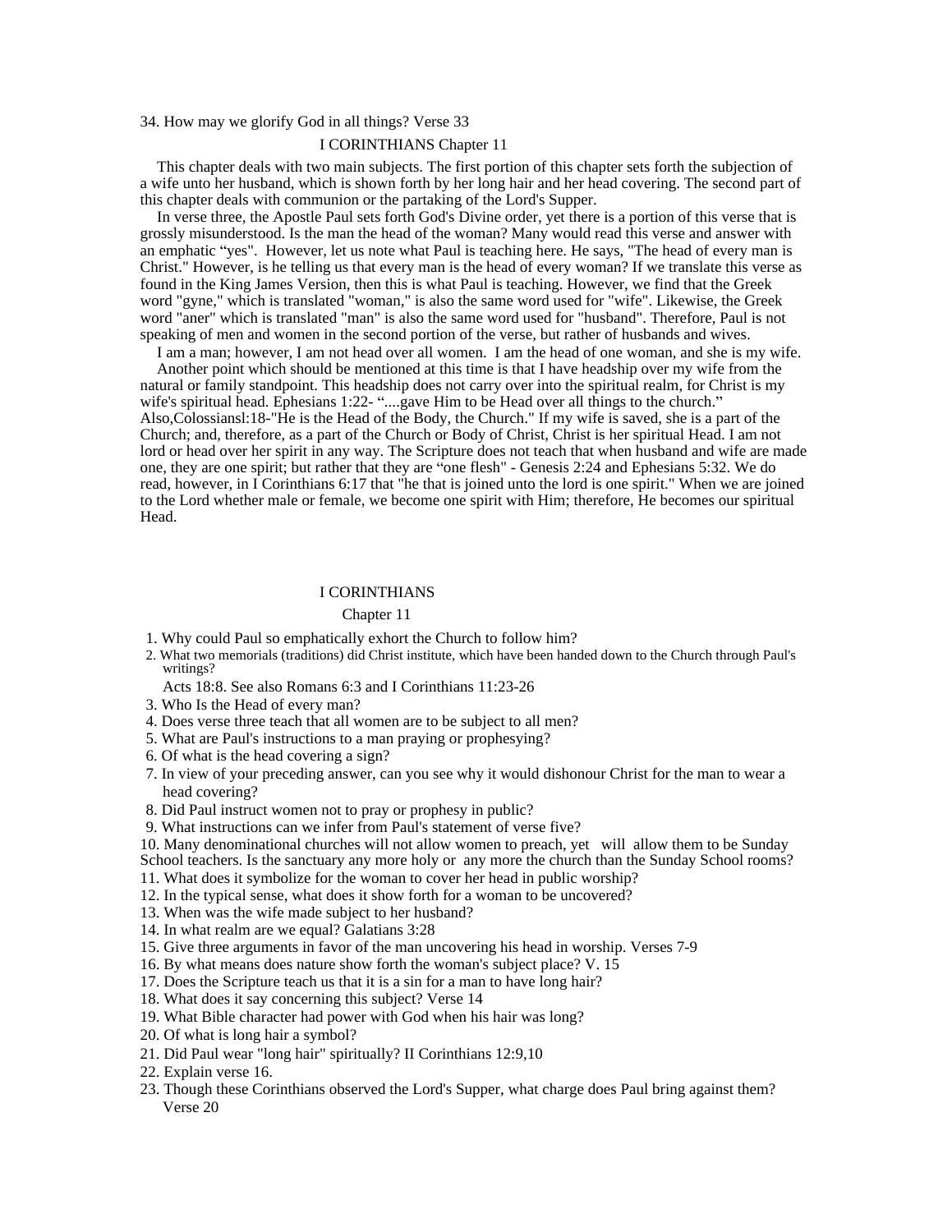34. How may we glorify God in all things? Verse 33

#### I CORINTHIANS Chapter 11

This chapter deals with two main subjects. The first portion of this chapter sets forth the subjection of a wife unto her husband, which is shown forth by her long hair and her head covering. The second part of this chapter deals with communion or the partaking of the Lord's Supper.

In verse three, the Apostle Paul sets forth God's Divine order, yet there is a portion of this verse that is grossly misunderstood. Is the man the head of the woman? Many would read this verse and answer with an emphatic "ves". However, let us note what Paul is teaching here. He says, "The head of every man is Christ." However, is he telling us that every man is the head of every woman? If we translate this verse as found in the King James Version, then this is what Paul is teaching. However, we find that the Greek word "gyne," which is translated "woman," is also the same word used for "wife". Likewise, the Greek word "aner" which is translated "man" is also the same word used for "husband". Therefore, Paul is not speaking of men and women in the second portion of the verse, but rather of husbands and wives.

I am a man; however, I am not head over all women. I am the head of one woman, and she is my wife. Another point which should be mentioned at this time is that I have headship over my wife from the natural or family standpoint. This headship does not carry over into the spiritual realm, for Christ is my wife's spiritual head. Ephesians 1:22- "....gave Him to be Head over all things to the church." Also,Colossiansl:18-"He is the Head of the Body, the Church." If my wife is saved, she is a part of the Church; and, therefore, as a part of the Church or Body of Christ, Christ is her spiritual Head. I am not lord or head over her spirit in any way. The Scripture does not teach that when husband and wife are made one, they are one spirit; but rather that they are "one flesh" - Genesis 2:24 and Ephesians 5:32. We do read, however, in I Corinthians 6:17 that "he that is joined unto the lord is one spirit." When we are joined to the Lord whether male or female, we become one spirit with Him; therefore, He becomes our spiritual Head.

#### I CORINTHIANS

#### Chapter 11 and 200 and 200 and 200 and 200 and 200 and 200 and 200 and 200 and 200 and 200 and 200 and 200 and 200 and 200 and 200 and 200 and 200 and 200 and 200 and 200 and 200 and 200 and 200 and 200 and 200 and 200 and

- 1. Why could Paul so emphatically exhort the Church to follow him?
- 2. What two memorials (traditions) did Christ institute, which have been handed down to the Church through Paul's writings?
	- Acts 18:8. See also Romans 6:3 and I Corinthians 11:23-26
- 3. Who Is the Head of every man?
- 4. Does verse three teach that all women are to be subject to all men?
- 5. What are Paul's instructions to a man praying or prophesying?
- 6. Of what is the head covering a sign?
- 7. In view of your preceding answer, can you see why it would dishonour Christ for the man to wear a head covering?
- 8. Did Paul instruct women not to pray or prophesy in public?
- 9. What instructions can we infer from Paul's statement of verse five?

10. Many denominational churches will not allow women to preach, yet will allow them to be Sunday School teachers. Is the sanctuary any more holy or any more the church than the Sunday School rooms?

- 11. What does it symbolize for the woman to cover her head in public worship?
- 12. In the typical sense, what does it show forth for a woman to be uncovered?
- 13. When was the wife made subject to her husband?
- 14. In what realm are we equal? Galatians 3:28
- 15. Give three arguments in favor of the man uncovering his head in worship. Verses 7-9
- 16. By what means does nature show forth the woman's subject place? V. 15
- 17. Does the Scripture teach us that it is a sin for a man to have long hair?
- 18. What does it say concerning this subject? Verse 14
- 19. What Bible character had power with God when his hair was long?
- 20. Of what is long hair a symbol?
- 21. Did Paul wear "long hair" spiritually? II Corinthians 12:9,10
- 22. Explain verse 16.
- 23. Though these Corinthians observed the Lord's Supper, what charge does Paul bring against them? Verse 20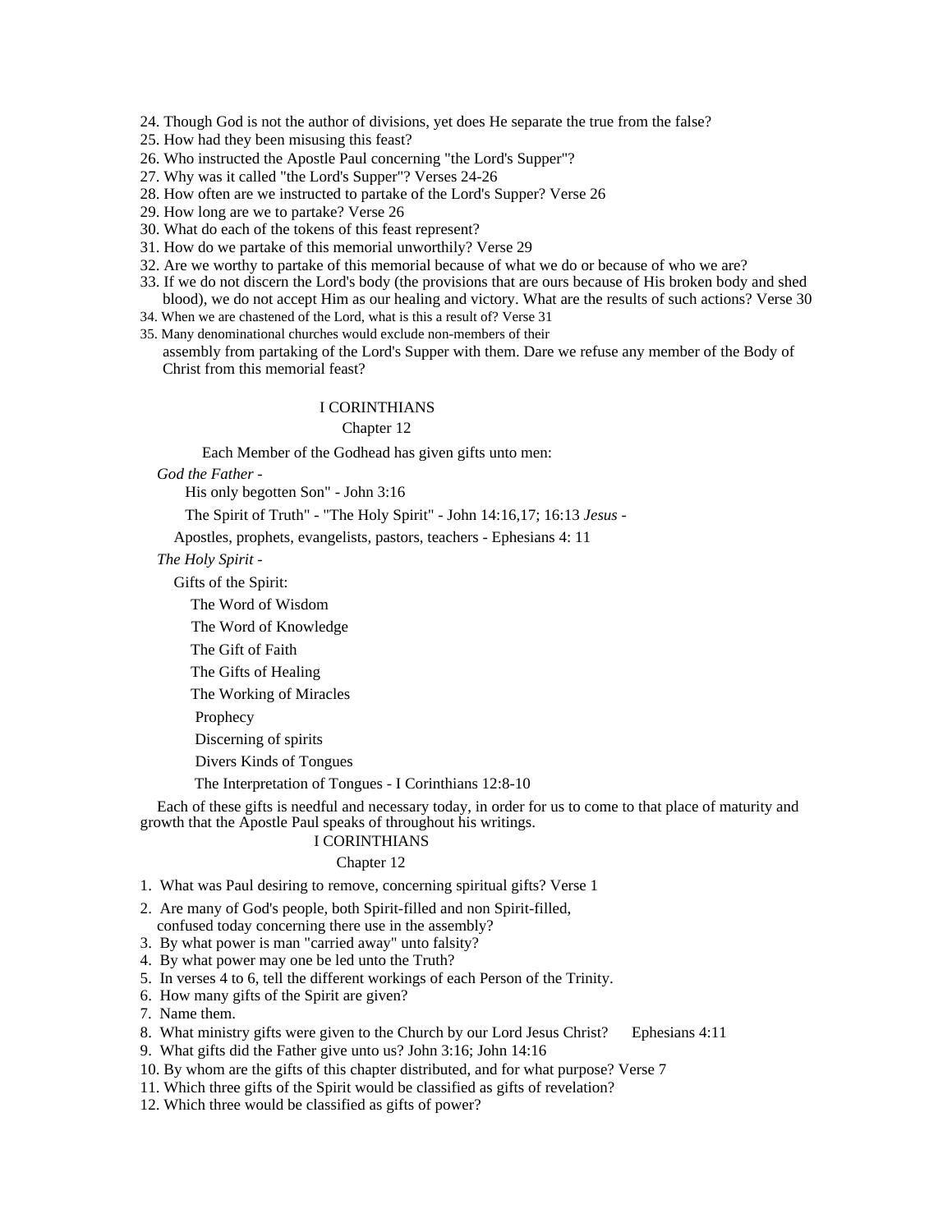24. Though God is not the author of divisions, yet does He separate the true from the false?

25. How had they been misusing this feast?

26. Who instructed the Apostle Paul concerning "the Lord's Supper"?

27. Why was it called "the Lord's Supper"? Verses 24-26

28. How often are we instructed to partake of the Lord's Supper? Verse 26

29. How long are we to partake? Verse 26

- 30. What do each of the tokens of this feast represent?
- 31. How do we partake of this memorial unworthily? Verse 29
- 32. Are we worthy to partake of this memorial because of what we do or because of who we are?
- 33. If we do not discern the Lord's body (the provisions that are ours because of His broken body and shed blood), we do not accept Him as our healing and victory. What are the results of such actions? Verse 30
- 34. When we are chastened of the Lord, what is this a result of? Verse 31
- 35. Many denominational churches would exclude non-members of their

assembly from partaking of the Lord's Supper with them. Dare we refuse any member of the Body of Christ from this memorial feast?

#### I CORINTHIANS

Chapter 12 and 200 and 200 and 200 and 200 and 200 and 200 and 200 and 200 and 200 and 200 and 200 and 200 and 200 and 200 and 200 and 200 and 200 and 200 and 200 and 200 and 200 and 200 and 200 and 200 and 200 and 200 and

Each Member of the Godhead has given gifts unto men:

*God the Father -*

His only begotten Son" - John 3:16

The Spirit of Truth" - "The Holy Spirit" - John 14:16,17; 16:13 *Jesus -*

Apostles, prophets, evangelists, pastors, teachers - Ephesians 4: 11

*The Holy Spirit -*

Gifts of the Spirit: Gifts of the Spirit:

The Word of Wisdom

The Word of Knowledge

The Gift of Faith  $\overline{a}$  and  $\overline{b}$  and  $\overline{a}$  are set to  $\overline{a}$  and  $\overline{a}$  and  $\overline{a}$  and  $\overline{a}$  and  $\overline{a}$  and  $\overline{a}$  and  $\overline{a}$  and  $\overline{a}$  and  $\overline{a}$  and  $\overline{a}$  and  $\overline{a}$  and  $\overline{a}$  and  $\$ 

The Gifts of Healing

The Working of Miracles

Prophecy and the contract of the contract of the contract of the contract of the contract of the contract of the contract of the contract of the contract of the contract of the contract of the contract of the contract of t

Discerning of spirits

Divers Kinds of Tongues

The Interpretation of Tongues - I Corinthians 12:8-10

Each of these gifts is needful and necessary today, in order for us to come to that place of maturity and growth that the Apostle Paul speaks of throughout his writings.

# I CORINTHIANS

# Chapter 12 and 200 and 200 and 200 and 200 and 200 and 200 and 200 and 200 and 200 and 200 and 200 and 200 and 200 and 200 and 200 and 200 and 200 and 200 and 200 and 200 and 200 and 200 and 200 and 200 and 200 and 200 and

- 1. What was Paul desiring to remove, concerning spiritual gifts? Verse 1
- 2. Are many of God's people, both Spirit-filled and non Spirit-filled,

confused today concerning there use in the assembly?

- 3. By what power is man "carried away" unto falsity?
- 4. By what power may one be led unto the Truth?
- 5. In verses 4 to 6, tell the different workings of each Person of the Trinity.
- 6. How many gifts of the Spirit are given?
- 7. Name them.
- 8. What ministry gifts were given to the Church by our Lord Jesus Christ? Ephesians 4:11

9. What gifts did the Father give unto us? John 3:16; John 14:16

- 10. By whom are the gifts of this chapter distributed, and for what purpose? Verse 7
- 11. Which three gifts of the Spirit would be classified as gifts of revelation?
- 12. Which three would be classified as gifts of power?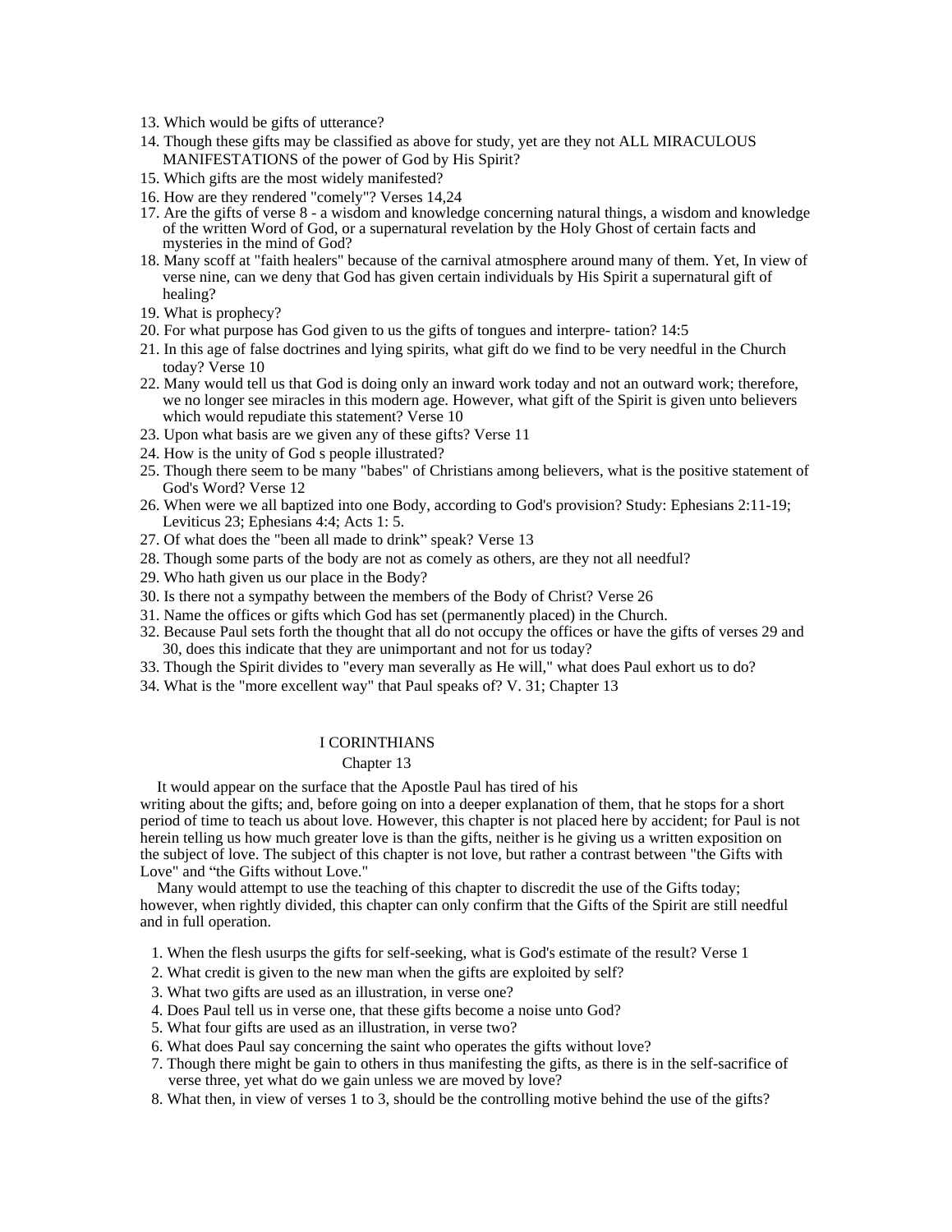- 13. Which would be gifts of utterance?
- 14. Though these gifts may be classified as above for study, yet are they not ALL MIRACULOUS MANIFESTATIONS of the power of God by His Spirit?
- 15. Which gifts are the most widely manifested?
- 16. How are they rendered "comely"? Verses 14,24
- 17. Are the gifts of verse 8 a wisdom and knowledge concerning natural things, a wisdom and knowledge of the written Word of God, or a supernatural revelation by the Holy Ghost of certain facts and mysteries in the mind of God?
- 18. Many scoff at "faith healers" because of the carnival atmosphere around many of them. Yet, In view of verse nine, can we deny that God has given certain individuals by His Spirit a supernatural gift of healing?
- 19. What is prophecy?
- 20. For what purpose has God given to us the gifts of tongues and interpre- tation? 14:5
- 21. In this age of false doctrines and lying spirits, what gift do we find to be very needful in the Church today? Verse 10
- 22. Many would tell us that God is doing only an inward work today and not an outward work; therefore, we no longer see miracles in this modern age. However, what gift of the Spirit is given unto believers which would repudiate this statement? Verse 10
- 23. Upon what basis are we given any of these gifts? Verse 11
- 24. How is the unity of God s people illustrated?
- 25. Though there seem to be many "babes" of Christians among believers, what is the positive statement of God's Word? Verse 12
- 26. When were we all baptized into one Body, according to God's provision? Study: Ephesians 2:11-19; Leviticus 23; Ephesians 4:4; Acts 1: 5.
- 27. Of what does the "been all made to drink" speak? Verse 13
- 28. Though some parts of the body are not as comely as others, are they not all needful?
- 29. Who hath given us our place in the Body?
- 30. Is there not a sympathy between the members of the Body of Christ? Verse 26
- 31. Name the offices or gifts which God has set (permanently placed) in the Church.
- 32. Because Paul sets forth the thought that all do not occupy the offices or have the gifts of verses 29 and 30, does this indicate that they are unimportant and not for us today?
- 33. Though the Spirit divides to "every man severally as He will," what does Paul exhort us to do?
- 34. What is the "more excellent way" that Paul speaks of? V. 31; Chapter 13

#### Chapter 13 and 200 and 200 and 200 and 200 and 200 and 200 and 200 and 200 and 200 and 200 and 200 and 200 and 200 and 200 and 200 and 200 and 200 and 200 and 200 and 200 and 200 and 200 and 200 and 200 and 200 and 200 and

It would appear on the surface that the Apostle Paul has tired of his

writing about the gifts; and, before going on into a deeper explanation of them, that he stops for a short period of time to teach us about love. However, this chapter is not placed here by accident; for Paul is not herein telling us how much greater love is than the gifts, neither is he giving us a written exposition on the subject of love. The subject of this chapter is not love, but rather a contrast between "the Gifts with Love" and "the Gifts without Love."

Many would attempt to use the teaching of this chapter to discredit the use of the Gifts today; however, when rightly divided, this chapter can only confirm that the Gifts of the Spirit are still needful and in full operation.

- 1. When the flesh usurps the gifts for self-seeking, what is God's estimate of the result? Verse 1
- 2. What credit is given to the new man when the gifts are exploited by self?
- 3. What two gifts are used as an illustration, in verse one?
- 4. Does Paul tell us in verse one, that these gifts become a noise unto God?
- 5. What four gifts are used as an illustration, in verse two?
- 6. What does Paul say concerning the saint who operates the gifts without love?
- 7. Though there might be gain to others in thus manifesting the gifts, as there is in the self-sacrifice of verse three, yet what do we gain unless we are moved by love?
- 8. What then, in view of verses 1 to 3, should be the controlling motive behind the use of the gifts?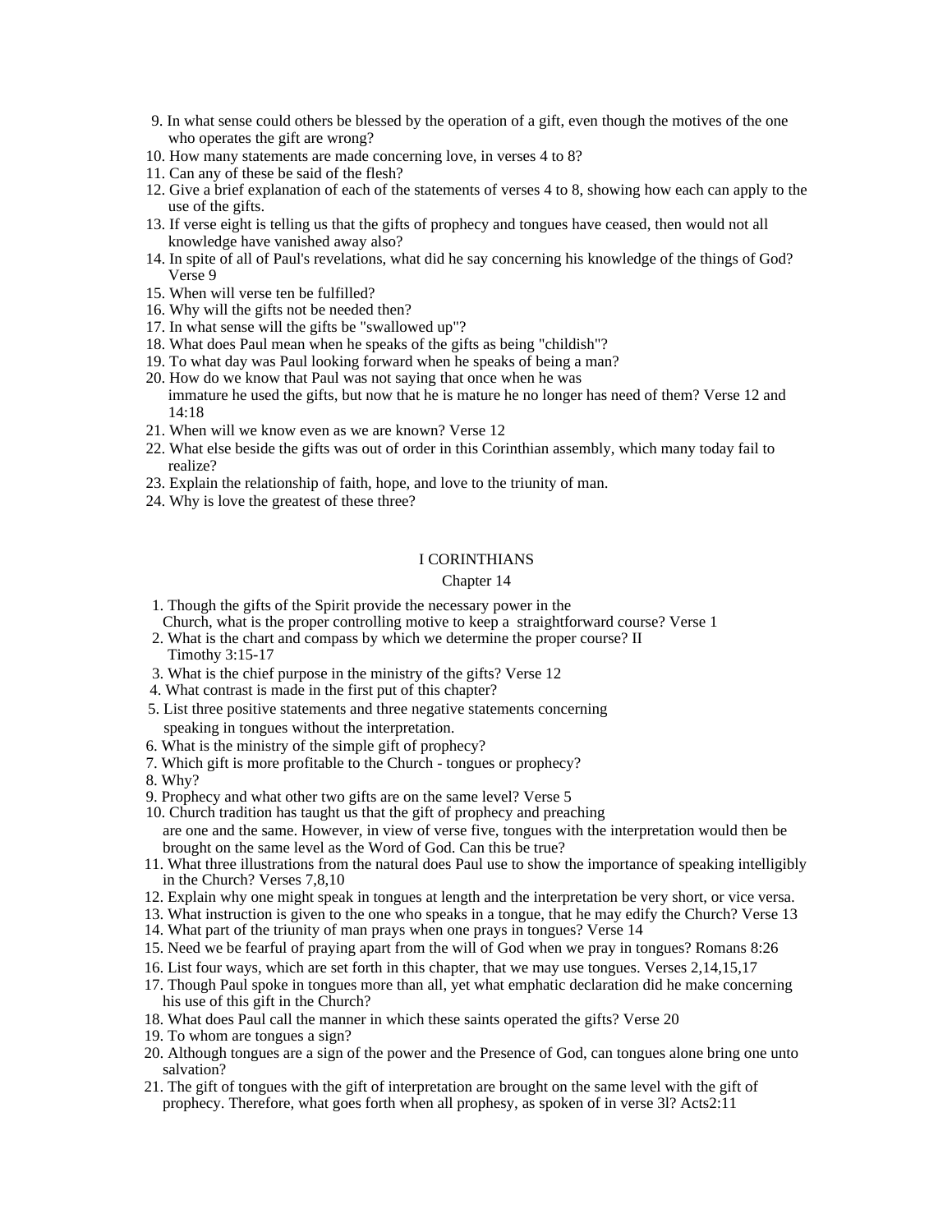- 9. In what sense could others be blessed by the operation of a gift, even though the motives of the one who operates the gift are wrong?
- 10. How many statements are made concerning love, in verses 4 to 8?
- 11. Can any of these be said of the flesh?
- 12. Give a brief explanation of each of the statements of verses 4 to 8, showing how each can apply to the use of the gifts.
- 13. If verse eight is telling us that the gifts of prophecy and tongues have ceased, then would not all knowledge have vanished away also?
- 14. In spite of all of Paul's revelations, what did he say concerning his knowledge of the things of God? Verse 9
- 15. When will verse ten be fulfilled?
- 16. Why will the gifts not be needed then?
- 17. In what sense will the gifts be "swallowed up"?
- 18. What does Paul mean when he speaks of the gifts as being "childish"?
- 19. To what day was Paul looking forward when he speaks of being a man?
- 20. How do we know that Paul was not saying that once when he was immature he used the gifts, but now that he is mature he no longer has need of them? Verse 12 and 14:18
- 21. When will we know even as we are known? Verse 12
- 22. What else beside the gifts was out of order in this Corinthian assembly, which many today fail to realize?
- 23. Explain the relationship of faith, hope, and love to the triunity of man.
- 24. Why is love the greatest of these three?

### Chapter 14

- 1. Though the gifts of the Spirit provide the necessary power in the Church, what is the proper controlling motive to keep a straightforward course? Verse 1
- 2. What is the chart and compass by which we determine the proper course? II Timothy 3:15-17
- 3. What is the chief purpose in the ministry of the gifts? Verse 12
- 4. What contrast is made in the first put of this chapter?
- 5. List three positive statements and three negative statements concerning speaking in tongues without the interpretation.
- 6. What is the ministry of the simple gift of prophecy?
- 7. Which gift is more profitable to the Church tongues or prophecy?
- 8. Why?
- 9. Prophecy and what other two gifts are on the same level? Verse 5
- 10. Church tradition has taught us that the gift of prophecy and preaching are one and the same. However, in view of verse five, tongues with the interpretation would then be brought on the same level as the Word of God. Can this be true?
- 11. What three illustrations from the natural does Paul use to show the importance of speaking intelligibly in the Church? Verses 7,8,10
- 12. Explain why one might speak in tongues at length and the interpretation be very short, or vice versa.
- 13. What instruction is given to the one who speaks in a tongue, that he may edify the Church? Verse 13 14. What part of the triunity of man prays when one prays in tongues? Verse 14
- 15. Need we be fearful of praying apart from the will of God when we pray in tongues? Romans 8:26
- 16. List four ways, which are set forth in this chapter, that we may use tongues. Verses 2,14,15,17
- 17. Though Paul spoke in tongues more than all, yet what emphatic declaration did he make concerning his use of this gift in the Church?
- 18. What does Paul call the manner in which these saints operated the gifts? Verse 20
- 19. To whom are tongues a sign?
- 20. Although tongues are a sign of the power and the Presence of God, can tongues alone bring one unto salvation?
- 21. The gift of tongues with the gift of interpretation are brought on the same level with the gift of prophecy. Therefore, what goes forth when all prophesy, as spoken of in verse 3l? Acts2:11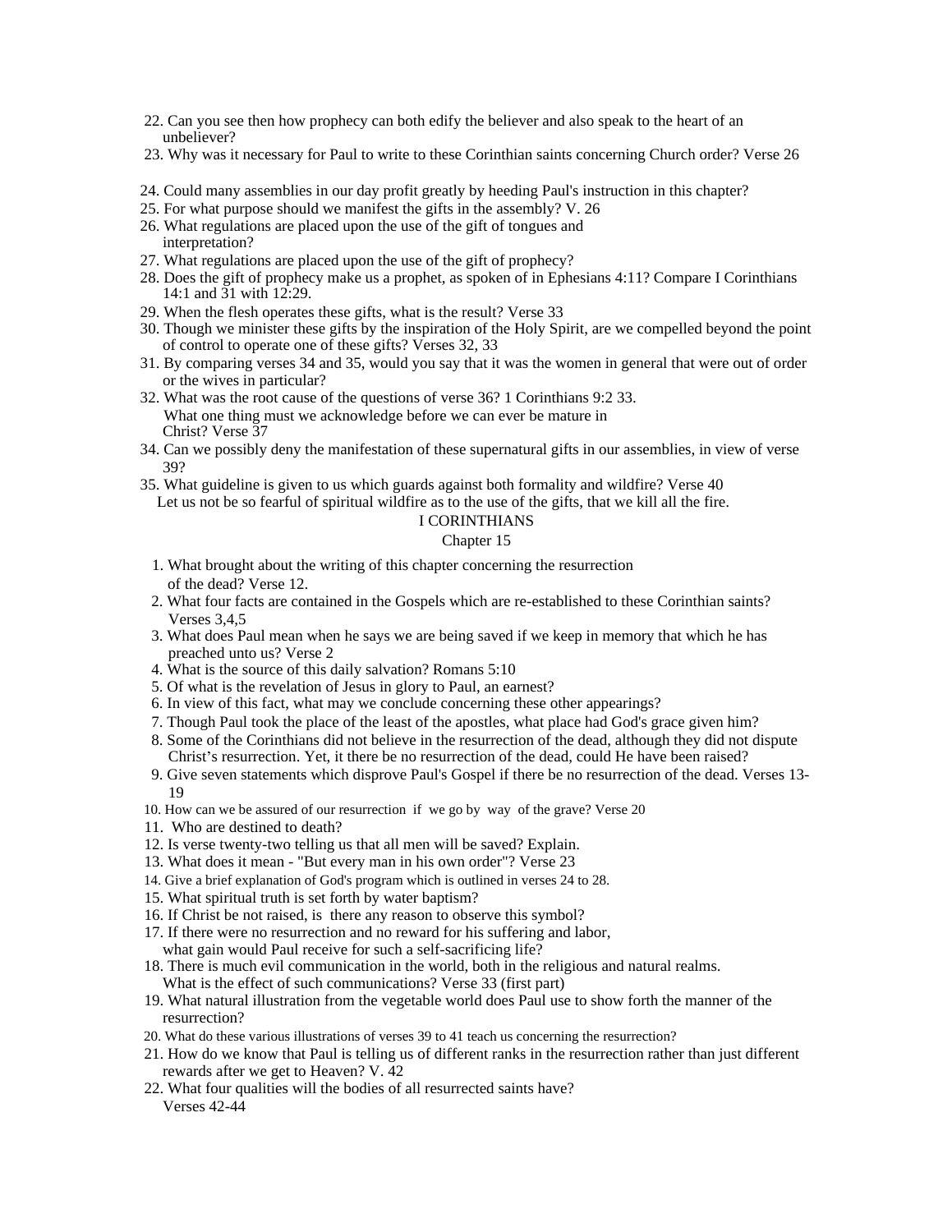- 22. Can you see then how prophecy can both edify the believer and also speak to the heart of an unbeliever?
- 23. Why was it necessary for Paul to write to these Corinthian saints concerning Church order? Verse 26
- 24. Could many assemblies in our day profit greatly by heeding Paul's instruction in this chapter?
- 25. For what purpose should we manifest the gifts in the assembly? V. 26
- 26. What regulations are placed upon the use of the gift of tongues and interpretation?
- 27. What regulations are placed upon the use of the gift of prophecy?
- 28. Does the gift of prophecy make us a prophet, as spoken of in Ephesians 4:11? Compare I Corinthians 14:1 and 31 with 12:29.
- 29. When the flesh operates these gifts, what is the result? Verse 33
- 30. Though we minister these gifts by the inspiration of the Holy Spirit, are we compelled beyond the point of control to operate one of these gifts? Verses 32, 33
- 31. By comparing verses 34 and 35, would you say that it was the women in general that were out of order or the wives in particular?
- 32. What was the root cause of the questions of verse 36? 1 Corinthians 9:2 33. What one thing must we acknowledge before we can ever be mature in Christ? Verse 37 Christ? Verse 37
- 34. Can we possibly deny the manifestation of these supernatural gifts in our assemblies, in view of verse 39?
- 35. What guideline is given to us which guards against both formality and wildfire? Verse 40 Let us not be so fearful of spiritual wildfire as to the use of the gifts, that we kill all the fire.

# Chapter 15

- 1. What brought about the writing of this chapter concerning the resurrection of the dead? Verse 12.
- 2. What four facts are contained in the Gospels which are re-established to these Corinthian saints? Verses 3,4,5
- 3. What does Paul mean when he says we are being saved if we keep in memory that which he has preached unto us? Verse 2
- 4. What is the source of this daily salvation? Romans 5:10
- 5. Of what is the revelation of Jesus in glory to Paul, an earnest?
- 6. In view of this fact, what may we conclude concerning these other appearings?
- 7. Though Paul took the place of the least of the apostles, what place had God's grace given him?
- 8. Some of the Corinthians did not believe in the resurrection of the dead, although they did not dispute Christ's resurrection. Yet, it there be no resurrection of the dead, could He have been raised?
- 9. Give seven statements which disprove Paul's Gospel if there be no resurrection of the dead. Verses 13- 19
- 10. How can we be assured of our resurrection if we go by way of the grave? Verse 20
- 11. Who are destined to death?
- 12. Is verse twenty-two telling us that all men will be saved? Explain.
- 13. What does it mean "But every man in his own order"? Verse 23
- 14. Give a brief explanation of God's program which is outlined in verses 24 to 28.
- 15. What spiritual truth is set forth by water baptism?
- 16. If Christ be not raised, is there any reason to observe this symbol?
- 17. If there were no resurrection and no reward for his suffering and labor,
- what gain would Paul receive for such a self-sacrificing life?
- 18. There is much evil communication in the world, both in the religious and natural realms. What is the effect of such communications? Verse 33 (first part)
- 19. What natural illustration from the vegetable world does Paul use to show forth the manner of the resurrection?
- 20. What do these various illustrations of verses 39 to 41 teach us concerning the resurrection?
- 21. How do we know that Paul is telling us of different ranks in the resurrection rather than just different rewards after we get to Heaven? V. 42
- 22. What four qualities will the bodies of all resurrected saints have? Verses 42-44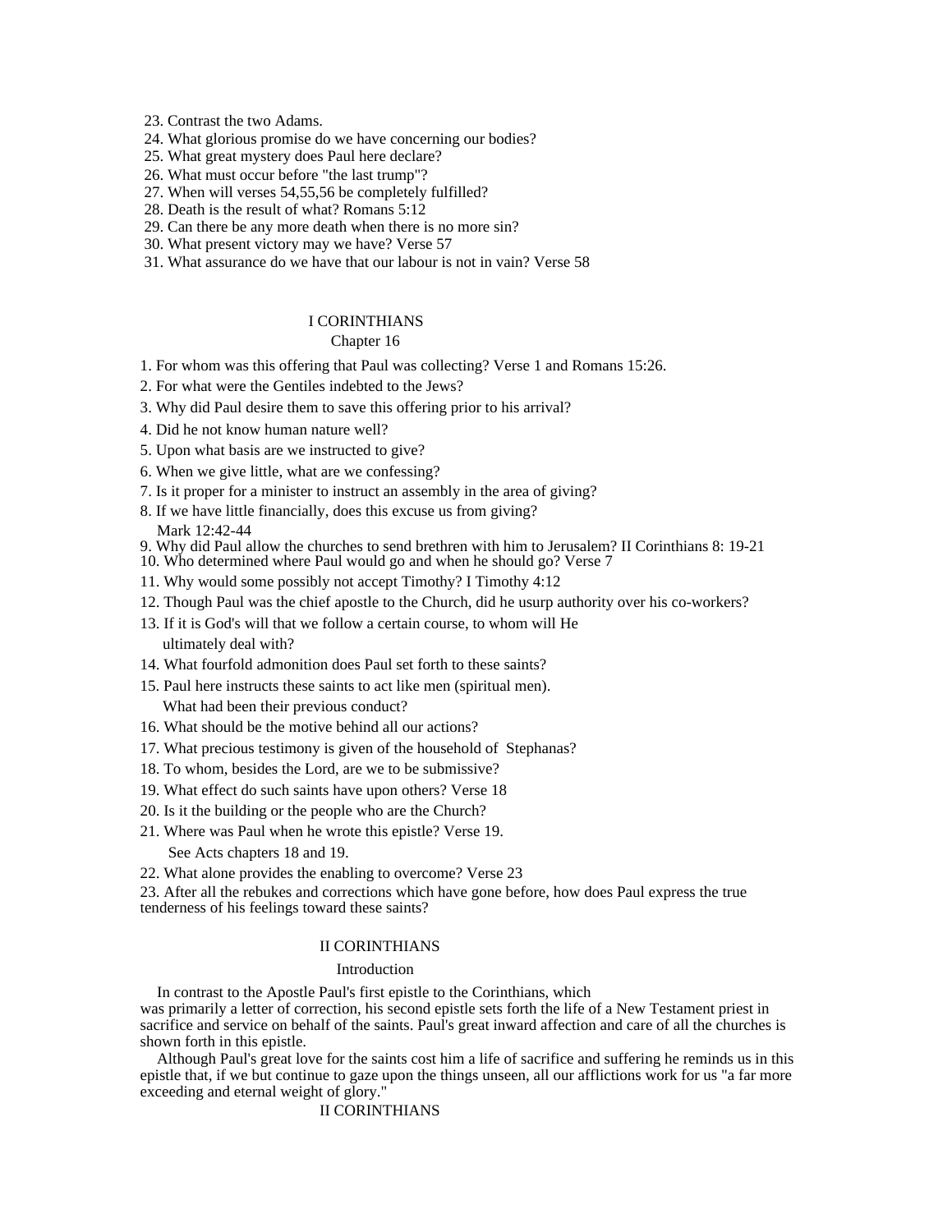23. Contrast the two Adams.

- 24. What glorious promise do we have concerning our bodies?
- 25. What great mystery does Paul here declare?
- 26. What must occur before "the last trump"?
- 27. When will verses 54,55,56 be completely fulfilled?
- 28. Death is the result of what? Romans 5:12
- 29. Can there be any more death when there is no more sin?
- 30. What present victory may we have? Verse 57
- 31. What assurance do we have that our labour is not in vain? Verse 58

# I CORINTHIANS

#### Chapter 16 and 200 and 200 and 200 and 200 and 200 and 200 and 200 and 200 and 200 and 200 and 200 and 200 and 200 and 200 and 200 and 200 and 200 and 200 and 200 and 200 and 200 and 200 and 200 and 200 and 200 and 200 and

- 1. For whom was this offering that Paul was collecting? Verse 1 and Romans 15:26.
- 2. For what were the Gentiles indebted to the Jews?
- 3. Why did Paul desire them to save this offering prior to his arrival?
- 4. Did he not know human nature well?
- 5. Upon what basis are we instructed to give?
- 6. When we give little, what are we confessing?
- 7. Is it proper for a minister to instruct an assembly in the area of giving?
- 8. If we have little financially, does this excuse us from giving?
- Mark 12:42-44
- 9. Why did Paul allow the churches to send brethren with him to Jerusalem? II Corinthians 8: 19-21
- 10. Who determined where Paul would go and when he should go? Verse 7
- 11. Why would some possibly not accept Timothy? I Timothy 4:12
- 12. Though Paul was the chief apostle to the Church, did he usurp authority over his co-workers?
- 13. If it is God's will that we follow a certain course, to whom will He ultimately deal with?
- 14. What fourfold admonition does Paul set forth to these saints?
- 15. Paul here instructs these saints to act like men (spiritual men). What had been their previous conduct?
- 16. What should be the motive behind all our actions?
- 17. What precious testimony is given of the household of Stephanas?
- 18. To whom, besides the Lord, are we to be submissive?
- 19. What effect do such saints have upon others? Verse 18
- 20. Is it the building or the people who are the Church?
- 21. Where was Paul when he wrote this epistle? Verse 19. See Acts chapters 18 and 19.
- 22. What alone provides the enabling to overcome? Verse 23

23. After all the rebukes and corrections which have gone before, how does Paul express the true tenderness of his feelings toward these saints?

#### II CORINTHIANS

#### Introduction **Intervention**

In contrast to the Apostle Paul's first epistle to the Corinthians, which

was primarily a letter of correction, his second epistle sets forth the life of a New Testament priest in sacrifice and service on behalf of the saints. Paul's great inward affection and care of all the churches is shown forth in this epistle.

Although Paul's great love for the saints cost him a life of sacrifice and suffering he reminds us in this epistle that, if we but continue to gaze upon the things unseen, all our afflictions work for us "a far more exceeding and eternal weight of glory."

### II CORINTHIANS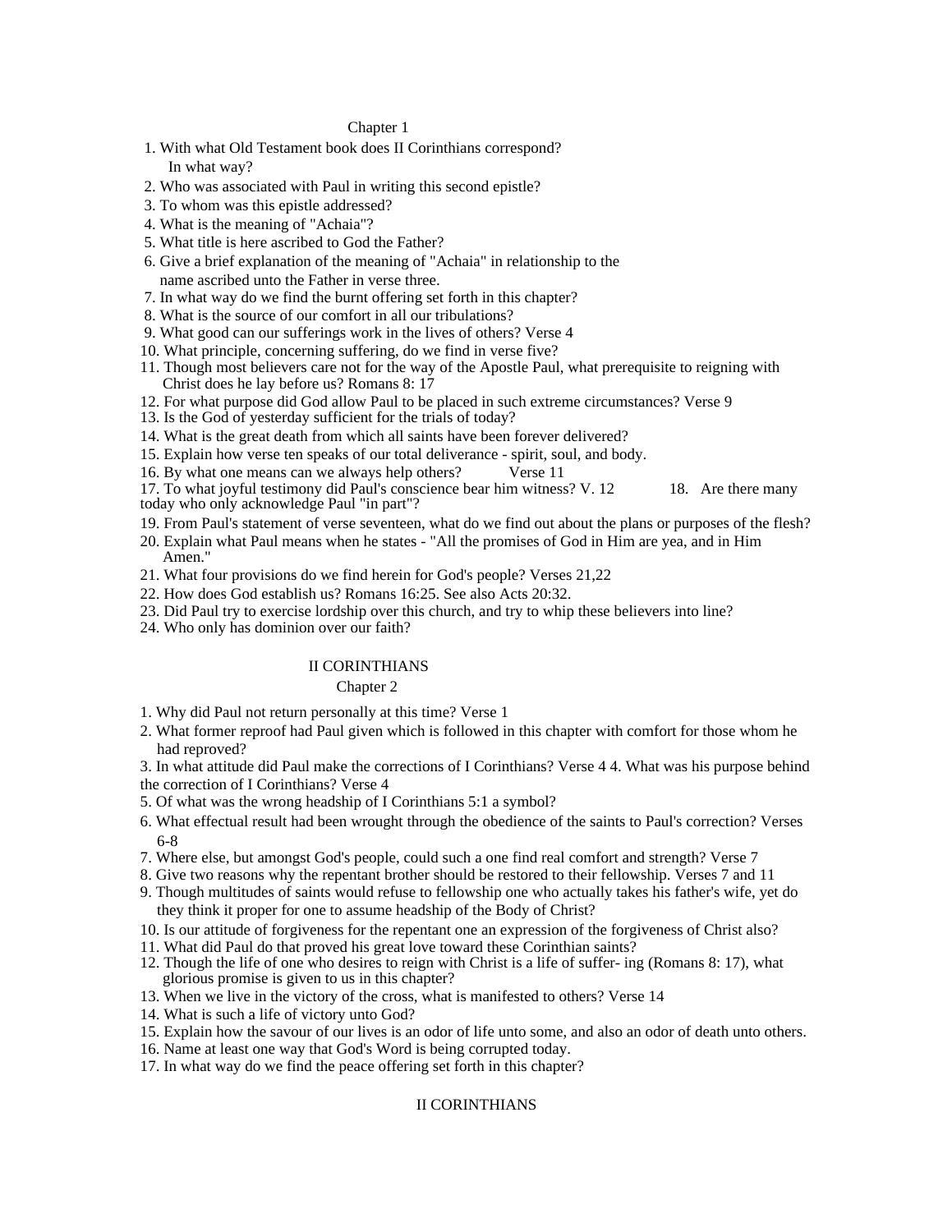#### Chapter 1 and 2 and 2 and 2 and 2 and 2 and 2 and 2 and 2 and 2 and 2 and 2 and 2 and 2 and 2 and 2 and 2 and 2 and 2 and 2 and 2 and 2 and 2 and 2 and 2 and 2 and 2 and 2 and 2 and 2 and 2 and 2 and 2 and 2 and 2 and 2 an

- 1. With what Old Testament book does II Corinthians correspond? In what way?
- 2. Who was associated with Paul in writing this second epistle?
- 3. To whom was this epistle addressed?
- 4. What is the meaning of "Achaia"?
- 5. What title is here ascribed to God the Father?
- 6. Give a brief explanation of the meaning of "Achaia" in relationship to the name ascribed unto the Father in verse three.
- 7. In what way do we find the burnt offering set forth in this chapter?
- 8. What is the source of our comfort in all our tribulations?
- 9. What good can our sufferings work in the lives of others? Verse 4
- 10. What principle, concerning suffering, do we find in verse five?
- 11. Though most believers care not for the way of the Apostle Paul, what prerequisite to reigning with Christ does he lay before us? Romans 8: 17
- 12. For what purpose did God allow Paul to be placed in such extreme circumstances? Verse 9
- 13. Is the God of yesterday sufficient for the trials of today?
- 14. What is the great death from which all saints have been forever delivered?
- 15. Explain how verse ten speaks of our total deliverance spirit, soul, and body.
- 

16. By what one means can we always help others? Verse 11<br>17. To what joyful testimony did Paul's conscience bear him witness? V. 12 18. Are there many 17. To what joyful testimony did Paul's conscience bear him witness? V. 12. today who only acknowledge Paul "in part"?

- 19. From Paul's statement of verse seventeen, what do we find out about the plans or purposes of the flesh?
- 20. Explain what Paul means when he states "All the promises of God in Him are yea, and in Him Amen." **American** contract the contract of the contract of the contract of the contract of the contract of the contract of the contract of the contract of the contract of the contract of the contract of the contract of the
- 21. What four provisions do we find herein for God's people? Verses 21,22
- 22. How does God establish us? Romans 16:25. See also Acts 20:32.
- 23. Did Paul try to exercise lordship over this church, and try to whip these believers into line?
- 24. Who only has dominion over our faith?

#### II CORINTHIANS

#### Chapter 2 and 2 and 2 and 2 and 2 and 2 and 2 and 2 and 2 and 2 and 2 and 2 and 2 and 2 and 2 and 2 and 2 and 2 and 2 and 2 and 2 and 2 and 2 and 2 and 2 and 2 and 2 and 2 and 2 and 2 and 2 and 2 and 2 and 2 and 2 and 2 an

- 1. Why did Paul not return personally at this time? Verse 1
- 2. What former reproof had Paul given which is followed in this chapter with comfort for those whom he had reproved? The contract of the contract of the contract of the contract of the contract of the contract of the contract of the contract of the contract of the contract of the contract of the contract of the contract of

3. In what attitude did Paul make the corrections of I Corinthians? Verse 4 4. What was his purpose behind the correction of I Corinthians? Verse 4

- 5. Of what was the wrong headship of I Corinthians 5:1 a symbol?
- 6. What effectual result had been wrought through the obedience of the saints to Paul's correction? Verses 6-8
- 7. Where else, but amongst God's people, could such a one find real comfort and strength? Verse 7
- 8. Give two reasons why the repentant brother should be restored to their fellowship. Verses 7 and 11
- 9. Though multitudes of saints would refuse to fellowship one who actually takes his father's wife, yet do they think it proper for one to assume headship of the Body of Christ?
- 10. Is our attitude of forgiveness for the repentant one an expression of the forgiveness of Christ also?
- 11. What did Paul do that proved his great love toward these Corinthian saints?
- 12. Though the life of one who desires to reign with Christ is a life of suffer- ing (Romans 8: 17), what glorious promise is given to us in this chapter?
- 13. When we live in the victory of the cross, what is manifested to others? Verse 14
- 14. What is such a life of victory unto God?
- 15. Explain how the savour of our lives is an odor of life unto some, and also an odor of death unto others.
- 16. Name at least one way that God's Word is being corrupted today.
- 17. In what way do we find the peace offering set forth in this chapter?

# II CORINTHIANS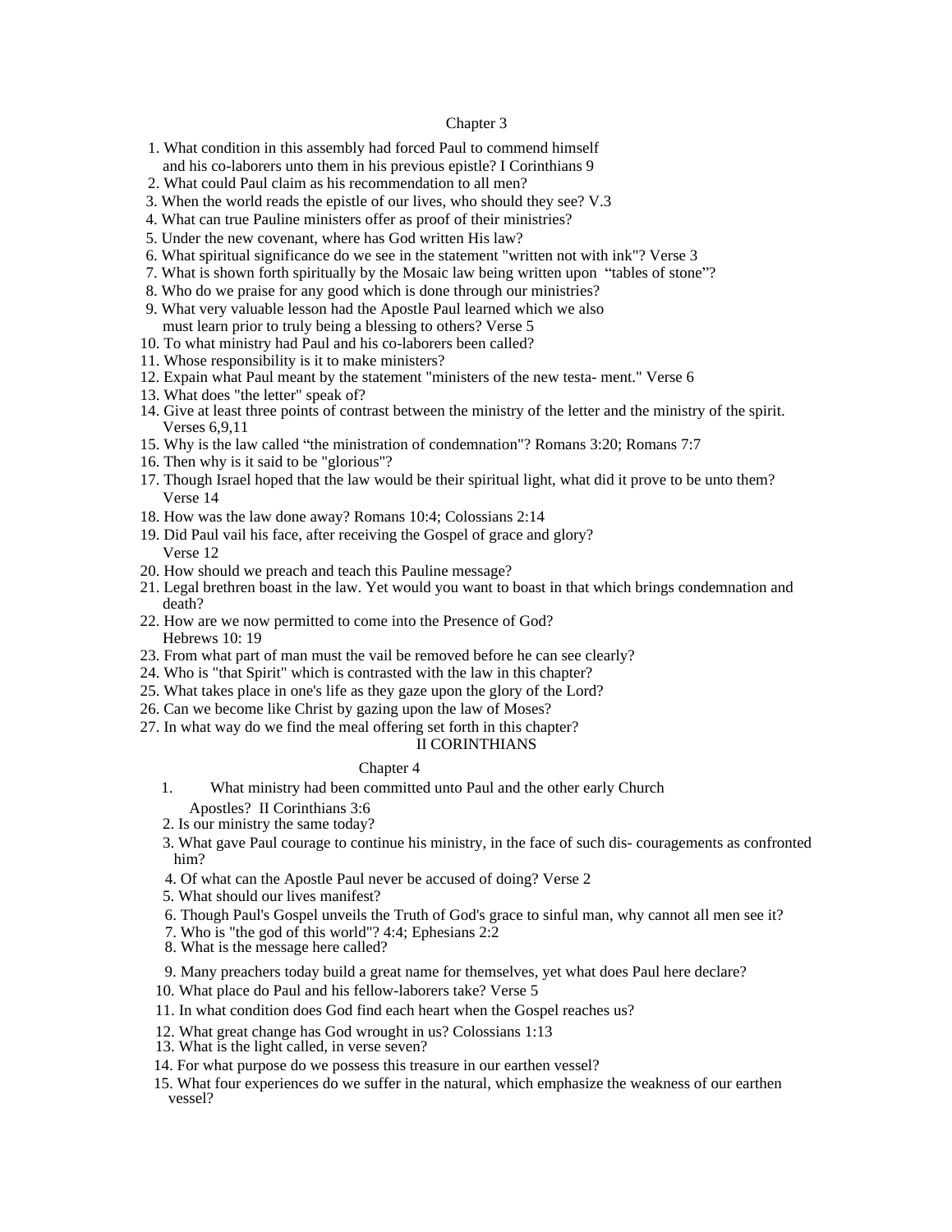#### Chapter 3 and 200 methods are seen as  $\sim$  100 methods and 3 and 3 and 3 and 3 and 3 and 3 and 3 and 3 and 3 and 3 and 3 and 3 and 3 and 3 and 3 and 3 and 3 and 3 and 3 and 3 and 3 and 3 and 3 and 3 and 3 and 3 and 3 and 3

- 1. What condition in this assembly had forced Paul to commend himself and his co-laborers unto them in his previous epistle? I Corinthians 9
- 2. What could Paul claim as his recommendation to all men?
- 3. When the world reads the epistle of our lives, who should they see? V.3
- 4. What can true Pauline ministers offer as proof of their ministries?
- 5. Under the new covenant, where has God written His law?
- 6. What spiritual significance do we see in the statement "written not with ink"? Verse 3
- 7. What is shown forth spiritually by the Mosaic law being written upon "tables of stone"?
- 8. Who do we praise for any good which is done through our ministries?
- 9. What very valuable lesson had the Apostle Paul learned which we also
- must learn prior to truly being a blessing to others? Verse 5
- 10. To what ministry had Paul and his co-laborers been called?
- 11. Whose responsibility is it to make ministers?
- 12. Expain what Paul meant by the statement "ministers of the new testa- ment." Verse 6
- 13. What does "the letter" speak of?
- 14. Give at least three points of contrast between the ministry of the letter and the ministry of the spirit. Verses 6,9,11
- 15. Why is the law called the ministration of condemnation"? Romans 3:20; Romans 7:7
- 16. Then why is it said to be "glorious"?
- 17. Though Israel hoped that the law would be their spiritual light, what did it prove to be unto them? Verse 14
- 18. How was the law done away? Romans 10:4; Colossians 2:14
- 19. Did Paul vail his face, after receiving the Gospel of grace and glory? Verse 12
- 20. How should we preach and teach this Pauline message?
- 21. Legal brethren boast in the law. Yet would you want to boast in that which brings condemnation and death? The contract of the contract of the contract of the contract of the contract of the contract of the contract of the contract of the contract of the contract of the contract of the contract of the contract of the con
- 22. How are we now permitted to come into the Presence of God? Hebrews 10: 19
- 23. From what part of man must the vail be removed before he can see clearly?
- 24. Who is "that Spirit" which is contrasted with the law in this chapter?
- 25. What takes place in one's life as they gaze upon the glory of the Lord?
- 26. Can we become like Christ by gazing upon the law of Moses?
- 27. In what way do we find the meal offering set forth in this chapter?

## II CORINTHIANS

#### Chapter 4 and 200 and 200 and 200 and 200 and 200 and 200 and 200 and 200 and 200 and 200 and 200 and 200 and 200 and 200 and 200 and 200 and 200 and 200 and 200 and 200 and 200 and 200 and 200 and 200 and 200 and 200 and

- 1. What ministry had been committed unto Paul and the other early Church
	- Apostles? II Corinthians 3:6
- 2. Is our ministry the same today?
- 3. What gave Paul courage to continue his ministry, in the face of such dis- couragements as confronted him?
- 4. Of what can the Apostle Paul never be accused of doing? Verse 2
- 5. What should our lives manifest?
- 6. Though Paul's Gospel unveils the Truth of God's grace to sinful man, why cannot all men see it?
- 7. Who is "the god of this world"? 4:4; Ephesians 2:2
- 8. What is the message here called?
- 9. Many preachers today build a great name for themselves, yet what does Paul here declare?
- 10. What place do Paul and his fellow-laborers take? Verse 5
- 11. In what condition does God find each heart when the Gospel reaches us?
- 12. What great change has God wrought in us? Colossians 1:13
- 13. What is the light called, in verse seven?
- 14. For what purpose do we possess this treasure in our earthen vessel?
- 15. What four experiences do we suffer in the natural, which emphasize the weakness of our earthen vessel?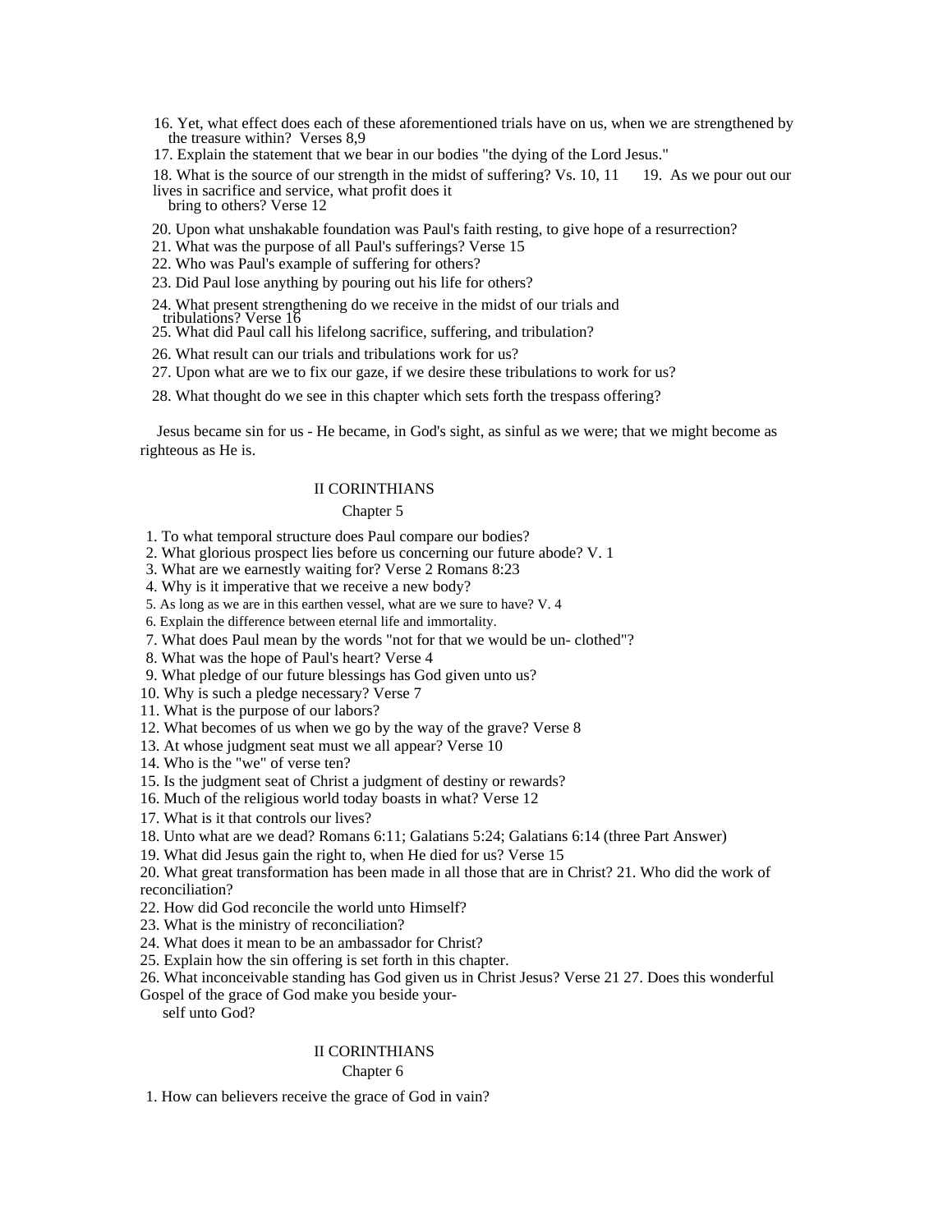16. Yet, what effect does each of these aforementioned trials have on us, when we are strengthened by the treasure within? Verses 8,9

17. Explain the statement that we bear in our bodies "the dying of the Lord Jesus."

18. What is the source of our strength in the midst of suffering? Vs. 10, 11 19. As we pour out our lives in sacrifice and service, what profit does it bring to others? Verse 12 and the state of the state of the state of the state of the state of the state of the state of the state of the state of the state of the state of the state of the state of the state of the state

- 20. Upon what unshakable foundation was Paul's faith resting, to give hope of a resurrection?
- 21. What was the purpose of all Paul's sufferings? Verse 15
- 22. Who was Paul's example of suffering for others?
- 23. Did Paul lose anything by pouring out his life for others?
- 24. What present strengthening do we receive in the midst of our trials and tribulations? Verse 16
- 25. What did Paul call his lifelong sacrifice, suffering, and tribulation?
	- 26. What result can our trials and tribulations work for us?
	- 27. Upon what are we to fix our gaze, if we desire these tribulations to work for us?
	- 28. What thought do we see in this chapter which sets forth the trespass offering?

Jesus became sin for us - He became, in God's sight, as sinful as we were; that we might become as righteous as He is.

#### II CORINTHIANS

#### Chapter 5 and 200 and 200 and 200 and 200 and 200 and 200 and 200 and 200 and 200 and 200 and 200 and 200 and 200 and 200 and 200 and 200 and 200 and 200 and 200 and 200 and 200 and 200 and 200 and 200 and 200 and 200 and

1. To what temporal structure does Paul compare our bodies?

- 2. What glorious prospect lies before us concerning our future abode? V. 1
- 3. What are we earnestly waiting for? Verse 2 Romans 8:23
- 4. Why is it imperative that we receive a new body?
- 5. As long as we are in this earthen vessel, what are we sure to have? V. 4
- 6. Explain the difference between eternal life and immortality.
- 7. What does Paul mean by the words "not for that we would be un- clothed"?
- 8. What was the hope of Paul's heart? Verse 4
- 9. What pledge of our future blessings has God given unto us?
- 10. Why is such a pledge necessary? Verse 7
- 11. What is the purpose of our labors?
- 12. What becomes of us when we go by the way of the grave? Verse 8
- 13. At whose judgment seat must we all appear? Verse 10
- 14. Who is the "we" of verse ten?
- 15. Is the judgment seat of Christ a judgment of destiny or rewards?
- 16. Much of the religious world today boasts in what? Verse 12
- 17. What is it that controls our lives?
- 18. Unto what are we dead? Romans 6:11; Galatians 5:24; Galatians 6:14 (three Part Answer)
- 19. What did Jesus gain the right to, when He died for us? Verse 15

20. What great transformation has been made in all those that are in Christ? 21. Who did the work of reconciliation?

- 22. How did God reconcile the world unto Himself?
- 23. What is the ministry of reconciliation?
- 24. What does it mean to be an ambassador for Christ?
- 25. Explain how the sin offering is set forth in this chapter.
- 26. What inconceivable standing has God given us in Christ Jesus? Verse 21 27. Does this wonderful

Gospel of the grace of God make you beside yourself unto God?

#### II CORINTHIANS

Chapter 6 and 200 and 200 and 200 and 200 and 200 and 200 and 200 and 200 and 200 and 200 and 200 and 200 and 200 and 200 and 200 and 200 and 200 and 200 and 200 and 200 and 200 and 200 and 200 and 200 and 200 and 200 and

1. How can believers receive the grace of God in vain?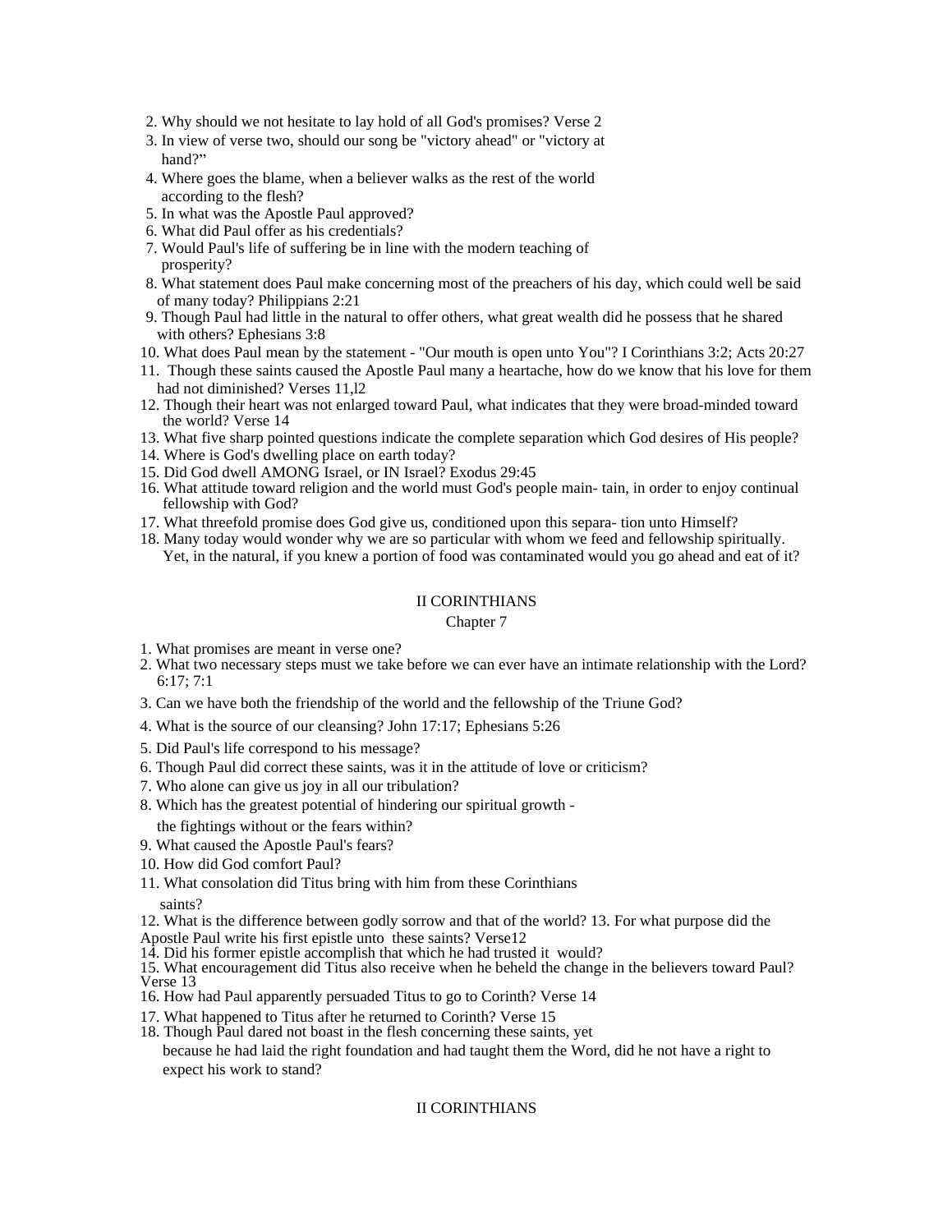- 2. Why should we not hesitate to lay hold of all God's promises? Verse 2
- 3. In view of verse two, should our song be "victory ahead" or "victory at hand?" The contract of the contract of the contract of the contract of the contract of the contract of the contract of the contract of the contract of the contract of the contract of the contract of the contract of the con
- 4. Where goes the blame, when a believer walks as the rest of the world according to the flesh?
- 5. In what was the Apostle Paul approved?
- 6. What did Paul offer as his credentials?
- 7. Would Paul's life of suffering be in line with the modern teaching of prosperity?
- 8. What statement does Paul make concerning most of the preachers of his day, which could well be said of many today? Philippians 2:21
- 9. Though Paul had little in the natural to offer others, what great wealth did he possess that he shared with others? Ephesians 3:8
- 10. What does Paul mean by the statement "Our mouth is open unto You"? I Corinthians 3:2; Acts 20:27
- 11. Though these saints caused the Apostle Paul many a heartache, how do we know that his love for them had not diminished? Verses 11,l2
- 12. Though their heart was not enlarged toward Paul, what indicates that they were broad-minded toward the world? Verse 14
- 13. What five sharp pointed questions indicate the complete separation which God desires of His people?
- 14. Where is God's dwelling place on earth today?
- 15. Did God dwell AMONG Israel, or IN Israel? Exodus 29:45
- 16. What attitude toward religion and the world must God's people main- tain, in order to enjoy continual fellowship with God?
- 17. What threefold promise does God give us, conditioned upon this separa- tion unto Himself?
- 18. Many today would wonder why we are so particular with whom we feed and fellowship spiritually. Yet, in the natural, if you knew a portion of food was contaminated would you go ahead and eat of it?

#### Chapter 7 and 2008 and 2008 and 2008 and 2008 and 2008 and 2008 and 2008 and 2008 and 2008 and 2008 and 2008 and 2008 and 2008 and 2008 and 2008 and 2008 and 2008 and 2008 and 2008 and 2008 and 2008 and 2008 and 2008 and 2

- 1. What promises are meant in verse one?
- 2. What two necessary steps must we take before we can ever have an intimate relationship with the Lord? 6:17; 7:1
- 3. Can we have both the friendship of the world and the fellowship of the Triune God?
- 4. What is the source of our cleansing? John 17:17; Ephesians 5:26
- 5. Did Paul's life correspond to his message?
- 6. Though Paul did correct these saints, was it in the attitude of love or criticism?
- 7. Who alone can give us joy in all our tribulation?
- 8. Which has the greatest potential of hindering our spiritual growth -
- the fightings without or the fears within?
- 9. What caused the Apostle Paul's fears?
- 10. How did God comfort Paul?
- 11. What consolation did Titus bring with him from these Corinthians

saints?

12. What is the difference between godly sorrow and that of the world? 13. For what purpose did the

Apostle Paul write his first epistle unto these saints? Verse12

14. Did his former epistle accomplish that which he had trusted it would? 15. What encouragement did Titus also receive when he beheld the change in the believers toward Paul? Verse 13

16. How had Paul apparently persuaded Titus to go to Corinth? Verse 14

- 17. What happened to Titus after he returned to Corinth? Verse 15
- 18. Though Paul dared not boast in the flesh concerning these saints, yet because he had laid the right foundation and had taught them the Word, did he not have a right to expect his work to stand?

# II CORINTHIANS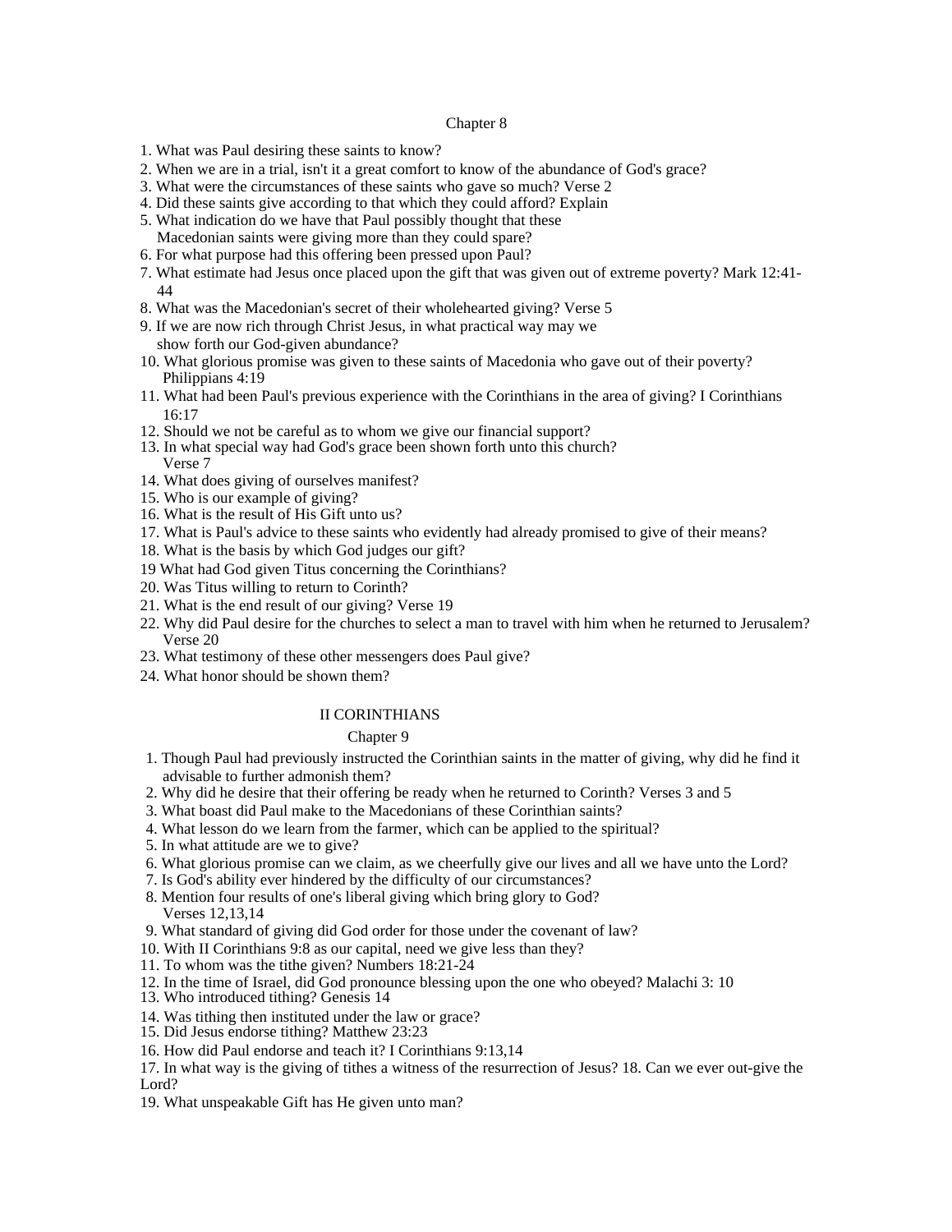#### Chapter 8 and 2008 and 2008 and 2008 and 2008 and 2008 and 2008 and 2008 and 2008 and 2008 and 2008 and 2008 and 2008 and 2008 and 2008 and 2008 and 2008 and 2008 and 2008 and 2008 and 2008 and 2008 and 2008 and 2008 and 2

- 1. What was Paul desiring these saints to know?
- 2. When we are in a trial, isn't it a great comfort to know of the abundance of God's grace?
- 3. What were the circumstances of these saints who gave so much? Verse 2
- 4. Did these saints give according to that which they could afford? Explain
- 5. What indication do we have that Paul possibly thought that these Macedonian saints were giving more than they could spare?
- 6. For what purpose had this offering been pressed upon Paul?
- 7. What estimate had Jesus once placed upon the gift that was given out of extreme poverty? Mark 12:41- 44
- 8. What was the Macedonian's secret of their wholehearted giving? Verse 5
- 9. If we are now rich through Christ Jesus, in what practical way may we
- show forth our God-given abundance? 10. What glorious promise was given to these saints of Macedonia who gave out of their poverty? Philippians 4:19
- 11. What had been Paul's previous experience with the Corinthians in the area of giving? I Corinthians 16:17
- 12. Should we not be careful as to whom we give our financial support?
- 13. In what special way had God's grace been shown forth unto this church? Verse 7
- 14. What does giving of ourselves manifest?
- 15. Who is our example of giving?
- 16. What is the result of His Gift unto us?
- 17. What is Paul's advice to these saints who evidently had already promised to give of their means?
- 18. What is the basis by which God judges our gift?
- 19 What had God given Titus concerning the Corinthians?
- 20. Was Titus willing to return to Corinth?
- 21. What is the end result of our giving? Verse 19
- 22. Why did Paul desire for the churches to select a man to travel with him when he returned to Jerusalem? Verse 20
- 23. What testimony of these other messengers does Paul give?
- 24. What honor should be shown them?

#### II CORINTHIANS

#### Chapter 9 and 200 and 200 and 200 and 200 and 200 and 200 and 200 and 200 and 200 and 200 and 200 and 200 and 200 and 200 and 200 and 200 and 200 and 200 and 200 and 200 and 200 and 200 and 200 and 200 and 200 and 200 and

- 1. Though Paul had previously instructed the Corinthian saints in the matter of giving, why did he find it advisable to further admonish them?
- 2. Why did he desire that their offering be ready when he returned to Corinth? Verses 3 and 5
- 3. What boast did Paul make to the Macedonians of these Corinthian saints?
- 4. What lesson do we learn from the farmer, which can be applied to the spiritual?
- 5. In what attitude are we to give?
- 6. What glorious promise can we claim, as we cheerfully give our lives and all we have unto the Lord?
- 7. Is God's ability ever hindered by the difficulty of our circumstances?
- 8. Mention four results of one's liberal giving which bring glory to God? Verses 12,13,14
- 9. What standard of giving did God order for those under the covenant of law?
- 10. With II Corinthians 9:8 as our capital, need we give less than they?
- 11. To whom was the tithe given? Numbers 18:21-24
- 12. In the time of Israel, did God pronounce blessing upon the one who obeyed? Malachi 3: 10
- 13. Who introduced tithing? Genesis 14
- 14. Was tithing then instituted under the law or grace?
- 15. Did Jesus endorse tithing? Matthew 23:23
- 16. How did Paul endorse and teach it? I Corinthians 9:13,14
- 17. In what way is the giving of tithes a witness of the resurrection of Jesus? 18. Can we ever out-give the Lord? **Let us a set of the set of the set of the set of the set of the set of the set of the set of the set of the set of the set of the set of the set of the set of the set of the set of the set of the set of the set of t**
- 19. What unspeakable Gift has He given unto man?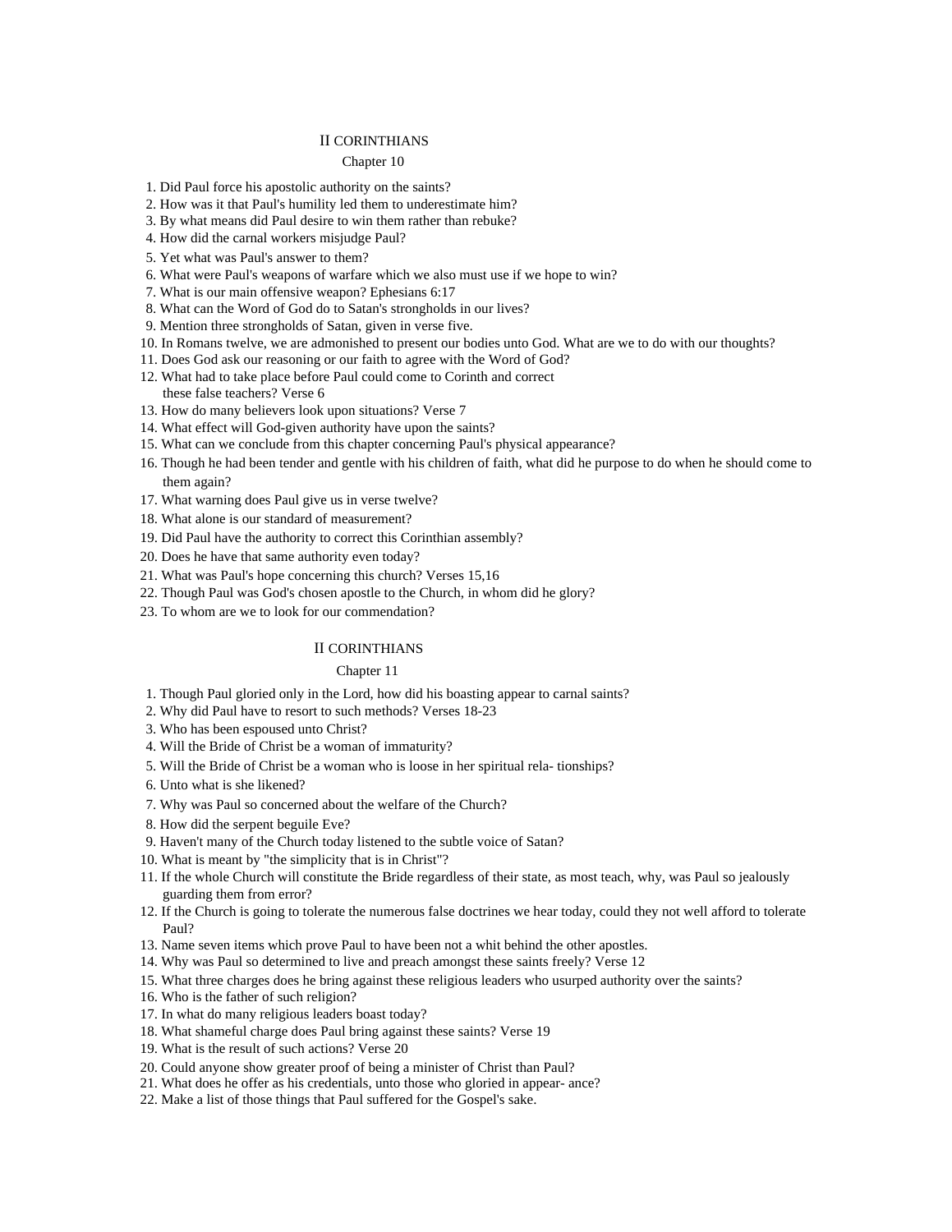#### Chapter 10 and 200 and 200 and 200 and 200 and 200 and 200 and 200 and 200 and 200 and 200 and 200 and 200 and 200 and 200 and 200 and 200 and 200 and 200 and 200 and 200 and 200 and 200 and 200 and 200 and 200 and 200 and

- 1. Did Paul force his apostolic authority on the saints?
- 2. How was it that Paul's humility led them to underestimate him?
- 3. By what means did Paul desire to win them rather than rebuke?
- 4. How did the carnal workers misjudge Paul?
- 5. Yet what was Paul's answer to them?
- 6. What were Paul's weapons of warfare which we also must use if we hope to win?
- 7. What is our main offensive weapon? Ephesians 6:17
- 8. What can the Word of God do to Satan's strongholds in our lives?
- 9. Mention three strongholds of Satan, given in verse five.
- 10. In Romans twelve, we are admonished to present our bodies unto God. What are we to do with our thoughts?
- 11. Does God ask our reasoning or our faith to agree with the Word of God?
- 12. What had to take place before Paul could come to Corinth and correct these false teachers? Verse 6
- 13. How do many believers look upon situations? Verse 7
- 14. What effect will God-given authority have upon the saints?
- 15. What can we conclude from this chapter concerning Paul's physical appearance?
- 16. Though he had been tender and gentle with his children of faith, what did he purpose to do when he should come to them again?
- 17. What warning does Paul give us in verse twelve?
- 18. What alone is our standard of measurement?
- 19. Did Paul have the authority to correct this Corinthian assembly?
- 20. Does he have that same authority even today?
- 21. What was Paul's hope concerning this church? Verses 15,16
- 22. Though Paul was God's chosen apostle to the Church, in whom did he glory?
- 23. To whom are we to look for our commendation?

#### II CORINTHIANS

#### Chapter 11 and 200 and 200 and 200 and 200 and 200 and 200 and 200 and 200 and 200 and 200 and 200 and 200 and 200 and 200 and 200 and 200 and 200 and 200 and 200 and 200 and 200 and 200 and 200 and 200 and 200 and 200 and

- 1. Though Paul gloried only in the Lord, how did his boasting appear to carnal saints?
- 2. Why did Paul have to resort to such methods? Verses 18-23
- 3. Who has been espoused unto Christ?
- 4. Will the Bride of Christ be a woman of immaturity?
- 5. Will the Bride of Christ be a woman who is loose in her spiritual rela- tionships?
- 6. Unto what is she likened?
- 7. Why was Paul so concerned about the welfare of the Church?
- 8. How did the serpent beguile Eve?
- 9. Haven't many of the Church today listened to the subtle voice of Satan?
- 10. What is meant by "the simplicity that is in Christ"?
- 11. If the whole Church will constitute the Bride regardless of their state, as most teach, why, was Paul so jealously guarding them from error?
- 12. If the Church is going to tolerate the numerous false doctrines we hear today, could they not well afford to tolerate Paul? **Paul**?
- 13. Name seven items which prove Paul to have been not a whit behind the other apostles.
- 14. Why was Paul so determined to live and preach amongst these saints freely? Verse 12
- 15. What three charges does he bring against these religious leaders who usurped authority over the saints?
- 16. Who is the father of such religion?
- 17. In what do many religious leaders boast today?
- 18. What shameful charge does Paul bring against these saints? Verse 19
- 19. What is the result of such actions? Verse 20
- 20. Could anyone show greater proof of being a minister of Christ than Paul?
- 21. What does he offer as his credentials, unto those who gloried in appear- ance?
- 22. Make a list of those things that Paul suffered for the Gospel's sake.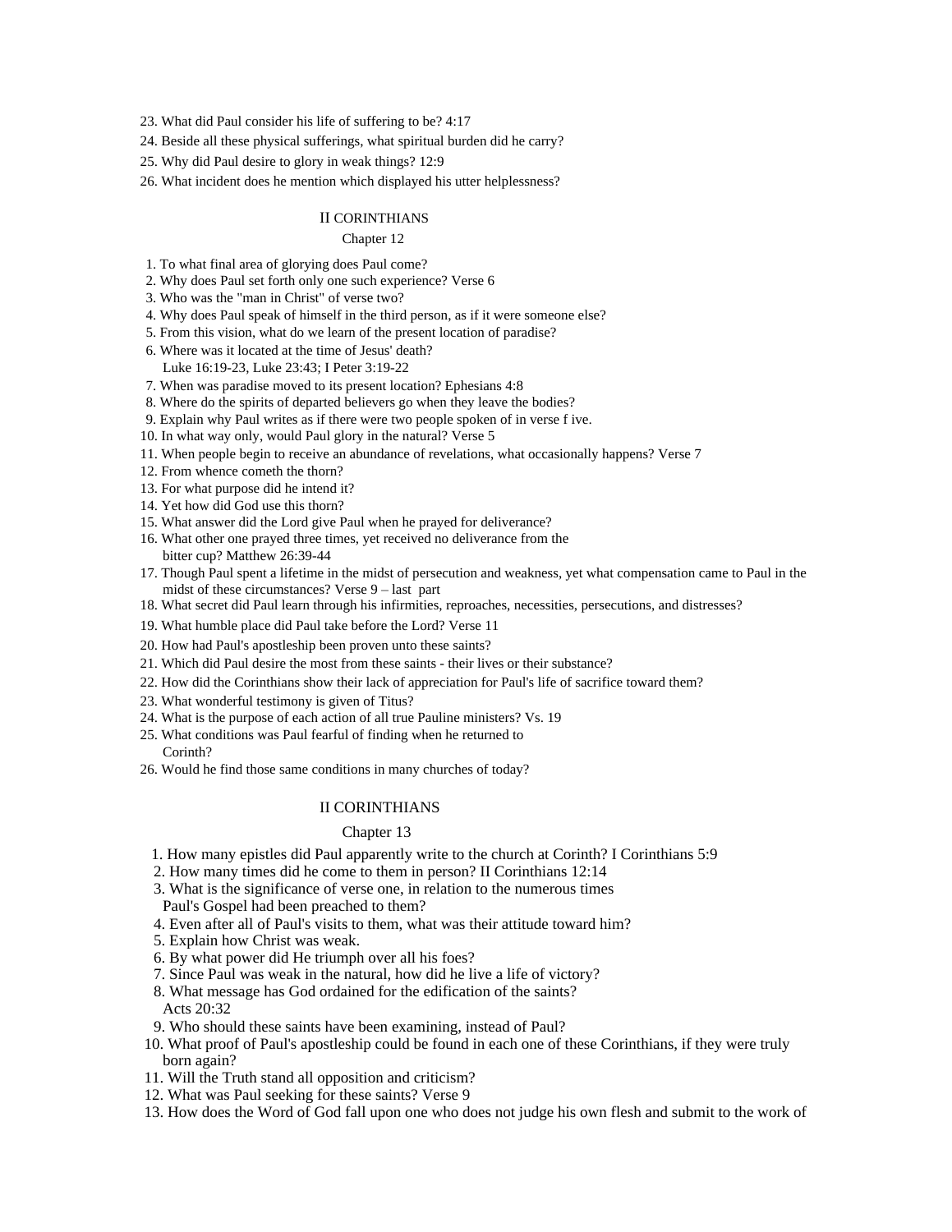23. What did Paul consider his life of suffering to be? 4:17

24. Beside all these physical sufferings, what spiritual burden did he carry?

25. Why did Paul desire to glory in weak things? 12:9

26. What incident does he mention which displayed his utter helplessness?

#### II CORINTHIANS

#### Chapter 12 and 200 and 200 and 200 and 200 and 200 and 200 and 200 and 200 and 200 and 200 and 200 and 200 and 200 and 200 and 200 and 200 and 200 and 200 and 200 and 200 and 200 and 200 and 200 and 200 and 200 and 200 and

1. To what final area of glorying does Paul come?

- 2. Why does Paul set forth only one such experience? Verse 6
- 3. Who was the "man in Christ" of verse two?
- 4. Why does Paul speak of himself in the third person, as if it were someone else?
- 5. From this vision, what do we learn of the present location of paradise?
- 6. Where was it located at the time of Jesus' death?
- Luke 16:19-23, Luke 23:43; I Peter 3:19-22
- 7. When was paradise moved to its present location? Ephesians 4:8
- 8. Where do the spirits of departed believers go when they leave the bodies?
- 9. Explain why Paul writes as if there were two people spoken of in verse f ive.
- 10. In what way only, would Paul glory in the natural? Verse 5
- 11. When people begin to receive an abundance of revelations, what occasionally happens? Verse 7
- 12. From whence cometh the thorn?
- 13. For what purpose did he intend it?
- 14. Yet how did God use this thorn?
- 15. What answer did the Lord give Paul when he prayed for deliverance?
- 16. What other one prayed three times, yet received no deliverance from the bitter cup? Matthew 26:39-44
- 17. Though Paul spent a lifetime in the midst of persecution and weakness, yet what compensation came to Paul in the midst of these circumstances? Verse 9 last part
- 18. What secret did Paul learn through his infirmities, reproaches, necessities, persecutions, and distresses?
- 19. What humble place did Paul take before the Lord? Verse 11
- 20. How had Paul's apostleship been proven unto these saints?
- 21. Which did Paul desire the most from these saints their lives or their substance?
- 22. How did the Corinthians show their lack of appreciation for Paul's life of sacrifice toward them?
- 23. What wonderful testimony is given of Titus?
- 24. What is the purpose of each action of all true Pauline ministers? Vs. 19
- 25. What conditions was Paul fearful of finding when he returned to Corinth?
- 26. Would he find those same conditions in many churches of today?

#### II CORINTHIANS

#### Chapter 13 and 200 and 200 and 200 and 200 and 200 and 200 and 200 and 200 and 200 and 200 and 200 and 200 and 200 and 200 and 200 and 200 and 200 and 200 and 200 and 200 and 200 and 200 and 200 and 200 and 200 and 200 and

- 1. How many epistles did Paul apparently write to the church at Corinth? I Corinthians 5:9
- 2. How many times did he come to them in person? II Corinthians 12:14
- 3. What is the significance of verse one, in relation to the numerous times
- Paul's Gospel had been preached to them?
- 4. Even after all of Paul's visits to them, what was their attitude toward him?
- 5. Explain how Christ was weak.
- 6. By what power did He triumph over all his foes?
- 7. Since Paul was weak in the natural, how did he live a life of victory?
- 8. What message has God ordained for the edification of the saints? Acts 20:32
- 9. Who should these saints have been examining, instead of Paul?
- 10. What proof of Paul's apostleship could be found in each one of these Corinthians, if they were truly born again?
- 11. Will the Truth stand all opposition and criticism?
- 12. What was Paul seeking for these saints? Verse 9
- 13. How does the Word of God fall upon one who does not judge his own flesh and submit to the work of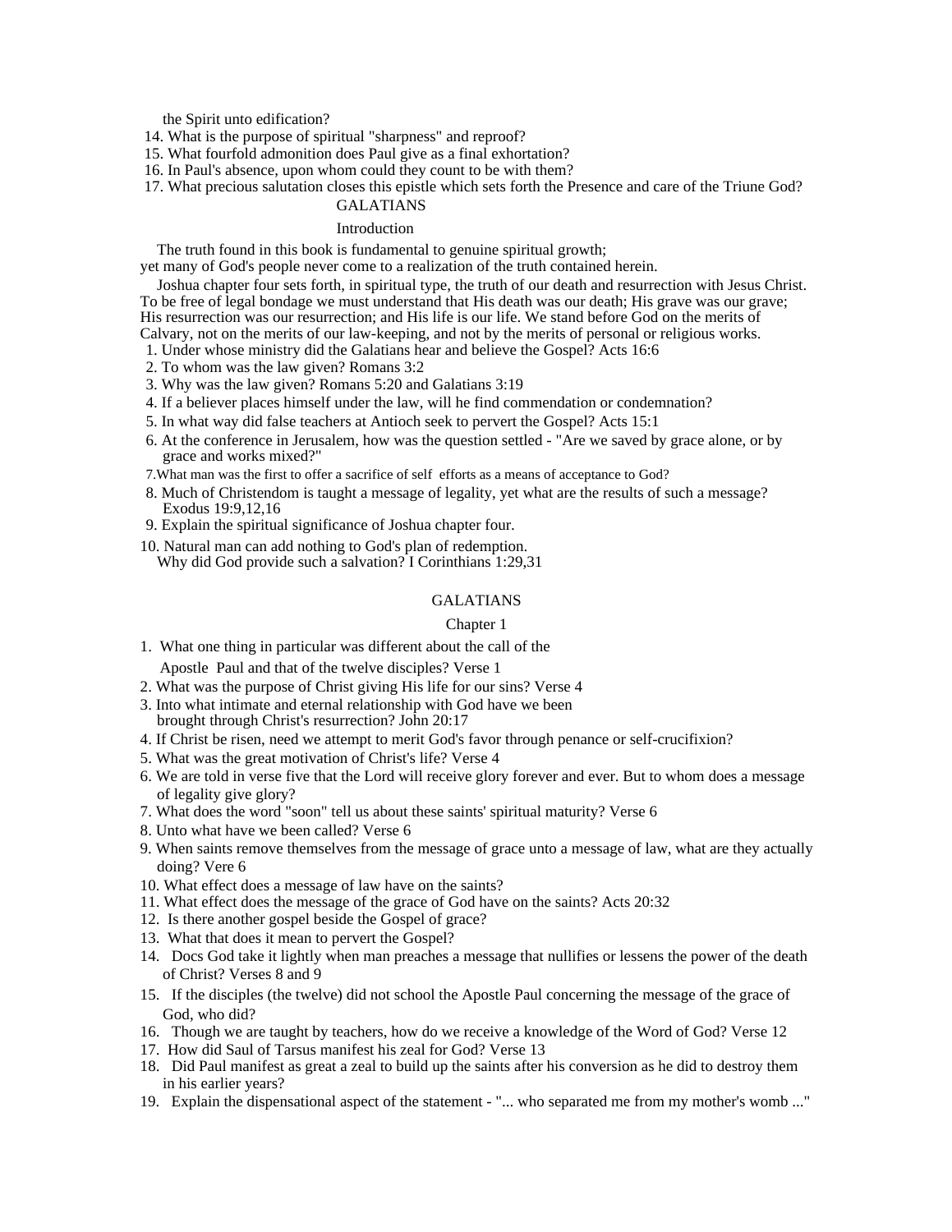the Spirit unto edification?

14. What is the purpose of spiritual "sharpness" and reproof?

15. What fourfold admonition does Paul give as a final exhortation?

16. In Paul's absence, upon whom could they count to be with them?

 17. What precious salutation closes this epistle which sets forth the Presence and care of the Triune God? GALATIANS

# Introduction **Intervention**

The truth found in this book is fundamental to genuine spiritual growth; yet many of God's people never come to a realization of the truth contained herein.

Joshua chapter four sets forth, in spiritual type, the truth of our death and resurrection with Jesus Christ. To be free of legal bondage we must understand that His death was our death; His grave was our grave; His resurrection was our resurrection; and His life is our life. We stand before God on the merits of Calvary, not on the merits of our law-keeping, and not by the merits of personal or religious works.

- 1. Under whose ministry did the Galatians hear and believe the Gospel? Acts 16:6
- 2. To whom was the law given? Romans 3:2
- 3. Why was the law given? Romans 5:20 and Galatians 3:19
- 4. If a believer places himself under the law, will he find commendation or condemnation?
- 5. In what way did false teachers at Antioch seek to pervert the Gospel? Acts 15:1
- 6. At the conference in Jerusalem, how was the question settled "Are we saved by grace alone, or by grace and works mixed?"
- 7.What man was the first to offer a sacrifice of self efforts as a means of acceptance to God?
- 8. Much of Christendom is taught a message of legality, yet what are the results of such a message? Exodus 19:9,12,16
- 9. Explain the spiritual significance of Joshua chapter four.
- 10. Natural man can add nothing to God's plan of redemption. Why did God provide such a salvation? I Corinthians 1:29,31

#### GALATIANS

#### Chapter 1 and 2 and 2 and 2 and 2 and 2 and 2 and 2 and 2 and 2 and 2 and 2 and 2 and 2 and 2 and 2 and 2 and 2 and 2 and 2 and 2 and 2 and 2 and 2 and 2 and 2 and 2 and 2 and 2 and 2 and 2 and 2 and 2 and 2 and 2 and 2 an

- 1. What one thing in particular was different about the call of the Apostle Paul and that of the twelve disciples? Verse 1
- 2. What was the purpose of Christ giving His life for our sins? Verse 4
- 3. Into what intimate and eternal relationship with God have we been
- brought through Christ's resurrection? John 20:17
- 4. If Christ be risen, need we attempt to merit God's favor through penance or self-crucifixion?
- 5. What was the great motivation of Christ's life? Verse 4
- 6. We are told in verse five that the Lord will receive glory forever and ever. But to whom does a message of legality give glory?
- 7. What does the word "soon" tell us about these saints' spiritual maturity? Verse 6
- 8. Unto what have we been called? Verse 6
- 9. When saints remove themselves from the message of grace unto a message of law, what are they actually doing? Vere 6
- 10. What effect does a message of law have on the saints?
- 11. What effect does the message of the grace of God have on the saints? Acts 20:32
- 12. Is there another gospel beside the Gospel of grace?
- 13. What that does it mean to pervert the Gospel?
- 14. Docs God take it lightly when man preaches a message that nullifies or lessens the power of the death of Christ? Verses 8 and 9
- 15. If the disciples (the twelve) did not school the Apostle Paul concerning the message of the grace of God, who did?
- 16. Though we are taught by teachers, how do we receive a knowledge of the Word of God? Verse 12
- 17. How did Saul of Tarsus manifest his zeal for God? Verse 13
- 18. Did Paul manifest as great a zeal to build up the saints after his conversion as he did to destroy them in his earlier years?
- 19. Explain the dispensational aspect of the statement "... who separated me from my mother's womb ..."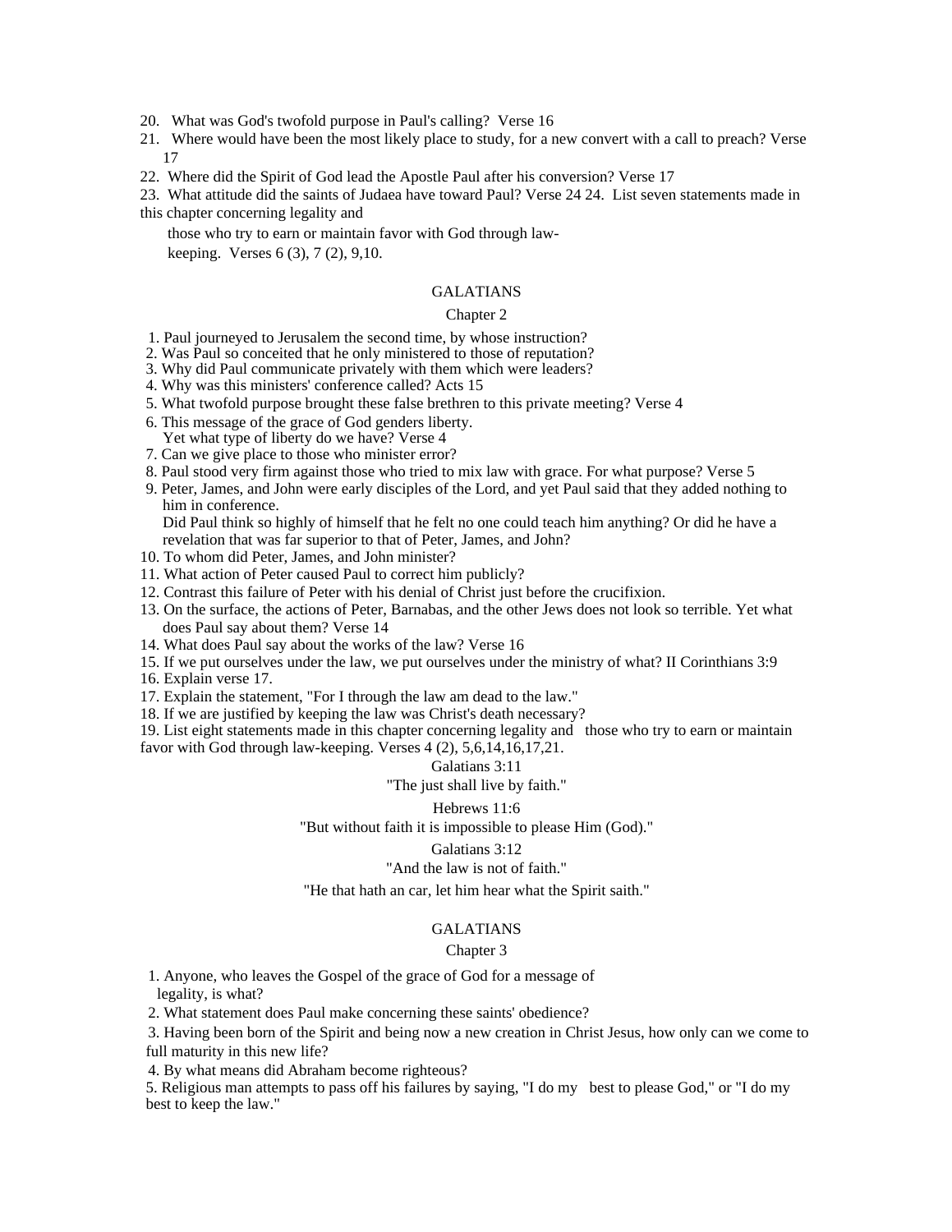- 20. What was God's twofold purpose in Paul's calling? Verse 16
- 21. Where would have been the most likely place to study, for a new convert with a call to preach? Verse 17
- 22. Where did the Spirit of God lead the Apostle Paul after his conversion? Verse 17

23. What attitude did the saints of Judaea have toward Paul? Verse 24 24. List seven statements made in this chapter concerning legality and

those who try to earn or maintain favor with God through law-

keeping. Verses 6 (3), 7 (2), 9,10.

#### GALATIANS

#### Chapter 2

- 1. Paul journeyed to Jerusalem the second time, by whose instruction?
- 2. Was Paul so conceited that he only ministered to those of reputation?
- 3. Why did Paul communicate privately with them which were leaders?
- 4. Why was this ministers' conference called? Acts 15
- 5. What twofold purpose brought these false brethren to this private meeting? Verse 4
- 6. This message of the grace of God genders liberty.
- Yet what type of liberty do we have? Verse 4
- 7. Can we give place to those who minister error?
- 8. Paul stood very firm against those who tried to mix law with grace. For what purpose? Verse 5
- 9. Peter, James, and John were early disciples of the Lord, and yet Paul said that they added nothing to him in conference.

Did Paul think so highly of himself that he felt no one could teach him anything? Or did he have a revelation that was far superior to that of Peter, James, and John?

- 10. To whom did Peter, James, and John minister?
- 11. What action of Peter caused Paul to correct him publicly?
- 12. Contrast this failure of Peter with his denial of Christ just before the crucifixion.
- 13. On the surface, the actions of Peter, Barnabas, and the other Jews does not look so terrible. Yet what does Paul say about them? Verse 14
- 14. What does Paul say about the works of the law? Verse 16
- 15. If we put ourselves under the law, we put ourselves under the ministry of what? II Corinthians 3:9
- 16. Explain verse 17.
- 17. Explain the statement, "For I through the law am dead to the law."
- 18. If we are justified by keeping the law was Christ's death necessary?

19. List eight statements made in this chapter concerning legality and those who try to earn or maintain favor with God through law-keeping. Verses 4 (2), 5,6,14,16,17,21.

# Galatians 3:11

"The just shall live by faith."

#### Hebrews 11:6

"But without faith it is impossible to please Him (God)."

#### Galatians 3:12

# "And the law is not of faith."

"He that hath an car, let him hear what the Spirit saith."

#### GALATIANS

#### Chapter 3 and 200 methods are seen as  $\sim$  100 methods and 3 and 3 and 3 and 3 and 3 and 3 and 3 and 3 and 3 and 3 and 3 and 3 and 3 and 3 and 3 and 3 and 3 and 3 and 3 and 3 and 3 and 3 and 3 and 3 and 3 and 3 and 3 and 3

 1. Anyone, who leaves the Gospel of the grace of God for a message of legality, is what?

2. What statement does Paul make concerning these saints' obedience?

 3. Having been born of the Spirit and being now a new creation in Christ Jesus, how only can we come to full maturity in this new life?

4. By what means did Abraham become righteous?

5. Religious man attempts to pass off his failures by saying, "I do my best to please God," or "I do my best to keep the law."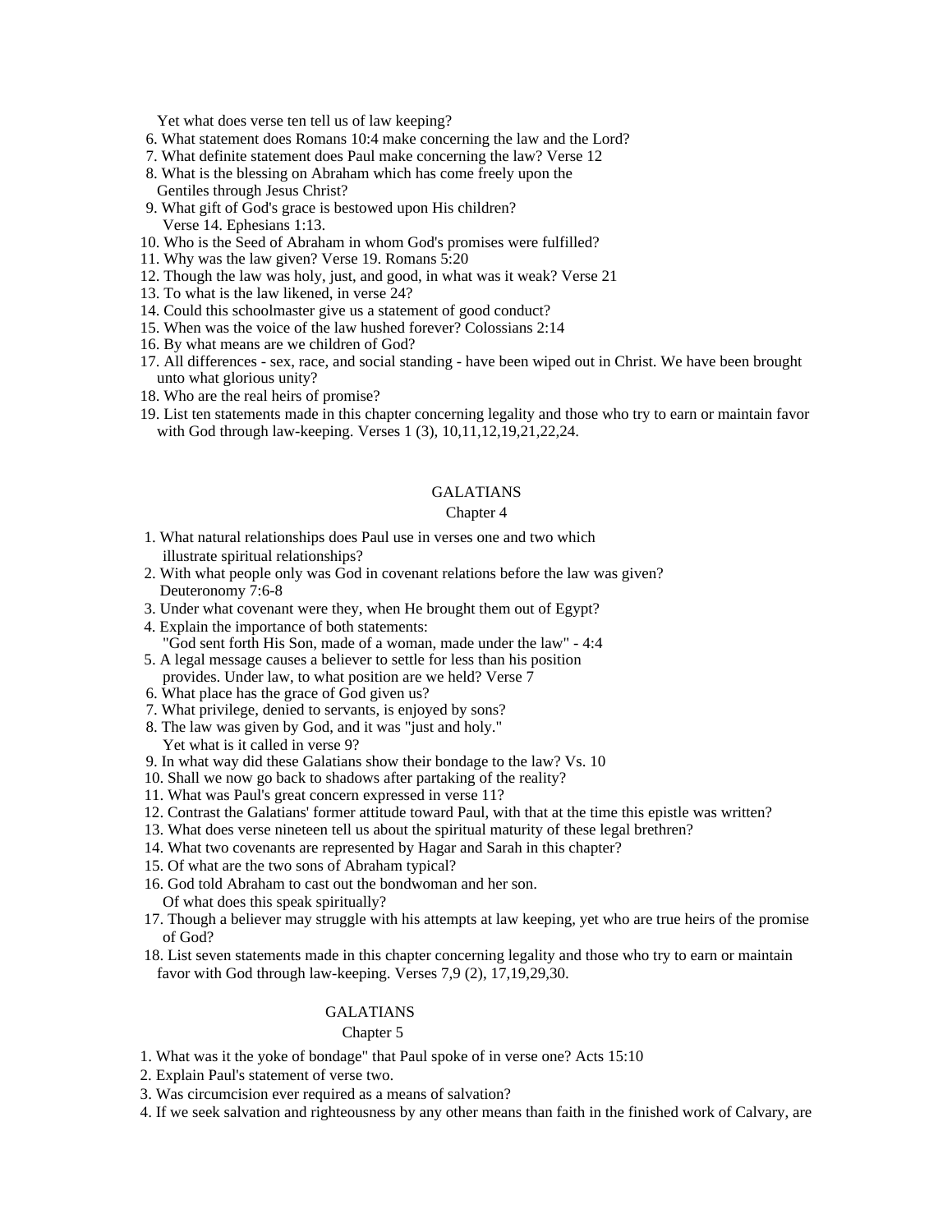Yet what does verse ten tell us of law keeping?

- 6. What statement does Romans 10:4 make concerning the law and the Lord?
- 7. What definite statement does Paul make concerning the law? Verse 12
- 8. What is the blessing on Abraham which has come freely upon the Gentiles through Jesus Christ?
- 9. What gift of God's grace is bestowed upon His children? Verse 14. Ephesians 1:13.
- 10. Who is the Seed of Abraham in whom God's promises were fulfilled?
- 11. Why was the law given? Verse 19. Romans 5:20
- 12. Though the law was holy, just, and good, in what was it weak? Verse 21
- 13. To what is the law likened, in verse 24?
- 14. Could this schoolmaster give us a statement of good conduct?
- 15. When was the voice of the law hushed forever? Colossians 2:14
- 16. By what means are we children of God?
- 17. All differences sex, race, and social standing have been wiped out in Christ. We have been brought unto what glorious unity?
- 18. Who are the real heirs of promise?
- 19. List ten statements made in this chapter concerning legality and those who try to earn or maintain favor with God through law-keeping. Verses 1 (3), 10,11,12,19,21,22,24.

#### GALATIANS

#### Chapter 4 and 2008 and 2008 and 2008 and 2008 and 2008 and 2008 and 2008 and 2008 and 2008 and 2008 and 2008 and 2008 and 2008 and 2008 and 2008 and 2008 and 2008 and 2008 and 2008 and 2008 and 2008 and 2008 and 2008 and 2

- 1. What natural relationships does Paul use in verses one and two which illustrate spiritual relationships?
- 2. With what people only was God in covenant relations before the law was given? Deuteronomy 7:6-8
- 3. Under what covenant were they, when He brought them out of Egypt?
- 4. Explain the importance of both statements: "God sent forth His Son, made of a woman, made under the law" - 4:4
- 5. A legal message causes a believer to settle for less than his position provides. Under law, to what position are we held? Verse 7
- 6. What place has the grace of God given us?
- 7. What privilege, denied to servants, is enjoyed by sons?
- 8. The law was given by God, and it was "just and holy."

Yet what is it called in verse 9?

- 9. In what way did these Galatians show their bondage to the law? Vs. 10
- 10. Shall we now go back to shadows after partaking of the reality?
- 11. What was Paul's great concern expressed in verse 11?
- 12. Contrast the Galatians' former attitude toward Paul, with that at the time this epistle was written?
- 13. What does verse nineteen tell us about the spiritual maturity of these legal brethren?
- 14. What two covenants are represented by Hagar and Sarah in this chapter?
- 15. Of what are the two sons of Abraham typical?
- 16. God told Abraham to cast out the bondwoman and her son.
- Of what does this speak spiritually?
- 17. Though a believer may struggle with his attempts at law keeping, yet who are true heirs of the promise of God?
- 18. List seven statements made in this chapter concerning legality and those who try to earn or maintain favor with God through law-keeping. Verses 7,9 (2), 17,19,29,30.

#### GALATIANS

#### Chapter 5 and 200 and 200 and 200 and 200 and 200 and 200 and 200 and 200 and 200 and 200 and 200 and 200 and 200 and 200 and 200 and 200 and 200 and 200 and 200 and 200 and 200 and 200 and 200 and 200 and 200 and 200 and

- 1. What was it the yoke of bondage" that Paul spoke of in verse one? Acts 15:10
- 2. Explain Paul's statement of verse two.
- 3. Was circumcision ever required as a means of salvation?
- 4. If we seek salvation and righteousness by any other means than faith in the finished work of Calvary, are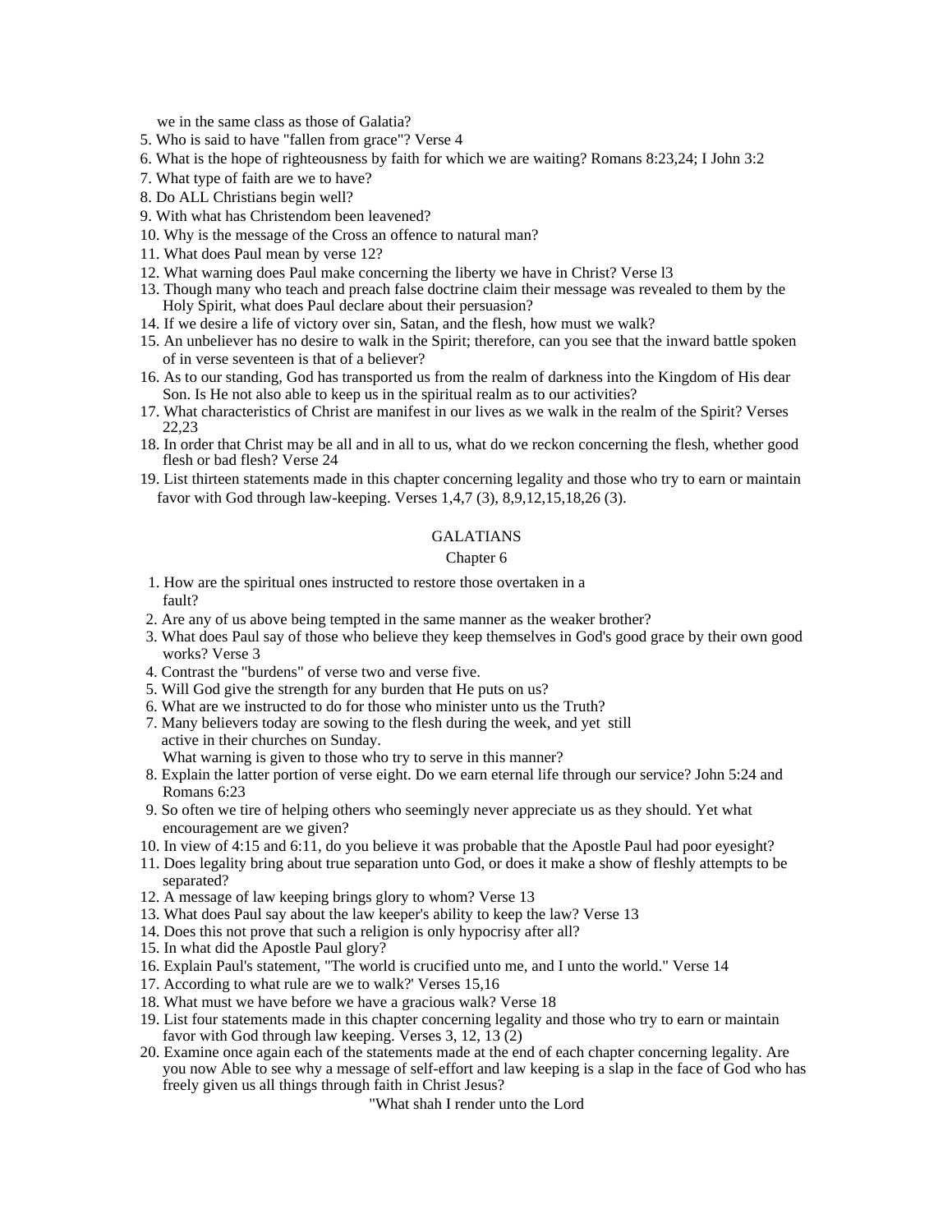we in the same class as those of Galatia?

- 5. Who is said to have "fallen from grace"? Verse 4
- 6. What is the hope of righteousness by faith for which we are waiting? Romans 8:23,24; I John 3:2
- 7. What type of faith are we to have?
- 8. Do ALL Christians begin well?
- 9. With what has Christendom been leavened?
- 10. Why is the message of the Cross an offence to natural man?
- 11. What does Paul mean by verse 12?
- 12. What warning does Paul make concerning the liberty we have in Christ? Verse l3
- 13. Though many who teach and preach false doctrine claim their message was revealed to them by the Holy Spirit, what does Paul declare about their persuasion?
- 14. If we desire a life of victory over sin, Satan, and the flesh, how must we walk?
- 15. An unbeliever has no desire to walk in the Spirit; therefore, can you see that the inward battle spoken of in verse seventeen is that of a believer?
- 16. As to our standing, God has transported us from the realm of darkness into the Kingdom of His dear Son. Is He not also able to keep us in the spiritual realm as to our activities?
- 17. What characteristics of Christ are manifest in our lives as we walk in the realm of the Spirit? Verses 22,23
- 18. In order that Christ may be all and in all to us, what do we reckon concerning the flesh, whether good flesh or bad flesh? Verse 24
- 19. List thirteen statements made in this chapter concerning legality and those who try to earn or maintain favor with God through law-keeping. Verses 1,4,7 (3), 8,9,12,15,18,26 (3).

#### GALATIANS

#### Chapter 6 and the contract of the contract of the contract of the contract of the contract of the contract of the contract of the contract of the contract of the contract of the contract of the contract of the contract of

- 1. How are the spiritual ones instructed to restore those overtaken in a fault?
- 2. Are any of us above being tempted in the same manner as the weaker brother?
- 3. What does Paul say of those who believe they keep themselves in God's good grace by their own good works? Verse 3
- 4. Contrast the "burdens" of verse two and verse five.
- 5. Will God give the strength for any burden that He puts on us?
- 6. What are we instructed to do for those who minister unto us the Truth?
- 7. Many believers today are sowing to the flesh during the week, and yet still active in their churches on Sunday.
	- What warning is given to those who try to serve in this manner?
- 8. Explain the latter portion of verse eight. Do we earn eternal life through our service? John 5:24 and Romans 6:23
- 9. So often we tire of helping others who seemingly never appreciate us as they should. Yet what encouragement are we given?
- 10. In view of 4:15 and 6:11, do you believe it was probable that the Apostle Paul had poor eyesight?
- 11. Does legality bring about true separation unto God, or does it make a show of fleshly attempts to be separated? The contract of the contract of the contract of the contract of the contract of the contract of the contract of the contract of the contract of the contract of the contract of the contract of the contract of the
- 12. A message of law keeping brings glory to whom? Verse 13
- 13. What does Paul say about the law keeper's ability to keep the law? Verse 13
- 14. Does this not prove that such a religion is only hypocrisy after all?
- 15. In what did the Apostle Paul glory?
- 16. Explain Paul's statement, "The world is crucified unto me, and I unto the world." Verse 14
- 17. According to what rule are we to walk?' Verses 15,16
- 18. What must we have before we have a gracious walk? Verse 18
- 19. List four statements made in this chapter concerning legality and those who try to earn or maintain favor with God through law keeping. Verses 3, 12, 13 (2)
- 20. Examine once again each of the statements made at the end of each chapter concerning legality. Are you now Able to see why a message of self-effort and law keeping is a slap in the face of God who has freely given us all things through faith in Christ Jesus?

"What shah I render unto the Lord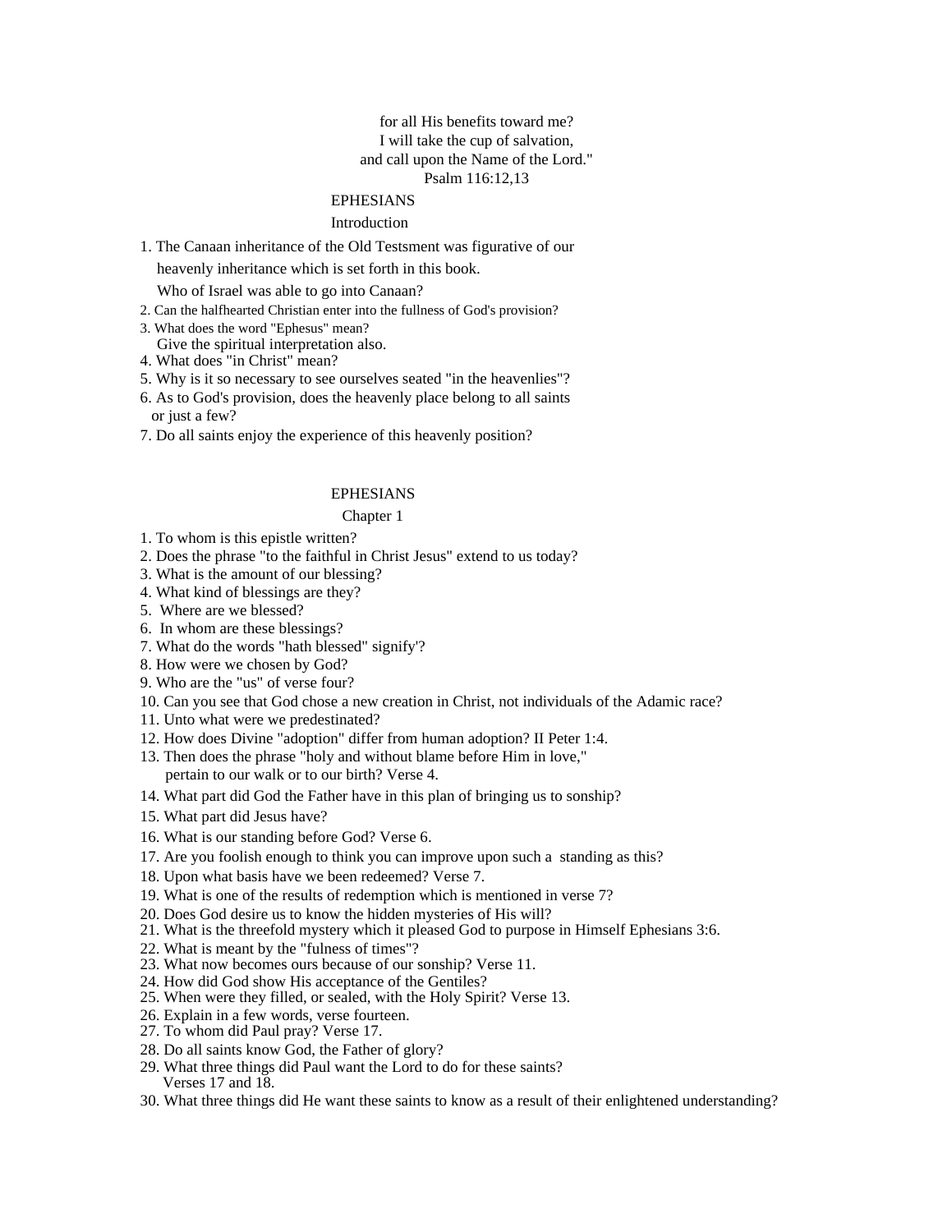# for all His benefits toward me? I will take the cup of salvation, and call upon the Name of the Lord." Psalm 116:12,13

# EPHESIANS

#### Introduction **Intervention**

1. The Canaan inheritance of the Old Testsment was figurative of our

heavenly inheritance which is set forth in this book.

Who of Israel was able to go into Canaan?

- 2. Can the halfhearted Christian enter into the fullness of God's provision?
- 3. What does the word "Ephesus" mean?
- Give the spiritual interpretation also.
- 4. What does "in Christ" mean?
- 5. Why is it so necessary to see ourselves seated "in the heavenlies"?
- 6. As to God's provision, does the heavenly place belong to all saints or just a few?
- 7. Do all saints enjoy the experience of this heavenly position?

#### EPHESIANS

#### Chapter 1 and 200 and 200 and 200 and 200 and 200 and 200 and 200 and 200 and 200 and 200 and 200 and 200 and 200 and 200 and 200 and 200 and 200 and 200 and 200 and 200 and 200 and 200 and 200 and 200 and 200 and 200 and

- 1. To whom is this epistle written?
- 2. Does the phrase "to the faithful in Christ Jesus" extend to us today?
- 3. What is the amount of our blessing?
- 4. What kind of blessings are they?
- 5. Where are we blessed?
- 6. In whom are these blessings?
- 7. What do the words "hath blessed" signify'?
- 8. How were we chosen by God?
- 9. Who are the "us" of verse four?
- 10. Can you see that God chose a new creation in Christ, not individuals of the Adamic race?
- 11. Unto what were we predestinated?
- 12. How does Divine "adoption" differ from human adoption? II Peter 1:4.
- 13. Then does the phrase "holy and without blame before Him in love," pertain to our walk or to our birth? Verse 4.
- 14. What part did God the Father have in this plan of bringing us to sonship?
- 15. What part did Jesus have?
- 16. What is our standing before God? Verse 6.
- 17. Are you foolish enough to think you can improve upon such a standing as this?
- 18. Upon what basis have we been redeemed? Verse 7.
- 19. What is one of the results of redemption which is mentioned in verse 7?
- 20. Does God desire us to know the hidden mysteries of His will?
- 21. What is the threefold mystery which it pleased God to purpose in Himself Ephesians 3:6.
- 22. What is meant by the "fulness of times"?
- 23. What now becomes ours because of our sonship? Verse 11.
- 24. How did God show His acceptance of the Gentiles?
- 25. When were they filled, or sealed, with the Holy Spirit? Verse 13.
- 26. Explain in a few words, verse fourteen.
- 27. To whom did Paul pray? Verse 17.
- 28. Do all saints know God, the Father of glory?
- 29. What three things did Paul want the Lord to do for these saints? Verses 17 and 18.
- 30. What three things did He want these saints to know as a result of their enlightened understanding?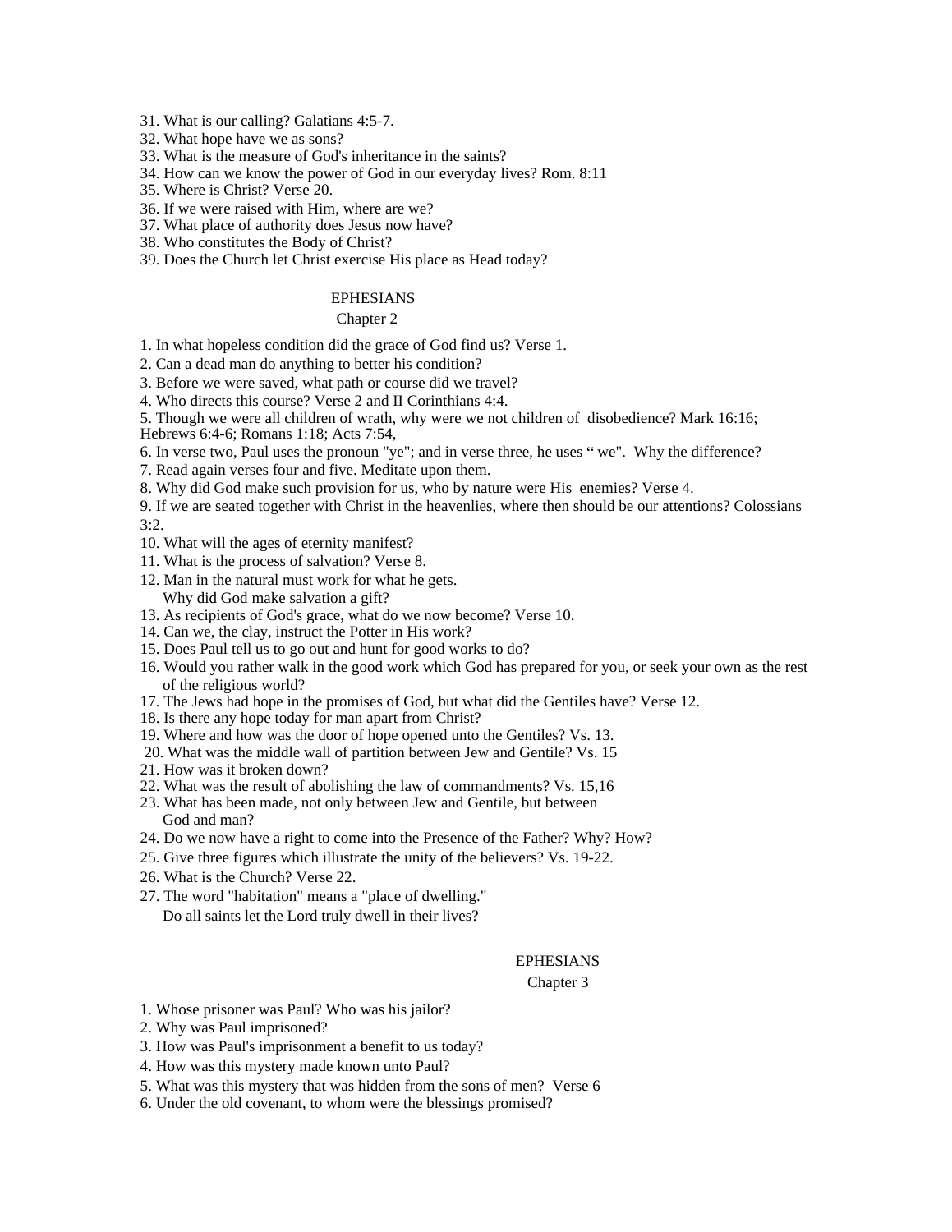31. What is our calling? Galatians 4:5-7.

- 32. What hope have we as sons?
- 33. What is the measure of God's inheritance in the saints?
- 34. How can we know the power of God in our everyday lives? Rom. 8:11
- 35. Where is Christ? Verse 20.
- 36. If we were raised with Him, where are we?
- 37. What place of authority does Jesus now have?
- 38. Who constitutes the Body of Christ?
- 39. Does the Church let Christ exercise His place as Head today?

#### EPHESIANS

#### Chapter 2 and 2 and 2 and 2 and 2 and 2 and 2 and 2 and 2 and 2 and 2 and 2 and 2 and 2 and 2 and 2 and 2 and 2 and 2 and 2 and 2 and 2 and 2 and 2 and 2 and 2 and 2 and 2 and 2 and 2 and 2 and 2 and 2 and 2 and 2 and 2 an

1. In what hopeless condition did the grace of God find us? Verse 1.

- 2. Can a dead man do anything to better his condition?
- 3. Before we were saved, what path or course did we travel?
- 4. Who directs this course? Verse 2 and II Corinthians 4:4.
- 5. Though we were all children of wrath, why were we not children of disobedience? Mark 16:16;
- Hebrews 6:4-6; Romans 1:18; Acts 7:54,
- 6. In verse two, Paul uses the pronoun "ye"; and in verse three, he uses "we". Why the difference?
- 7. Read again verses four and five. Meditate upon them.
- 8. Why did God make such provision for us, who by nature were His enemies? Verse 4.
- 9. If we are seated together with Christ in the heavenlies, where then should be our attentions? Colossians 3:2.
- 10. What will the ages of eternity manifest?
- 11. What is the process of salvation? Verse 8.
- 12. Man in the natural must work for what he gets. Why did God make salvation a gift?
- 13. As recipients of God's grace, what do we now become? Verse 10.
- 14. Can we, the clay, instruct the Potter in His work?
- 15. Does Paul tell us to go out and hunt for good works to do?
- 16. Would you rather walk in the good work which God has prepared for you, or seek your own as the rest of the religious world?
- 17. The Jews had hope in the promises of God, but what did the Gentiles have? Verse 12.
- 18. Is there any hope today for man apart from Christ?
- 19. Where and how was the door of hope opened unto the Gentiles? Vs. 13.
- 20. What was the middle wall of partition between Jew and Gentile? Vs. 15
- 21. How was it broken down?
- 22. What was the result of abolishing the law of commandments? Vs. 15,16
- 23. What has been made, not only between Jew and Gentile, but between God and man?
- 24. Do we now have a right to come into the Presence of the Father? Why? How?
- 25. Give three figures which illustrate the unity of the believers? Vs. 19-22.
- 26. What is the Church? Verse 22.
- 27. The word "habitation" means a "place of dwelling." Do all saints let the Lord truly dwell in their lives?

#### EPHESIANS

#### Chapter 3 and 200 methods of the state of the state of the state of the state of the state of the state of the state of the state of the state of the state of the state of the state of the state of the state of the state o

- 1. Whose prisoner was Paul? Who was his jailor?
- 2. Why was Paul imprisoned?
- 3. How was Paul's imprisonment a benefit to us today?
- 4. How was this mystery made known unto Paul?
- 5. What was this mystery that was hidden from the sons of men? Verse 6
- 6. Under the old covenant, to whom were the blessings promised?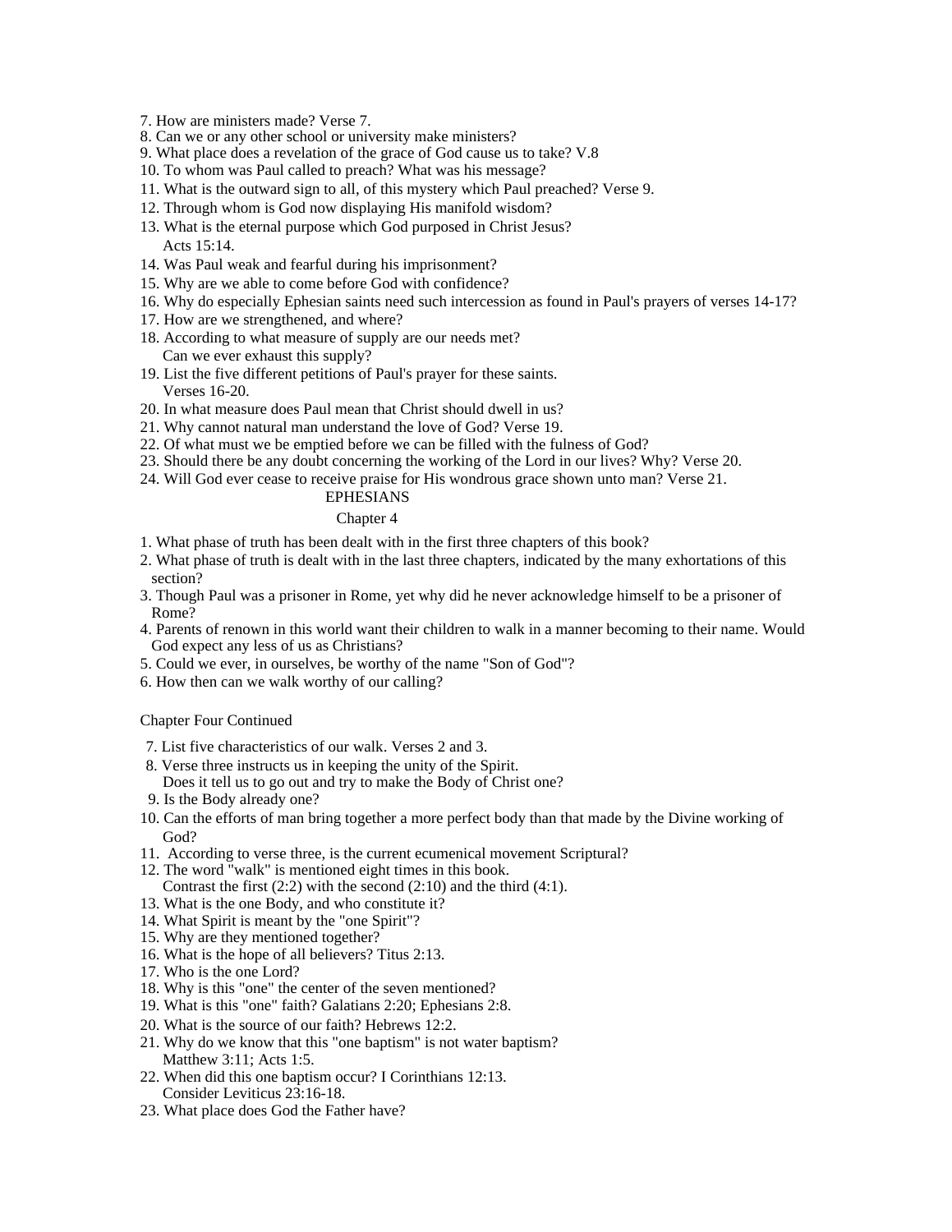- 7. How are ministers made? Verse 7.
- 8. Can we or any other school or university make ministers?

9. What place does a revelation of the grace of God cause us to take? V.8

- 10. To whom was Paul called to preach? What was his message?
- 11. What is the outward sign to all, of this mystery which Paul preached? Verse 9.
- 12. Through whom is God now displaying His manifold wisdom?
- 13. What is the eternal purpose which God purposed in Christ Jesus?  $\text{Acts } 15:14.$
- 14. Was Paul weak and fearful during his imprisonment?
- 15. Why are we able to come before God with confidence?
- 16. Why do especially Ephesian saints need such intercession as found in Paul's prayers of verses 14-17?
- 17. How are we strengthened, and where?
- 18. According to what measure of supply are our needs met? Can we ever exhaust this supply?
- 19. List the five different petitions of Paul's prayer for these saints. Verses 16-20.
- 20. In what measure does Paul mean that Christ should dwell in us?
- 21. Why cannot natural man understand the love of God? Verse 19.
- 22. Of what must we be emptied before we can be filled with the fulness of God?
- 23. Should there be any doubt concerning the working of the Lord in our lives? Why? Verse 20.
- 24. Will God ever cease to receive praise for His wondrous grace shown unto man? Verse 21.

#### EPHESIANS

#### Chapter 4 and 2008 and 2008 and 2008 and 2008 and 2008 and 2008 and 2008 and 2008 and 2008 and 2008 and 2008 and 2008 and 2008 and 2008 and 2008 and 2008 and 2008 and 2008 and 2008 and 2008 and 2008 and 2008 and 2008 and 2

- 1. What phase of truth has been dealt with in the first three chapters of this book?
- 2. What phase of truth is dealt with in the last three chapters, indicated by the many exhortations of this section?
- 3. Though Paul was a prisoner in Rome, yet why did he never acknowledge himself to be a prisoner of Rome?
- 4. Parents of renown in this world want their children to walk in a manner becoming to their name. Would God expect any less of us as Christians?
- 5. Could we ever, in ourselves, be worthy of the name "Son of God"?
- 6. How then can we walk worthy of our calling?

#### Chapter Four Continued

- 7. List five characteristics of our walk. Verses 2 and 3.
- 8. Verse three instructs us in keeping the unity of the Spirit. Does it tell us to go out and try to make the Body of Christ one?
- 9. Is the Body already one?
- 10. Can the efforts of man bring together a more perfect body than that made by the Divine working of God? **God** in the contract of the contract of the contract of the contract of the contract of the contract of the contract of the contract of the contract of the contract of the contract of the contract of the contract of
- 11. According to verse three, is the current ecumenical movement Scriptural?
- 12. The word "walk" is mentioned eight times in this book. Contrast the first  $(2:2)$  with the second  $(2:10)$  and the third  $(4:1)$ .
- 13. What is the one Body, and who constitute it?
- 14. What Spirit is meant by the "one Spirit"?
- 15. Why are they mentioned together?
- 16. What is the hope of all believers? Titus 2:13.<br>17. Who is the one Lord?
- 17. Who is the one Lord?
- 18. Why is this "one" the center of the seven mentioned?
- 19. What is this "one" faith? Galatians 2:20; Ephesians 2:8.
- 20. What is the source of our faith? Hebrews 12:2.
- 21. Why do we know that this "one baptism" is not water baptism? Matthew 3:11; Acts 1:5.
- 22. When did this one baptism occur? I Corinthians 12:13. Consider Leviticus 23:16-18.
- 23. What place does God the Father have?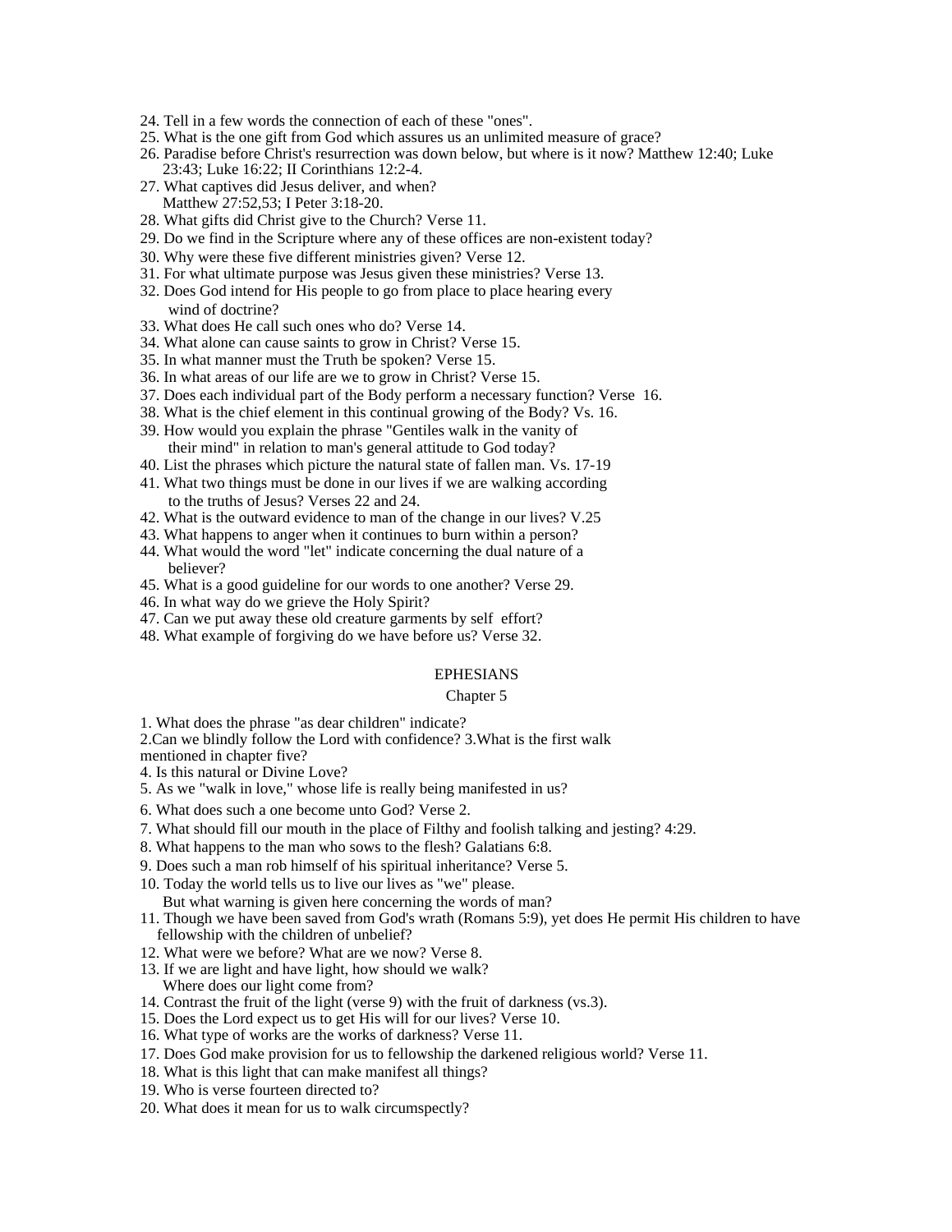- 24. Tell in a few words the connection of each of these "ones".
- 25. What is the one gift from God which assures us an unlimited measure of grace?
- 26. Paradise before Christ's resurrection was down below, but where is it now? Matthew 12:40; Luke 23:43; Luke 16:22; II Corinthians 12:2-4.
- 27. What captives did Jesus deliver, and when? Matthew 27:52,53; I Peter 3:18-20.
- 28. What gifts did Christ give to the Church? Verse 11.
- 29. Do we find in the Scripture where any of these offices are non-existent today?
- 30. Why were these five different ministries given? Verse 12.
- 31. For what ultimate purpose was Jesus given these ministries? Verse 13.
- 32. Does God intend for His people to go from place to place hearing every wind of doctrine?
- 33. What does He call such ones who do? Verse 14.
- 34. What alone can cause saints to grow in Christ? Verse 15.
- 35. In what manner must the Truth be spoken? Verse 15.
- 36. In what areas of our life are we to grow in Christ? Verse 15.
- 37. Does each individual part of the Body perform a necessary function? Verse 16.
- 38. What is the chief element in this continual growing of the Body? Vs. 16.
- 39. How would you explain the phrase "Gentiles walk in the vanity of their mind" in relation to man's general attitude to God today?
- 40. List the phrases which picture the natural state of fallen man. Vs. 17-19
- 41. What two things must be done in our lives if we are walking according to the truths of Jesus? Verses 22 and 24.
- 42. What is the outward evidence to man of the change in our lives? V.25
- 43. What happens to anger when it continues to burn within a person? 44. What would the word "let" indicate concerning the dual nature of a
- believer? 45. What is a good guideline for our words to one another? Verse 29.
- 46. In what way do we grieve the Holy Spirit?
- 47. Can we put away these old creature garments by self effort?
- 48. What example of forgiving do we have before us? Verse 32.

#### EPHESIANS

#### Chapter 5 and 200 meters of the contract of the contract of the contract of the contract of the contract of the contract of the contract of the contract of the contract of the contract of the contract of the contract of th

1. What does the phrase "as dear children" indicate?

2.Can we blindly follow the Lord with confidence? 3.What is the first walk

mentioned in chapter five?

4. Is this natural or Divine Love?

- 5. As we "walk in love," whose life is really being manifested in us?
- 6. What does such a one become unto God? Verse 2.
- 7. What should fill our mouth in the place of Filthy and foolish talking and jesting? 4:29.
- 8. What happens to the man who sows to the flesh? Galatians 6:8.
- 9. Does such a man rob himself of his spiritual inheritance? Verse 5.
- 10. Today the world tells us to live our lives as "we" please.
	- But what warning is given here concerning the words of man?
- 11. Though we have been saved from God's wrath (Romans 5:9), yet does He permit His children to have fellowship with the children of unbelief?
- 12. What were we before? What are we now? Verse 8.
- 13. If we are light and have light, how should we walk? Where does our light come from?
- 14. Contrast the fruit of the light (verse 9) with the fruit of darkness (vs.3).
- 15. Does the Lord expect us to get His will for our lives? Verse 10.
- 16. What type of works are the works of darkness? Verse 11.
- 17. Does God make provision for us to fellowship the darkened religious world? Verse 11.
- 18. What is this light that can make manifest all things?
- 19. Who is verse fourteen directed to?
- 20. What does it mean for us to walk circumspectly?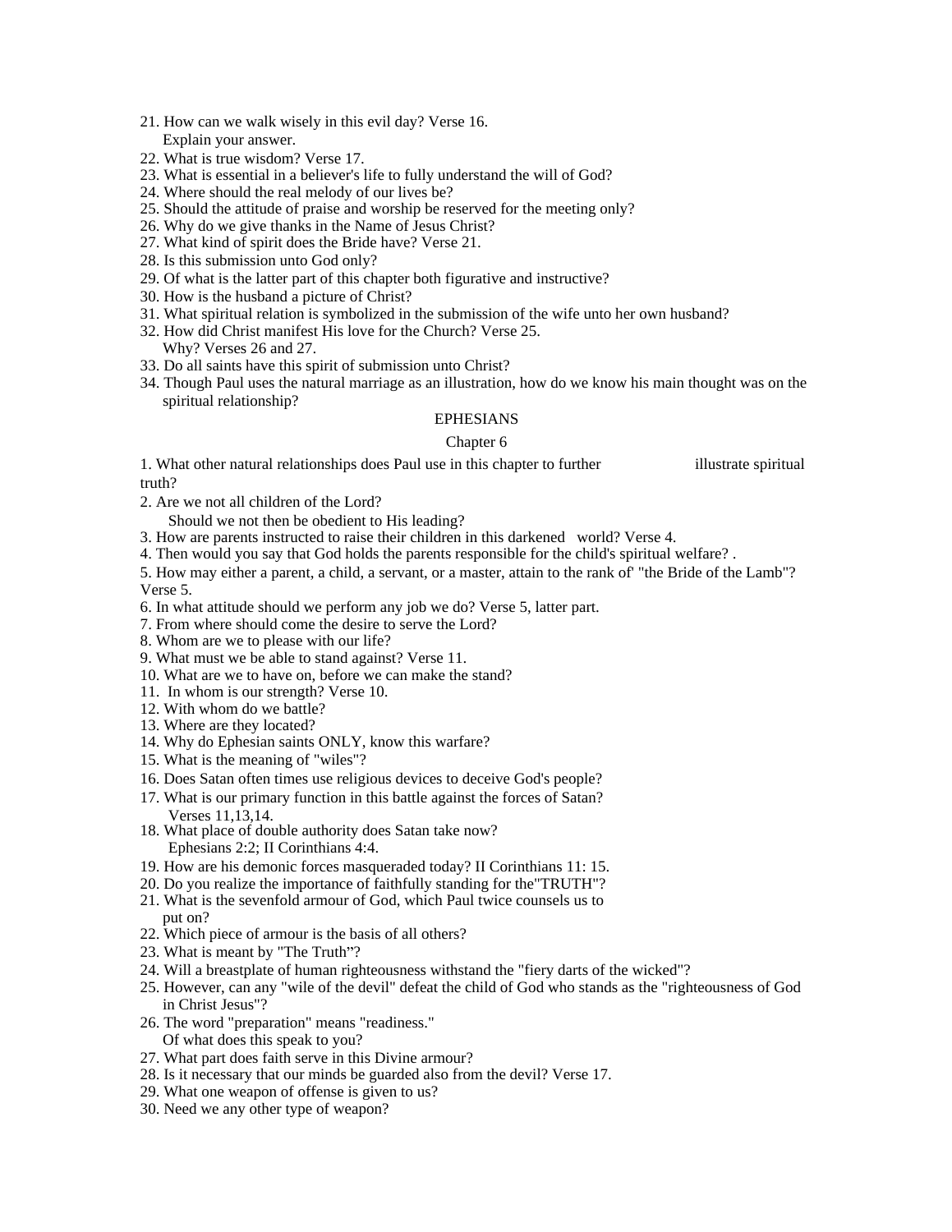- 21. How can we walk wisely in this evil day? Verse 16. Explain your answer.
- 22. What is true wisdom? Verse 17.
- 23. What is essential in a believer's life to fully understand the will of God?
- 24. Where should the real melody of our lives be?
- 25. Should the attitude of praise and worship be reserved for the meeting only?
- 26. Why do we give thanks in the Name of Jesus Christ?
- 27. What kind of spirit does the Bride have? Verse 21.
- 28. Is this submission unto God only?
- 29. Of what is the latter part of this chapter both figurative and instructive?
- 30. How is the husband a picture of Christ?
- 31. What spiritual relation is symbolized in the submission of the wife unto her own husband?
- 32. How did Christ manifest His love for the Church? Verse 25. Why? Verses 26 and 27.
- 33. Do all saints have this spirit of submission unto Christ?
- 34. Though Paul uses the natural marriage as an illustration, how do we know his main thought was on the spiritual relationship?

#### EPHESIANS

#### Chapter 6 and the contract of the contract of the contract of the contract of the contract of the contract of the contract of the contract of the contract of the contract of the contract of the contract of the contract of

1. What other natural relationships does Paul use in this chapter to further illustrate spiritual truth?

2. Are we not all children of the Lord?

Should we not then be obedient to His leading?

- 3. How are parents instructed to raise their children in this darkened world? Verse 4.
- 4. Then would you say that God holds the parents responsible for the child's spiritual welfare? .
- 5. How may either a parent, a child, a servant, or a master, attain to the rank of' "the Bride of the Lamb"? Verse 5.
- 6. In what attitude should we perform any job we do? Verse 5, latter part.
- 7. From where should come the desire to serve the Lord?
- 8. Whom are we to please with our life?
- 9. What must we be able to stand against? Verse 11.
- 10. What are we to have on, before we can make the stand?
- 11. In whom is our strength? Verse 10.
- 12. With whom do we battle?
- 13. Where are they located?
- 14. Why do Ephesian saints ONLY, know this warfare?
- 15. What is the meaning of "wiles"?
- 16. Does Satan often times use religious devices to deceive God's people?
- 17. What is our primary function in this battle against the forces of Satan? Verses 11,13,14.
- 18. What place of double authority does Satan take now? Ephesians 2:2; II Corinthians 4:4.
- 19. How are his demonic forces masqueraded today? II Corinthians 11: 15.
- 20. Do you realize the importance of faithfully standing for the"TRUTH"?
- 21. What is the sevenfold armour of God, which Paul twice counsels us to put on?
- 22. Which piece of armour is the basis of all others?
- 23. What is meant by "The Truth"?
- 24. Will a breastplate of human righteousness withstand the "fiery darts of the wicked"?
- 25. However, can any "wile of the devil" defeat the child of God who stands as the "righteousness of God in Christ Jesus"?
- 26. The word "preparation" means "readiness." Of what does this speak to you?
- 27. What part does faith serve in this Divine armour?
- 28. Is it necessary that our minds be guarded also from the devil? Verse 17.
- 29. What one weapon of offense is given to us?
- 30. Need we any other type of weapon?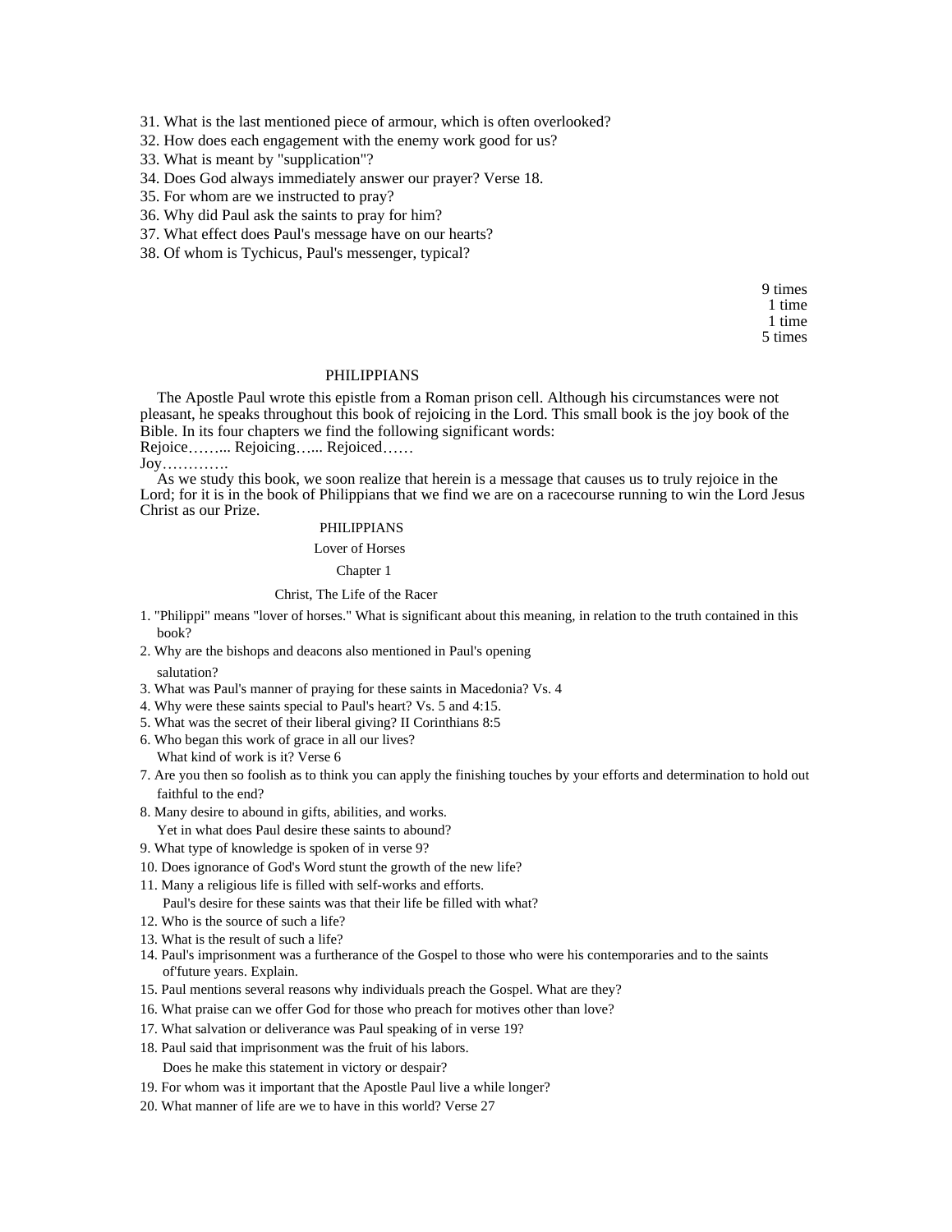31. What is the last mentioned piece of armour, which is often overlooked?

32. How does each engagement with the enemy work good for us?

- 33. What is meant by "supplication"?
- 34. Does God always immediately answer our prayer? Verse 18.
- 35. For whom are we instructed to pray?
- 36. Why did Paul ask the saints to pray for him?
- 37. What effect does Paul's message have on our hearts?
- 38. Of whom is Tychicus, Paul's messenger, typical?

9 times 1 time 1 time 5 times

#### PHILIPPIANS

The Apostle Paul wrote this epistle from a Roman prison cell. Although his circumstances were not pleasant, he speaks throughout this book of rejoicing in the Lord. This small book is the joy book of the Bible. In its four chapters we find the following significant words:

Rejoice .......... Rejoicing ...... Rejoiced ......

#### Joy .

As we study this book, we soon realize that herein is a message that causes us to truly rejoice in the Lord; for it is in the book of Philippians that we find we are on a racecourse running to win the Lord Jesus Christ as our Prize.

#### PHILIPPIANS

Lover of Horses

#### Chapter 1 and 200 and 200 and 200 and 200 and 200 and 200 and 200 and 200 and 200 and 200 and 200 and 200 and 200 and 200 and 200 and 200 and 200 and 200 and 200 and 200 and 200 and 200 and 200 and 200 and 200 and 200 and

#### Christ, The Life of the Racer

- 1. "Philippi" means "lover of horses." What is significant about this meaning, in relation to the truth contained in this book? **book**?
- 2. Why are the bishops and deacons also mentioned in Paul's opening

#### salutation? The contraction of the contraction of the contraction of the contraction of the contraction of the contraction of the contraction of the contraction of the contraction of the contraction of the contraction of t

- 3. What was Paul's manner of praying for these saints in Macedonia? Vs. 4
- 4. Why were these saints special to Paul's heart? Vs. 5 and 4:15.
- 5. What was the secret of their liberal giving? II Corinthians 8:5
- 6. Who began this work of grace in all our lives? What kind of work is it? Verse 6
- 7. Are you then so foolish as to think you can apply the finishing touches by your efforts and determination to hold out faithful to the end?
- 8. Many desire to abound in gifts, abilities, and works.
- Yet in what does Paul desire these saints to abound?
- 9. What type of knowledge is spoken of in verse 9?
- 10. Does ignorance of God's Word stunt the growth of the new life?
- 11. Many a religious life is filled with self-works and efforts.
	- Paul's desire for these saints was that their life be filled with what?
- 12. Who is the source of such a life?
- 13. What is the result of such a life?
- 14. Paul's imprisonment was a furtherance of the Gospel to those who were his contemporaries and to the saints of'future years. Explain.
- 15. Paul mentions several reasons why individuals preach the Gospel. What are they?
- 16. What praise can we offer God for those who preach for motives other than love?
- 17. What salvation or deliverance was Paul speaking of in verse 19?
- 18. Paul said that imprisonment was the fruit of his labors. Does he make this statement in victory or despair?
- 19. For whom was it important that the Apostle Paul live a while longer?
- 20. What manner of life are we to have in this world? Verse 27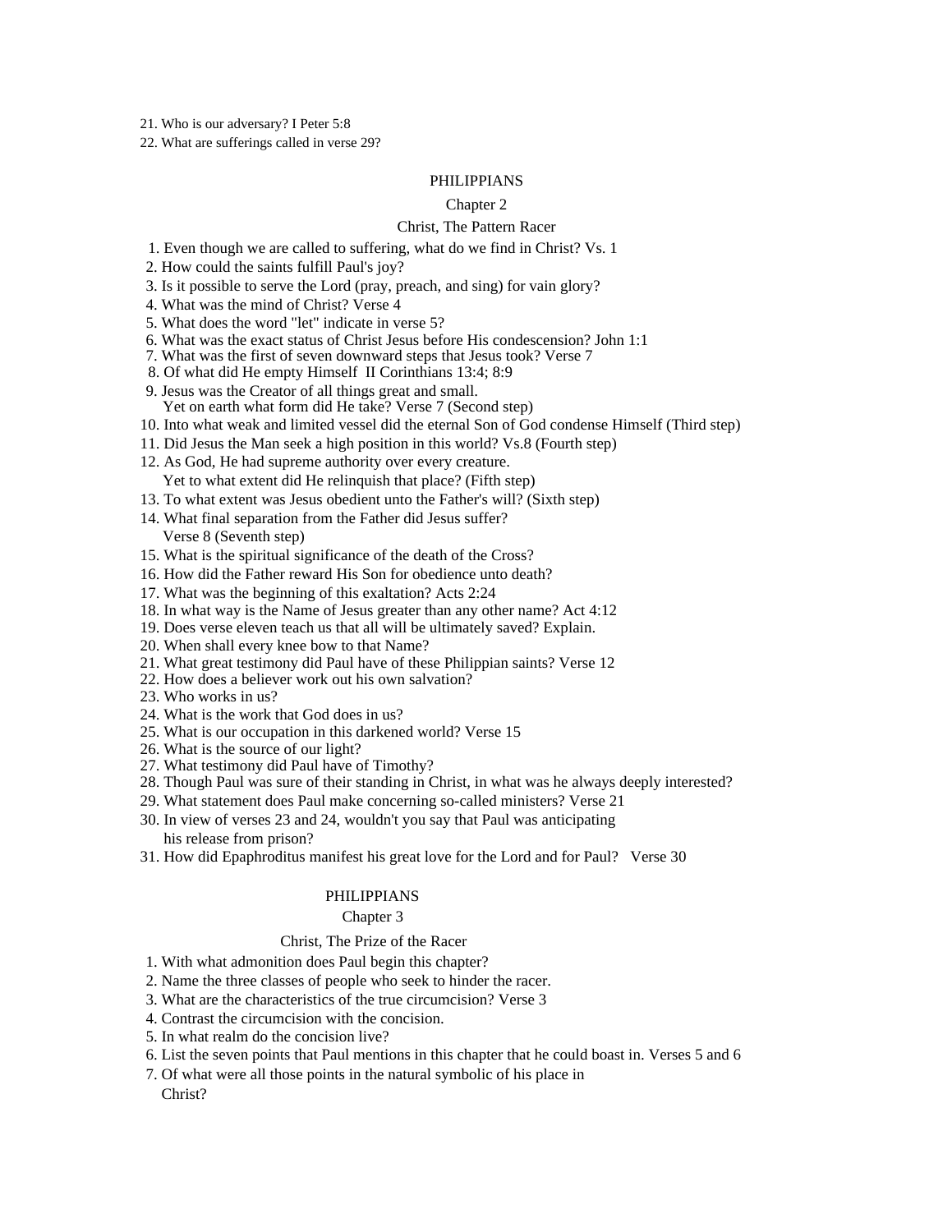21. Who is our adversary? I Peter 5:8

22. What are sufferings called in verse 29?

#### PHILIPPIANS

#### Chapter 2

#### Christ, The Pattern Racer

- 1. Even though we are called to suffering, what do we find in Christ? Vs. 1
- 2. How could the saints fulfill Paul's joy?
- 3. Is it possible to serve the Lord (pray, preach, and sing) for vain glory?
- 4. What was the mind of Christ? Verse 4
- 5. What does the word "let" indicate in verse 5?
- 6. What was the exact status of Christ Jesus before His condescension? John 1:1
- 7. What was the first of seven downward steps that Jesus took? Verse 7
- 8. Of what did He empty Himself II Corinthians 13:4; 8:9
- 9. Jesus was the Creator of all things great and small. Yet on earth what form did He take? Verse 7 (Second step)
- 10. Into what weak and limited vessel did the eternal Son of God condense Himself (Third step)
- 11. Did Jesus the Man seek a high position in this world? Vs.8 (Fourth step)
- 12. As God, He had supreme authority over every creature. Yet to what extent did He relinquish that place? (Fifth step)
- 13. To what extent was Jesus obedient unto the Father's will? (Sixth step)
- 14. What final separation from the Father did Jesus suffer? Verse 8 (Seventh step)
- 15. What is the spiritual significance of the death of the Cross?
- 16. How did the Father reward His Son for obedience unto death?
- 17. What was the beginning of this exaltation? Acts 2:24
- 18. In what way is the Name of Jesus greater than any other name? Act 4:12
- 19. Does verse eleven teach us that all will be ultimately saved? Explain.
- 20. When shall every knee bow to that Name?
- 21. What great testimony did Paul have of these Philippian saints? Verse 12
- 22. How does a believer work out his own salvation?
- 23. Who works in us?
- 24. What is the work that God does in us?
- 25. What is our occupation in this darkened world? Verse 15
- 26. What is the source of our light?
- 27. What testimony did Paul have of Timothy?
- 28. Though Paul was sure of their standing in Christ, in what was he always deeply interested?
- 29. What statement does Paul make concerning so-called ministers? Verse 21
- 30. In view of verses 23 and 24, wouldn't you say that Paul was anticipating his release from prison?
- 31. How did Epaphroditus manifest his great love for the Lord and for Paul? Verse 30

#### PHILIPPIANS

#### Chapter 3 and 200 and 200 and 200 and 200 and 200 and 200 and 200 and 200 and 200 and 200 and 200 and 200 and 200 and 200 and 200 and 200 and 200 and 200 and 200 and 200 and 200 and 200 and 200 and 200 and 200 and 200 and

#### Christ, The Prize of the Racer

- 1. With what admonition does Paul begin this chapter?
- 2. Name the three classes of people who seek to hinder the racer.
- 3. What are the characteristics of the true circumcision? Verse 3
- 4. Contrast the circumcision with the concision.
- 5. In what realm do the concision live?
- 6. List the seven points that Paul mentions in this chapter that he could boast in. Verses 5 and 6
- 7. Of what were all those points in the natural symbolic of his place in Christ?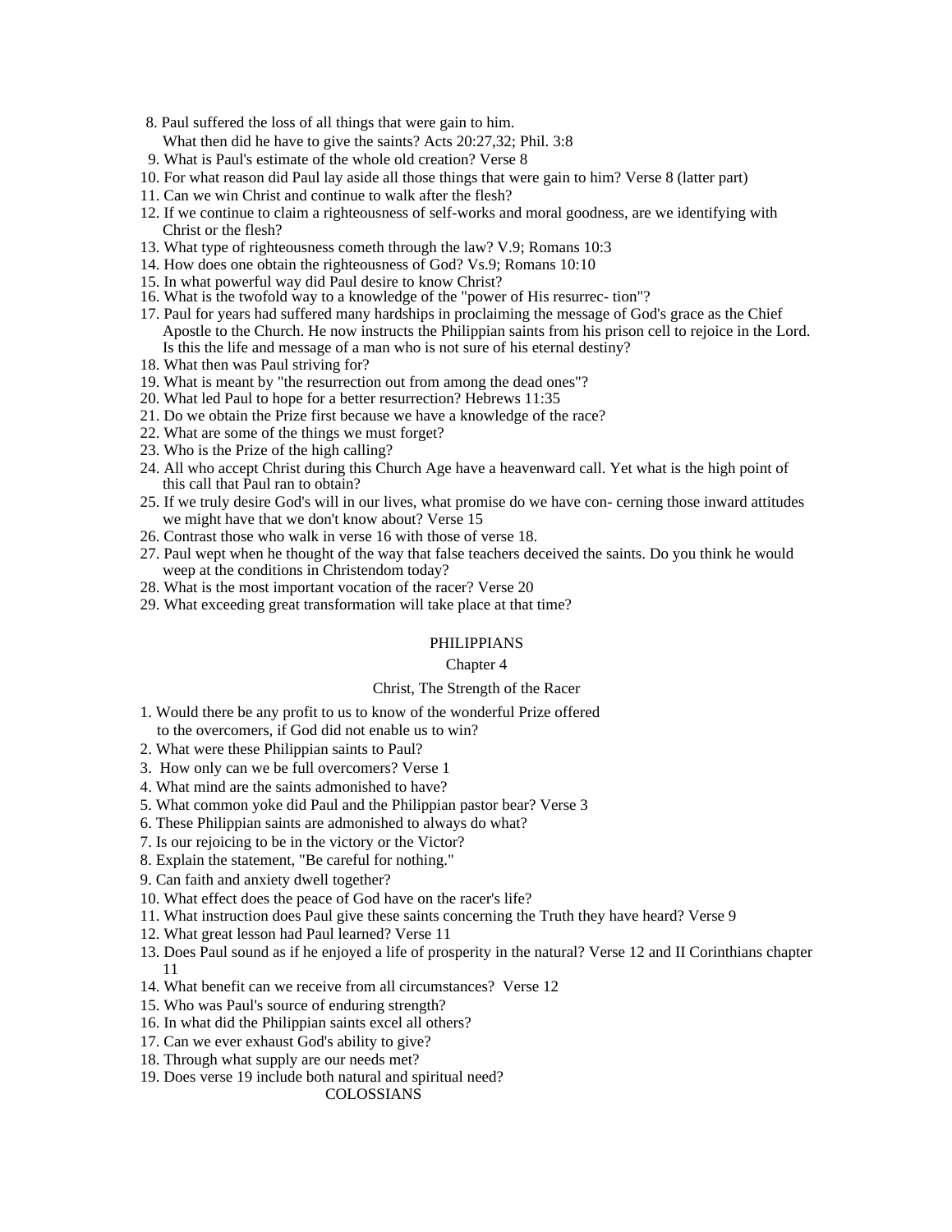- 8. Paul suffered the loss of all things that were gain to him.
- What then did he have to give the saints? Acts 20:27,32; Phil. 3:8
- 9. What is Paul's estimate of the whole old creation? Verse 8
- 10. For what reason did Paul lay aside all those things that were gain to him? Verse 8 (latter part)
- 11. Can we win Christ and continue to walk after the flesh?
- 12. If we continue to claim a righteousness of self-works and moral goodness, are we identifying with Christ or the flesh?
- 13. What type of righteousness cometh through the law? V.9; Romans 10:3
- 14. How does one obtain the righteousness of God? Vs.9; Romans 10:10
- 15. In what powerful way did Paul desire to know Christ?
- 16. What is the twofold way to a knowledge of the "power of His resurrec- tion"?
- 17. Paul for years had suffered many hardships in proclaiming the message of God's grace as the Chief Apostle to the Church. He now instructs the Philippian saints from his prison cell to rejoice in the Lord. Is this the life and message of a man who is not sure of his eternal destiny?
- 18. What then was Paul striving for?
- 19. What is meant by "the resurrection out from among the dead ones"?
- 20. What led Paul to hope for a better resurrection? Hebrews 11:35
- 21. Do we obtain the Prize first because we have a knowledge of the race?
- 22. What are some of the things we must forget?
- 23. Who is the Prize of the high calling?
- 24. All who accept Christ during this Church Age have a heavenward call. Yet what is the high point of this call that Paul ran to obtain?
- 25. If we truly desire God's will in our lives, what promise do we have con- cerning those inward attitudes we might have that we don't know about? Verse 15
- 26. Contrast those who walk in verse 16 with those of verse 18.
- 27. Paul wept when he thought of the way that false teachers deceived the saints. Do you think he would weep at the conditions in Christendom today?
- 28. What is the most important vocation of the racer? Verse 20
- 29. What exceeding great transformation will take place at that time?

# PHILIPPIANS

# Chapter 4 and 2008 and 2008 and 2008 and 2008 and 2008 and 2008 and 2008 and 2008 and 2008 and 2008 and 2008 and 2008 and 2008 and 2008 and 2008 and 2008 and 2008 and 2008 and 2008 and 2008 and 2008 and 2008 and 2008 and 2

# Christ, The Strength of the Racer

- 1. Would there be any profit to us to know of the wonderful Prize offered to the overcomers, if God did not enable us to win?
- 2. What were these Philippian saints to Paul?
- 3. How only can we be full overcomers? Verse 1
- 4. What mind are the saints admonished to have?
- 5. What common yoke did Paul and the Philippian pastor bear? Verse 3
- 6. These Philippian saints are admonished to always do what?
- 7. Is our rejoicing to be in the victory or the Victor?
- 8. Explain the statement, "Be careful for nothing."
- 9. Can faith and anxiety dwell together?
- 10. What effect does the peace of God have on the racer's life?
- 11. What instruction does Paul give these saints concerning the Truth they have heard? Verse 9
- 12. What great lesson had Paul learned? Verse 11
- 13. Does Paul sound as if he enjoyed a life of prosperity in the natural? Verse 12 and II Corinthians chapter 11
- 14. What benefit can we receive from all circumstances? Verse 12
- 15. Who was Paul's source of enduring strength?
- 16. In what did the Philippian saints excel all others?
- 17. Can we ever exhaust God's ability to give?
- 18. Through what supply are our needs met?
- 19. Does verse 19 include both natural and spiritual need?

COLOSSIANS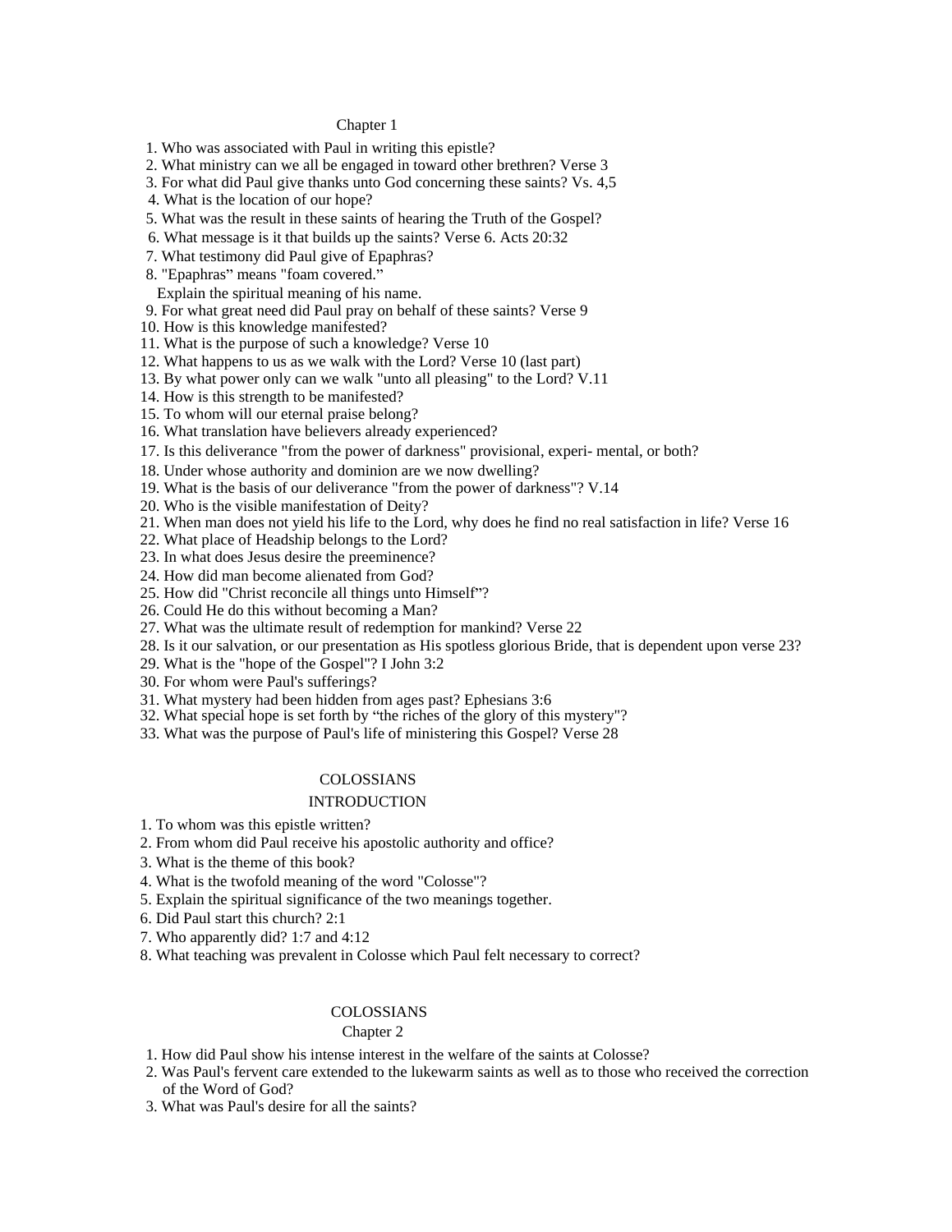#### Chapter 1 and 200 and 200 and 200 and 200 and 200 and 200 and 200 and 200 and 200 and 200 and 200 and 200 and 200 and 200 and 200 and 200 and 200 and 200 and 200 and 200 and 200 and 200 and 200 and 200 and 200 and 200 and

1. Who was associated with Paul in writing this epistle?

- 2. What ministry can we all be engaged in toward other brethren? Verse 3
- 3. For what did Paul give thanks unto God concerning these saints? Vs. 4,5
- 4. What is the location of our hope?
- 5. What was the result in these saints of hearing the Truth of the Gospel?
- 6. What message is it that builds up the saints? Verse 6. Acts 20:32
- 7. What testimony did Paul give of Epaphras?
- 8. "Epaphras" means "foam covered." Solid and the state of the state of the state of the state of the state of the state of the state of the state of the state of the state of the state of the state of the state of the sta
- Explain the spiritual meaning of his name.
- 9. For what great need did Paul pray on behalf of these saints? Verse 9

10. How is this knowledge manifested?

- 11. What is the purpose of such a knowledge? Verse 10
- 12. What happens to us as we walk with the Lord? Verse 10 (last part)
- 13. By what power only can we walk "unto all pleasing" to the Lord? V.11
- 14. How is this strength to be manifested?
- 15. To whom will our eternal praise belong?
- 16. What translation have believers already experienced?
- 17. Is this deliverance "from the power of darkness" provisional, experi- mental, or both?
- 18. Under whose authority and dominion are we now dwelling?
- 19. What is the basis of our deliverance "from the power of darkness"? V.14
- 20. Who is the visible manifestation of Deity?
- 21. When man does not yield his life to the Lord, why does he find no real satisfaction in life? Verse 16
- 22. What place of Headship belongs to the Lord?
- 23. In what does Jesus desire the preeminence?
- 24. How did man become alienated from God?
- 25. How did "Christ reconcile all things unto Himself"?
- 26. Could He do this without becoming a Man?
- 27. What was the ultimate result of redemption for mankind? Verse 22
- 28. Is it our salvation, or our presentation as His spotless glorious Bride, that is dependent upon verse 23?
- 29. What is the "hope of the Gospel"? I John 3:2
- 30. For whom were Paul's sufferings?
- 31. What mystery had been hidden from ages past? Ephesians 3:6
- 32. What special hope is set forth by "the riches of the glory of this mystery"?
- 33. What was the purpose of Paul's life of ministering this Gospel? Verse 28

# COLOSSIANS

#### INTRODUCTION

- 1. To whom was this epistle written?
- 2. From whom did Paul receive his apostolic authority and office?
- 3. What is the theme of this book?
- 4. What is the twofold meaning of the word "Colosse"?
- 5. Explain the spiritual significance of the two meanings together.
- 6. Did Paul start this church? 2:1
- 7. Who apparently did? 1:7 and 4:12
- 8. What teaching was prevalent in Colosse which Paul felt necessary to correct?

## COLOSSIANS

#### Chapter 2 and 2 and 2 and 2 and 2 and 2 and 2 and 2 and 2 and 2 and 2 and 2 and 2 and 2 and 2 and 2 and 2 and 2 and 2 and 2 and 2 and 2 and 2 and 2 and 2 and 2 and 2 and 2 and 2 and 2 and 2 and 2 and 2 and 2 and 2 and 2 an

- 1. How did Paul show his intense interest in the welfare of the saints at Colosse?
- 2. Was Paul's fervent care extended to the lukewarm saints as well as to those who received the correction of the Word of God?
- 3. What was Paul's desire for all the saints?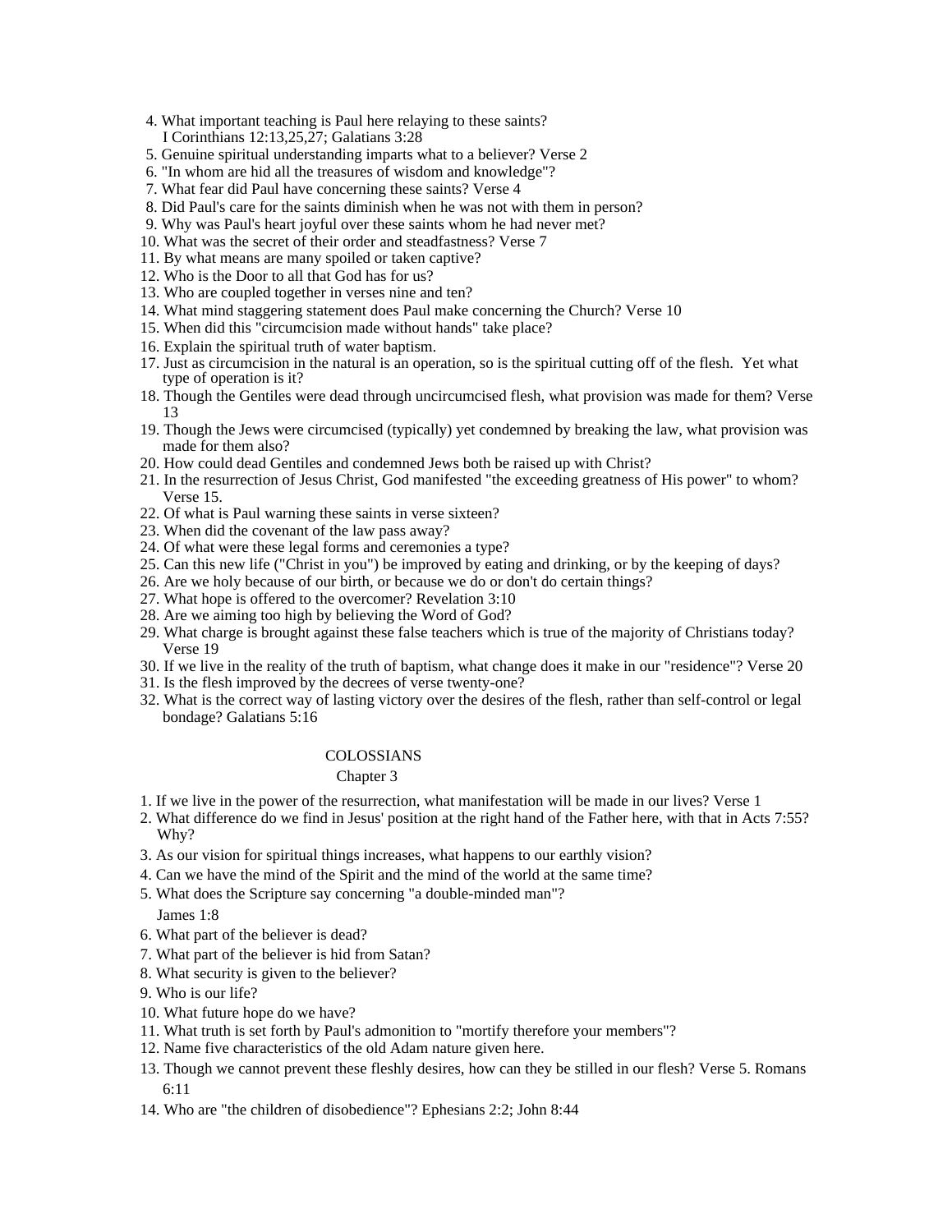- 4. What important teaching is Paul here relaying to these saints? I Corinthians 12:13,25,27; Galatians 3:28
- 5. Genuine spiritual understanding imparts what to a believer? Verse 2
- 6. "In whom are hid all the treasures of wisdom and knowledge"?
- 7. What fear did Paul have concerning these saints? Verse 4
- 8. Did Paul's care for the saints diminish when he was not with them in person?
- 9. Why was Paul's heart joyful over these saints whom he had never met?
- 10. What was the secret of their order and steadfastness? Verse 7
- 11. By what means are many spoiled or taken captive?
- 12. Who is the Door to all that God has for us?
- 13. Who are coupled together in verses nine and ten?
- 14. What mind staggering statement does Paul make concerning the Church? Verse 10
- 15. When did this "circumcision made without hands" take place?
- 16. Explain the spiritual truth of water baptism.
- 17. Just as circumcision in the natural is an operation, so is the spiritual cutting off of the flesh. Yet what type of operation is it?
- 18. Though the Gentiles were dead through uncircumcised flesh, what provision was made for them? Verse 13 and the contract of the contract of the contract of the contract of the contract of the contract of the contract of the contract of the contract of the contract of the contract of the contract of the contract of the con
- 19. Though the Jews were circumcised (typically) yet condemned by breaking the law, what provision was made for them also?
- 20. How could dead Gentiles and condemned Jews both be raised up with Christ?
- 21. In the resurrection of Jesus Christ, God manifested "the exceeding greatness of His power" to whom? Verse 15.
- 22. Of what is Paul warning these saints in verse sixteen?
- 23. When did the covenant of the law pass away?
- 24. Of what were these legal forms and ceremonies a type?
- 25. Can this new life ("Christ in you") be improved by eating and drinking, or by the keeping of days?
- 26. Are we holy because of our birth, or because we do or don't do certain things?
- 27. What hope is offered to the overcomer? Revelation 3:10
- 28. Are we aiming too high by believing the Word of God?
- 29. What charge is brought against these false teachers which is true of the majority of Christians today? Verse 19
- 30. If we live in the reality of the truth of baptism, what change does it make in our "residence"? Verse 20
- 31. Is the flesh improved by the decrees of verse twenty-one?
- 32. What is the correct way of lasting victory over the desires of the flesh, rather than self-control or legal bondage? Galatians 5:16

# COLOSSIANS

# Chapter 3 and 200 and 200 and 200 and 200 and 200 and 200 and 200 and 200 and 200 and 200 and 200 and 200 and 200 and 200 and 200 and 200 and 200 and 200 and 200 and 200 and 200 and 200 and 200 and 200 and 200 and 200 and

- 1. If we live in the power of the resurrection, what manifestation will be made in our lives? Verse 1
- 2. What difference do we find in Jesus' position at the right hand of the Father here, with that in Acts 7:55? Why?
- 3. As our vision for spiritual things increases, what happens to our earthly vision?
- 4. Can we have the mind of the Spirit and the mind of the world at the same time?
- 5. What does the Scripture say concerning "a double-minded man"?

James 1:8

- 6. What part of the believer is dead?
- 7. What part of the believer is hid from Satan?
- 8. What security is given to the believer?
- 9. Who is our life?
- 10. What future hope do we have?
- 11. What truth is set forth by Paul's admonition to "mortify therefore your members"?
- 12. Name five characteristics of the old Adam nature given here.
- 13. Though we cannot prevent these fleshly desires, how can they be stilled in our flesh? Verse 5. Romans 6:11
- 14. Who are "the children of disobedience"? Ephesians 2:2; John 8:44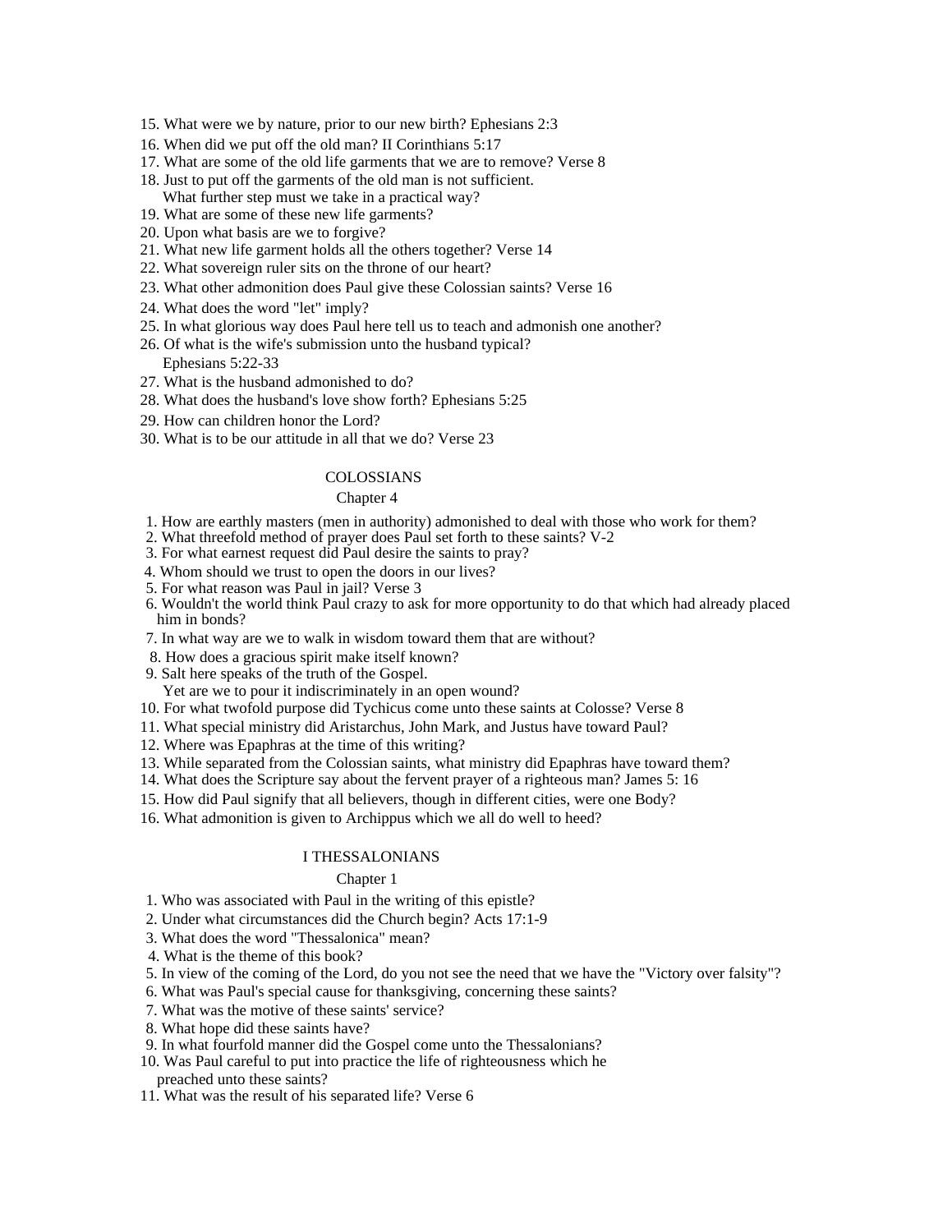- 15. What were we by nature, prior to our new birth? Ephesians 2:3
- 16. When did we put off the old man? II Corinthians 5:17
- 17. What are some of the old life garments that we are to remove? Verse 8
- 18. Just to put off the garments of the old man is not sufficient. What further step must we take in a practical way?
- 19. What are some of these new life garments?
- 20. Upon what basis are we to forgive?
- 21. What new life garment holds all the others together? Verse 14
- 22. What sovereign ruler sits on the throne of our heart?
- 23. What other admonition does Paul give these Colossian saints? Verse 16
- 24. What does the word "let" imply?
- 25. In what glorious way does Paul here tell us to teach and admonish one another?
- 26. Of what is the wife's submission unto the husband typical?
- Ephesians 5:22-33
- 27. What is the husband admonished to do?
- 28. What does the husband's love show forth? Ephesians 5:25
- 29. How can children honor the Lord?
- 30. What is to be our attitude in all that we do? Verse 23

#### COLOSSIANS

#### Chapter 4 and 2008 and 2008 and 2008 and 2008 and 2008 and 2008 and 2008 and 2008 and 2008 and 2008 and 2008 and 2008 and 2008 and 2008 and 2008 and 2008 and 2008 and 2008 and 2008 and 2008 and 2008 and 2008 and 2008 and 2

- 1. How are earthly masters (men in authority) admonished to deal with those who work for them?
- 2. What threefold method of prayer does Paul set forth to these saints? V-2
- 3. For what earnest request did Paul desire the saints to pray?
- 4. Whom should we trust to open the doors in our lives?
- 5. For what reason was Paul in jail? Verse 3
- 6. Wouldn't the world think Paul crazy to ask for more opportunity to do that which had already placed him in bonds?
- 7. In what way are we to walk in wisdom toward them that are without?
- 8. How does a gracious spirit make itself known?
- 9. Salt here speaks of the truth of the Gospel.
- Yet are we to pour it indiscriminately in an open wound?
- 10. For what twofold purpose did Tychicus come unto these saints at Colosse? Verse 8
- 11. What special ministry did Aristarchus, John Mark, and Justus have toward Paul?
- 12. Where was Epaphras at the time of this writing?
- 13. While separated from the Colossian saints, what ministry did Epaphras have toward them?
- 14. What does the Scripture say about the fervent prayer of a righteous man? James 5: 16
- 15. How did Paul signify that all believers, though in different cities, were one Body?
- 16. What admonition is given to Archippus which we all do well to heed?

#### I THESSALONIANS

#### Chapter 1 and 200 and 200 and 200 and 200 and 200 and 200 and 200 and 200 and 200 and 200 and 200 and 200 and 200 and 200 and 200 and 200 and 200 and 200 and 200 and 200 and 200 and 200 and 200 and 200 and 200 and 200 and

1. Who was associated with Paul in the writing of this epistle?

- 2. Under what circumstances did the Church begin? Acts 17:1-9
- 3. What does the word "Thessalonica" mean?
- 4. What is the theme of this book?
- 5. In view of the coming of the Lord, do you not see the need that we have the "Victory over falsity"?
- 6. What was Paul's special cause for thanksgiving, concerning these saints?
- 7. What was the motive of these saints' service?
- 8. What hope did these saints have?
- 9. In what fourfold manner did the Gospel come unto the Thessalonians?
- 10. Was Paul careful to put into practice the life of righteousness which he
- preached unto these saints?
- 11. What was the result of his separated life? Verse 6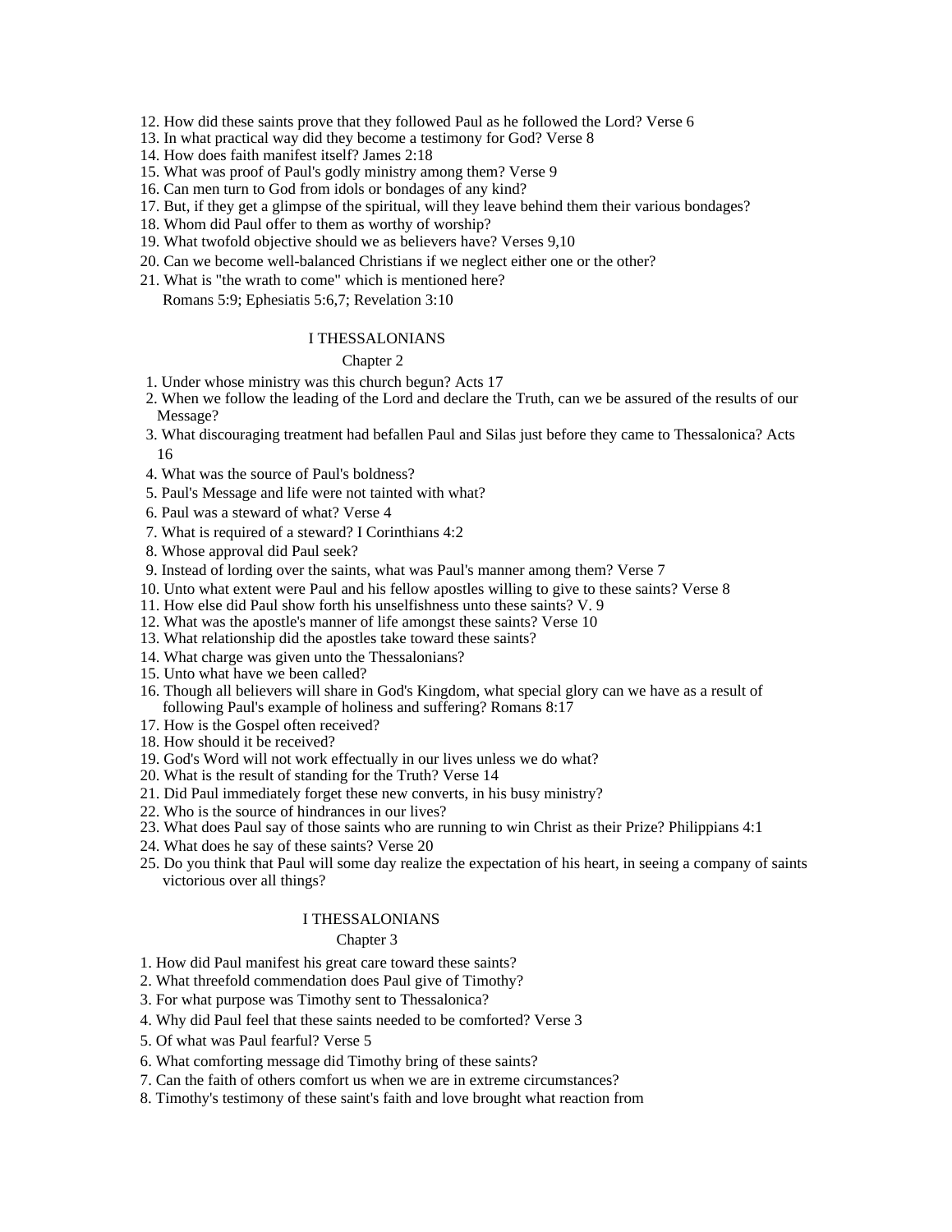- 12. How did these saints prove that they followed Paul as he followed the Lord? Verse 6
- 13. In what practical way did they become a testimony for God? Verse 8
- 14. How does faith manifest itself? James 2:18
- 15. What was proof of Paul's godly ministry among them? Verse 9
- 16. Can men turn to God from idols or bondages of any kind?
- 17. But, if they get a glimpse of the spiritual, will they leave behind them their various bondages?
- 18. Whom did Paul offer to them as worthy of worship?
- 19. What twofold objective should we as believers have? Verses 9,10
- 20. Can we become well-balanced Christians if we neglect either one or the other?
- 21. What is "the wrath to come" which is mentioned here? Romans 5:9; Ephesiatis 5:6,7; Revelation 3:10

#### I THESSALONIANS

#### Chapter 2 and 2 and 2 and 2 and 2 and 2 and 2 and 2 and 2 and 2 and 2 and 2 and 2 and 2 and 2 and 2 and 2 and 2 and 2 and 2 and 2 and 2 and 2 and 2 and 2 and 2 and 2 and 2 and 2 and 2 and 2 and 2 and 2 and 2 and 2 and 2 an

- 1. Under whose ministry was this church begun? Acts 17
- 2. When we follow the leading of the Lord and declare the Truth, can we be assured of the results of our Message?
- 3. What discouraging treatment had befallen Paul and Silas just before they came to Thessalonica? Acts 16
- 4. What was the source of Paul's boldness?
- 5. Paul's Message and life were not tainted with what?
- 6. Paul was a steward of what? Verse 4
- 7. What is required of a steward? I Corinthians 4:2
- 8. Whose approval did Paul seek?
- 9. Instead of lording over the saints, what was Paul's manner among them? Verse 7
- 10. Unto what extent were Paul and his fellow apostles willing to give to these saints? Verse 8
- 11. How else did Paul show forth his unselfishness unto these saints? V. 9
- 12. What was the apostle's manner of life amongst these saints? Verse 10
- 13. What relationship did the apostles take toward these saints?
- 14. What charge was given unto the Thessalonians?
- 15. Unto what have we been called?
- 16. Though all believers will share in God's Kingdom, what special glory can we have as a result of following Paul's example of holiness and suffering? Romans 8:17
- 17. How is the Gospel often received?
- 18. How should it be received?
- 19. God's Word will not work effectually in our lives unless we do what?
- 20. What is the result of standing for the Truth? Verse 14
- 21. Did Paul immediately forget these new converts, in his busy ministry?
- 22. Who is the source of hindrances in our lives?
- 23. What does Paul say of those saints who are running to win Christ as their Prize? Philippians 4:1
- 24. What does he say of these saints? Verse 20
- 25. Do you think that Paul will some day realize the expectation of his heart, in seeing a company of saints victorious over all things?

#### I THESSALONIANS

#### Chapter 3 and 200 and 200 and 200 and 200 and 200 and 200 and 200 and 200 and 200 and 200 and 200 and 200 and 200 and 200 and 200 and 200 and 200 and 200 and 200 and 200 and 200 and 200 and 200 and 200 and 200 and 200 and

- 1. How did Paul manifest his great care toward these saints?
- 2. What threefold commendation does Paul give of Timothy?
- 3. For what purpose was Timothy sent to Thessalonica?
- 4. Why did Paul feel that these saints needed to be comforted? Verse 3
- 5. Of what was Paul fearful? Verse 5
- 6. What comforting message did Timothy bring of these saints?
- 7. Can the faith of others comfort us when we are in extreme circumstances?
- 8. Timothy's testimony of these saint's faith and love brought what reaction from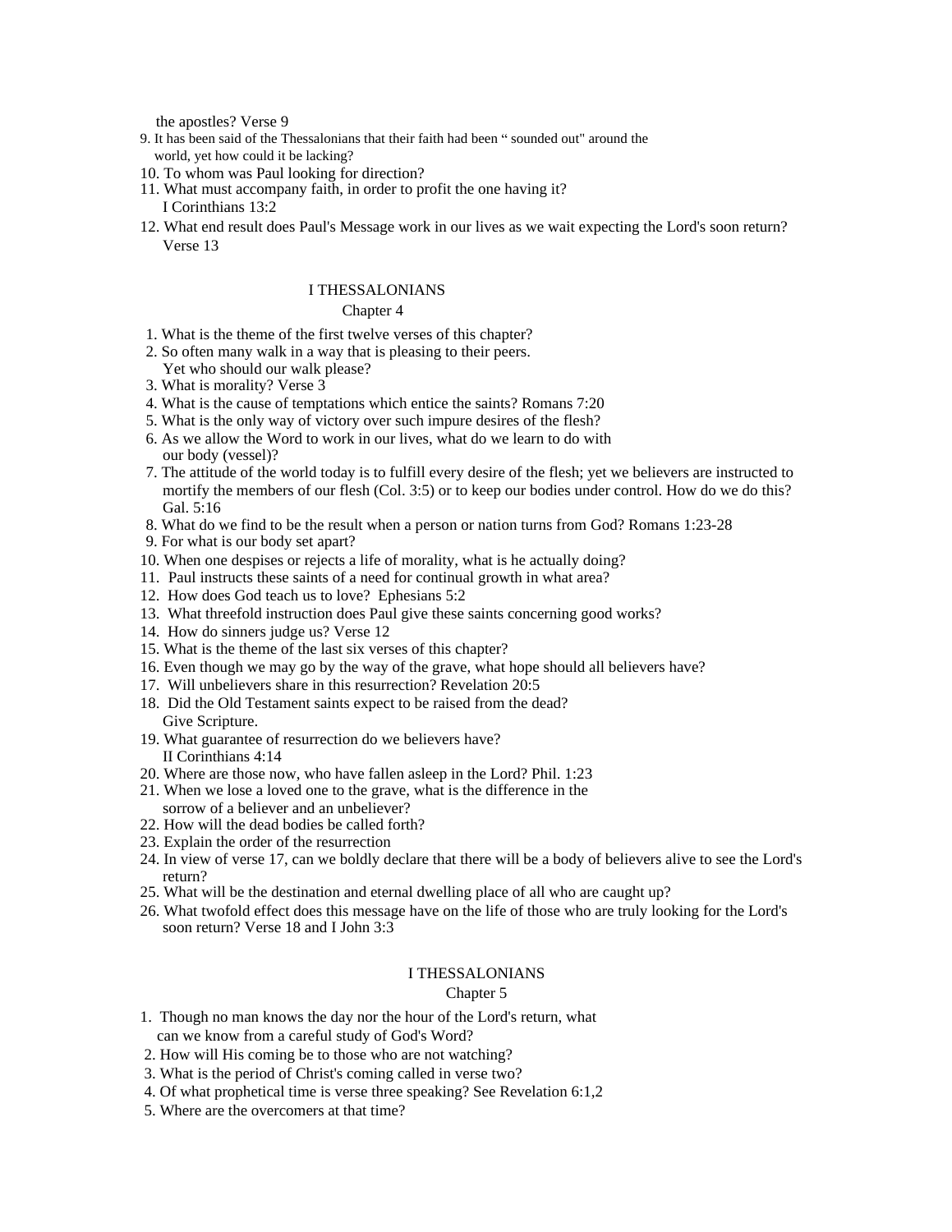the apostles? Verse 9

- 9. It has been said of the Thessalonians that their faith had been "sounded out" around the world, yet how could it be lacking?
- 10. To whom was Paul looking for direction?
- 11. What must accompany faith, in order to profit the one having it?
- I Corinthians 13:2
- 12. What end result does Paul's Message work in our lives as we wait expecting the Lord's soon return? Verse 13

#### I THESSALONIANS

#### Chapter 4 and 200 and 200 and 200 and 200 and 200 and 200 and 200 and 200 and 200 and 200 and 200 and 200 and 200 and 200 and 200 and 200 and 200 and 200 and 200 and 200 and 200 and 200 and 200 and 200 and 200 and 200 and

- 1. What is the theme of the first twelve verses of this chapter?
- 2. So often many walk in a way that is pleasing to their peers. Yet who should our walk please?
- 3. What is morality? Verse 3
- 4. What is the cause of temptations which entice the saints? Romans 7:20
- 5. What is the only way of victory over such impure desires of the flesh?
- 6. As we allow the Word to work in our lives, what do we learn to do with our body (vessel)?
- 7. The attitude of the world today is to fulfill every desire of the flesh; yet we believers are instructed to mortify the members of our flesh (Col. 3:5) or to keep our bodies under control. How do we do this? Gal. 5:16
- 8. What do we find to be the result when a person or nation turns from God? Romans 1:23-28
- 9. For what is our body set apart?
- 10. When one despises or rejects a life of morality, what is he actually doing?
- 11. Paul instructs these saints of a need for continual growth in what area?
- 12. How does God teach us to love? Ephesians 5:2
- 13. What threefold instruction does Paul give these saints concerning good works?
- 14. How do sinners judge us? Verse 12
- 15. What is the theme of the last six verses of this chapter?
- 16. Even though we may go by the way of the grave, what hope should all believers have?
- 17. Will unbelievers share in this resurrection? Revelation 20:5
- 18. Did the Old Testament saints expect to be raised from the dead? Give Scripture. The set of the set of the set of the set of the set of the set of the set of the set of the set of the set of the set of the set of the set of the set of the set of the set of the set of the set of the set
- 19. What guarantee of resurrection do we believers have? II Corinthians 4:14
- 20. Where are those now, who have fallen asleep in the Lord? Phil. 1:23
- 21. When we lose a loved one to the grave, what is the difference in the
- sorrow of a believer and an unbeliever? 22. How will the dead bodies be called forth?
- 23. Explain the order of the resurrection
- 24. In view of verse 17, can we boldly declare that there will be a body of believers alive to see the Lord's return?
- 25. What will be the destination and eternal dwelling place of all who are caught up?
- 26. What twofold effect does this message have on the life of those who are truly looking for the Lord's soon return? Verse 18 and I John 3:3

#### I THESSALONIANS

#### Chapter 5 and 200 meters of the contract of the contract of the contract of the contract of the contract of the contract of the contract of the contract of the contract of the contract of the contract of the contract of th

- 1. Though no man knows the day nor the hour of the Lord's return, what can we know from a careful study of God's Word?
- 2. How will His coming be to those who are not watching?
- 3. What is the period of Christ's coming called in verse two?
- 4. Of what prophetical time is verse three speaking? See Revelation 6:1,2
- 5. Where are the overcomers at that time?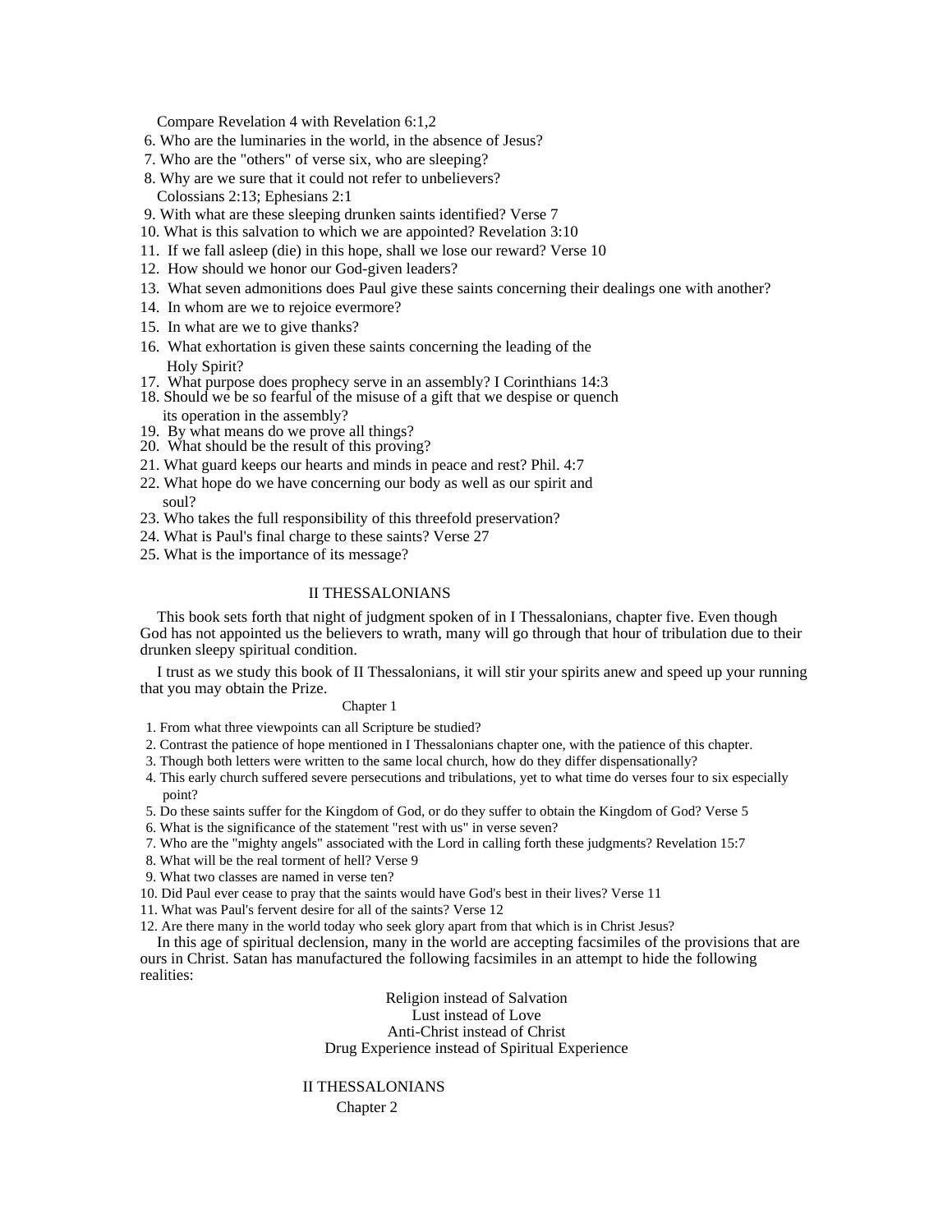Compare Revelation 4 with Revelation 6:1,2

- 6. Who are the luminaries in the world, in the absence of Jesus?
- 7. Who are the "others" of verse six, who are sleeping?
- 8. Why are we sure that it could not refer to unbelievers? Colossians 2:13; Ephesians 2:1
- 9. With what are these sleeping drunken saints identified? Verse 7
- 10. What is this salvation to which we are appointed? Revelation 3:10
- 11. If we fall asleep (die) in this hope, shall we lose our reward? Verse 10
- 12. How should we honor our God-given leaders?
- 13. What seven admonitions does Paul give these saints concerning their dealings one with another?
- 14. In whom are we to rejoice evermore?
- 15. In what are we to give thanks?
- 16. What exhortation is given these saints concerning the leading of the Holy Spirit?
- 17. What purpose does prophecy serve in an assembly? I Corinthians 14:3
- 18. Should we be so fearful of the misuse of a gift that we despise or quench its operation in the assembly?
- 19. By what means do we prove all things?
- 20. What should be the result of this proving?
- 21. What guard keeps our hearts and minds in peace and rest? Phil. 4:7
- 22. What hope do we have concerning our body as well as our spirit and soul?
- 23. Who takes the full responsibility of this threefold preservation?
- 24. What is Paul's final charge to these saints? Verse 27
- 25. What is the importance of its message?

#### II THESSALONIANS

This book sets forth that night of judgment spoken of in I Thessalonians, chapter five. Even though God has not appointed us the believers to wrath, many will go through that hour of tribulation due to their drunken sleepy spiritual condition.

I trust as we study this book of II Thessalonians, it will stir your spirits anew and speed up your running that you may obtain the Prize.

#### Chapter 1 and 2 and 2 and 2 and 2 and 2 and 2 and 2 and 2 and 2 and 2 and 2 and 2 and 2 and 2 and 2 and 2 and 2 and 2 and 2 and 2 and 2 and 2 and 2 and 2 and 2 and 2 and 2 and 2 and 2 and 2 and 2 and 2 and 2 and 2 and 2 an

1. From what three viewpoints can all Scripture be studied?

- 2. Contrast the patience of hope mentioned in I Thessalonians chapter one, with the patience of this chapter.
- 3. Though both letters were written to the same local church, how do they differ dispensationally?
- 4. This early church suffered severe persecutions and tribulations, yet to what time do verses four to six especially point? The contract of the contract of the contract of the contract of the contract of the contract of the contract of the contract of the contract of the contract of the contract of the contract of the contract of the con
- 5. Do these saints suffer for the Kingdom of God, or do they suffer to obtain the Kingdom of God? Verse 5
- 6. What is the significance of the statement "rest with us" in verse seven?
- 7. Who are the "mighty angels" associated with the Lord in calling forth these judgments? Revelation 15:7
- 8. What will be the real torment of hell? Verse 9
- 9. What two classes are named in verse ten?
- 10. Did Paul ever cease to pray that the saints would have God's best in their lives? Verse 11
- 11. What was Paul's fervent desire for all of the saints? Verse 12
- 12. Are there many in the world today who seek glory apart from that which is in Christ Jesus?

In this age of spiritual declension, many in the world are accepting facsimiles of the provisions that are ours in Christ. Satan has manufactured the following facsimiles in an attempt to hide the following realities:

> Religion instead of Salvation Lust instead of Love Anti-Christ instead of Christ Drug Experience instead of Spiritual Experience

#### II THESSALONIANS

Chapter 2